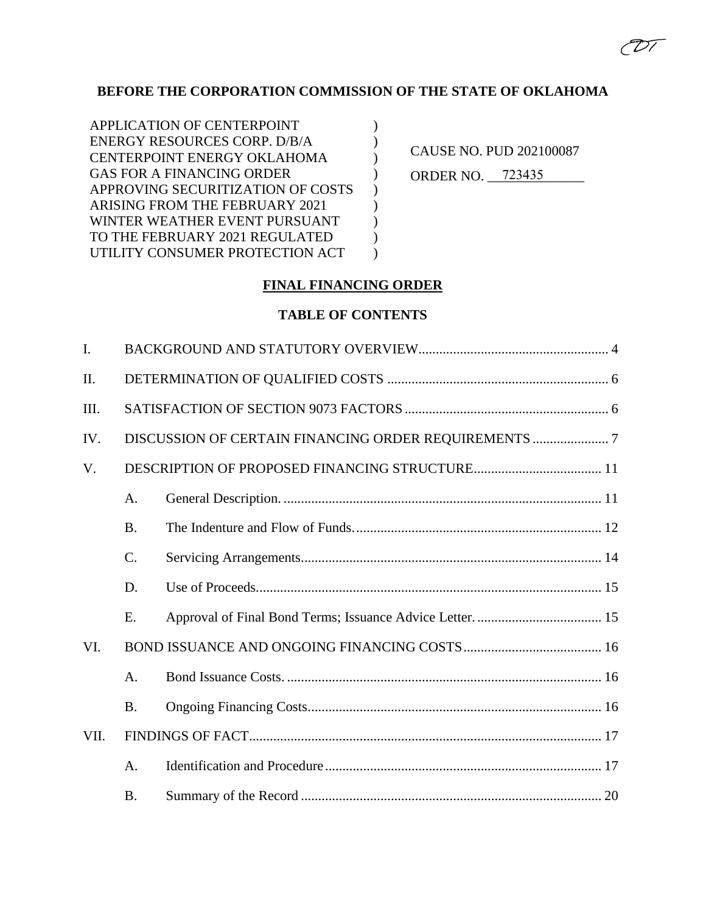# **BEFORE THE CORPORATION COMMISSION OF THE STATE OF OKLAHOMA**

) ) ) )  $\sum$ ) ) ) )

CAUSE NO. PUD 202100087 ORDER NO. 723435 (D 1

# **FINAL FINANCING ORDER**

## **TABLE OF CONTENTS**

| $\mathbf{I}$ . |           |  |  |
|----------------|-----------|--|--|
| Π.             |           |  |  |
| III.           |           |  |  |
| IV.            |           |  |  |
| V.             |           |  |  |
|                | A.        |  |  |
|                | <b>B.</b> |  |  |
|                | $C$ .     |  |  |
|                | D.        |  |  |
|                | E.        |  |  |
| VI.            |           |  |  |
|                | A.        |  |  |
|                | <b>B.</b> |  |  |
| VII.           |           |  |  |
|                | A.        |  |  |
|                | <b>B.</b> |  |  |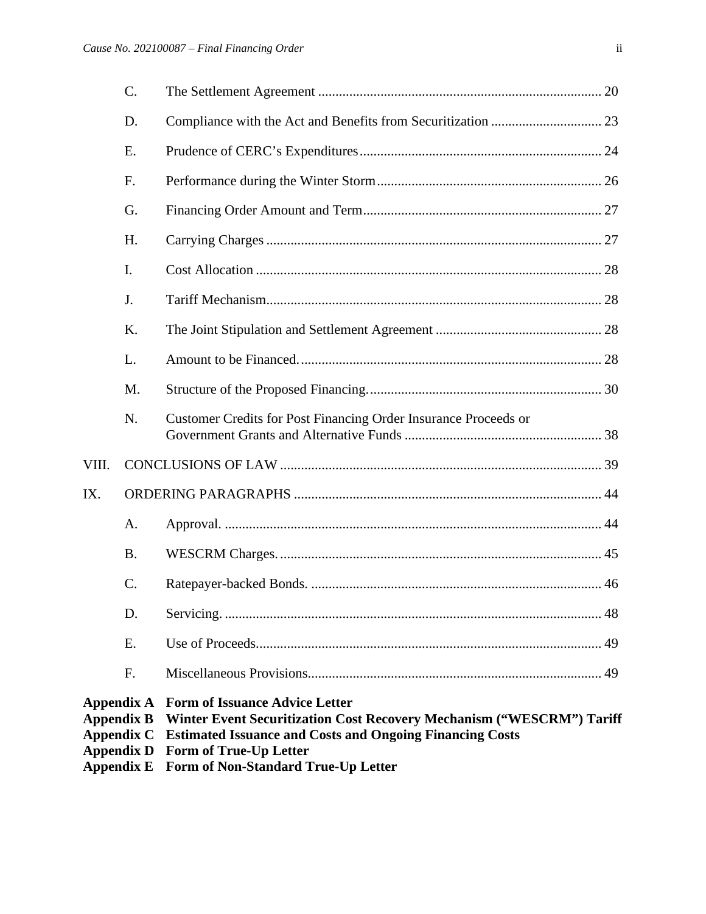| Appendix A<br>Appendix B<br>Appendix C<br><b>Appendix D</b><br><b>Appendix E</b> |           | <b>Form of Issuance Advice Letter</b><br>Winter Event Securitization Cost Recovery Mechanism ("WESCRM") Tariff<br><b>Estimated Issuance and Costs and Ongoing Financing Costs</b><br><b>Form of True-Up Letter</b><br>Form of Non-Standard True-Up Letter |  |
|----------------------------------------------------------------------------------|-----------|-----------------------------------------------------------------------------------------------------------------------------------------------------------------------------------------------------------------------------------------------------------|--|
|                                                                                  | F.        |                                                                                                                                                                                                                                                           |  |
|                                                                                  | Ε.        |                                                                                                                                                                                                                                                           |  |
|                                                                                  | D.        |                                                                                                                                                                                                                                                           |  |
|                                                                                  | C.        |                                                                                                                                                                                                                                                           |  |
|                                                                                  | <b>B.</b> |                                                                                                                                                                                                                                                           |  |
|                                                                                  | A.        |                                                                                                                                                                                                                                                           |  |
| IX.                                                                              |           |                                                                                                                                                                                                                                                           |  |
| VIII.                                                                            |           |                                                                                                                                                                                                                                                           |  |
|                                                                                  | N.        | Customer Credits for Post Financing Order Insurance Proceeds or                                                                                                                                                                                           |  |
|                                                                                  | M.        |                                                                                                                                                                                                                                                           |  |
|                                                                                  | L.        |                                                                                                                                                                                                                                                           |  |
|                                                                                  | K.        |                                                                                                                                                                                                                                                           |  |
|                                                                                  | J.        |                                                                                                                                                                                                                                                           |  |
|                                                                                  | I.        |                                                                                                                                                                                                                                                           |  |
|                                                                                  | H.        |                                                                                                                                                                                                                                                           |  |
|                                                                                  | G.        |                                                                                                                                                                                                                                                           |  |
|                                                                                  | F.        |                                                                                                                                                                                                                                                           |  |
|                                                                                  | E.        |                                                                                                                                                                                                                                                           |  |
|                                                                                  | D.        |                                                                                                                                                                                                                                                           |  |
|                                                                                  | C.        |                                                                                                                                                                                                                                                           |  |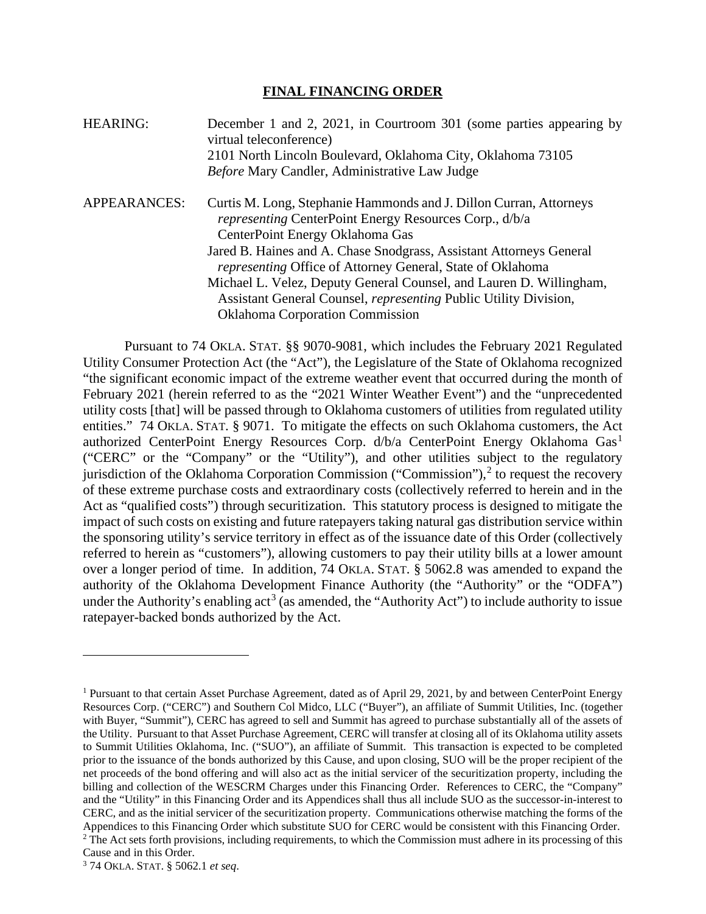#### **FINAL FINANCING ORDER**

| HEARING:     | December 1 and 2, 2021, in Courtroom 301 (some parties appearing by<br>virtual teleconference)<br>2101 North Lincoln Boulevard, Oklahoma City, Oklahoma 73105<br>Before Mary Candler, Administrative Law Judge                                                                                                                                                                                                                                                                                                 |
|--------------|----------------------------------------------------------------------------------------------------------------------------------------------------------------------------------------------------------------------------------------------------------------------------------------------------------------------------------------------------------------------------------------------------------------------------------------------------------------------------------------------------------------|
| APPEARANCES: | Curtis M. Long, Stephanie Hammonds and J. Dillon Curran, Attorneys<br><i>representing</i> CenterPoint Energy Resources Corp., d/b/a<br>CenterPoint Energy Oklahoma Gas<br>Jared B. Haines and A. Chase Snodgrass, Assistant Attorneys General<br><i>representing</i> Office of Attorney General, State of Oklahoma<br>Michael L. Velez, Deputy General Counsel, and Lauren D. Willingham,<br>Assistant General Counsel, <i>representing</i> Public Utility Division,<br><b>Oklahoma Corporation Commission</b> |

Pursuant to 74 OKLA. STAT. §§ 9070-9081, which includes the February 2021 Regulated Utility Consumer Protection Act (the "Act"), the Legislature of the State of Oklahoma recognized "the significant economic impact of the extreme weather event that occurred during the month of February 2021 (herein referred to as the "2021 Winter Weather Event") and the "unprecedented utility costs [that] will be passed through to Oklahoma customers of utilities from regulated utility entities." 74 OKLA. STAT. § 9071. To mitigate the effects on such Oklahoma customers, the Act authorized CenterPoint Energy Resources Corp. d/b/a CenterPoint Energy Oklahoma Gas<sup>[1](#page-2-0)</sup> ("CERC" or the "Company" or the "Utility"), and other utilities subject to the regulatory jurisdiction of the Oklahoma Corporation Commission ("Commission"),<sup>[2](#page-2-1)</sup> to request the recovery of these extreme purchase costs and extraordinary costs (collectively referred to herein and in the Act as "qualified costs") through securitization. This statutory process is designed to mitigate the impact of such costs on existing and future ratepayers taking natural gas distribution service within the sponsoring utility's service territory in effect as of the issuance date of this Order (collectively referred to herein as "customers"), allowing customers to pay their utility bills at a lower amount over a longer period of time. In addition, 74 OKLA. STAT. § 5062.8 was amended to expand the authority of the Oklahoma Development Finance Authority (the "Authority" or the "ODFA") under the Authority's enabling  $act^3$  $act^3$  (as amended, the "Authority Act") to include authority to issue ratepayer-backed bonds authorized by the Act.

<span id="page-2-0"></span><sup>&</sup>lt;sup>1</sup> Pursuant to that certain Asset Purchase Agreement, dated as of April 29, 2021, by and between CenterPoint Energy Resources Corp. ("CERC") and Southern Col Midco, LLC ("Buyer"), an affiliate of Summit Utilities, Inc. (together with Buyer, "Summit"), CERC has agreed to sell and Summit has agreed to purchase substantially all of the assets of the Utility. Pursuant to that Asset Purchase Agreement, CERC will transfer at closing all of its Oklahoma utility assets to Summit Utilities Oklahoma, Inc. ("SUO"), an affiliate of Summit. This transaction is expected to be completed prior to the issuance of the bonds authorized by this Cause, and upon closing, SUO will be the proper recipient of the net proceeds of the bond offering and will also act as the initial servicer of the securitization property, including the billing and collection of the WESCRM Charges under this Financing Order. References to CERC, the "Company" and the "Utility" in this Financing Order and its Appendices shall thus all include SUO as the successor-in-interest to CERC, and as the initial servicer of the securitization property. Communications otherwise matching the forms of the Appendices to this Financing Order which substitute SUO for CERC would be consistent with this Financing Order. <sup>2</sup> The Act sets forth provisions, including requirements, to which the Commission must adhere in its processing of this Cause and in this Order.

<span id="page-2-2"></span><span id="page-2-1"></span><sup>3</sup> 74 OKLA. STAT. § 5062.1 *et seq*.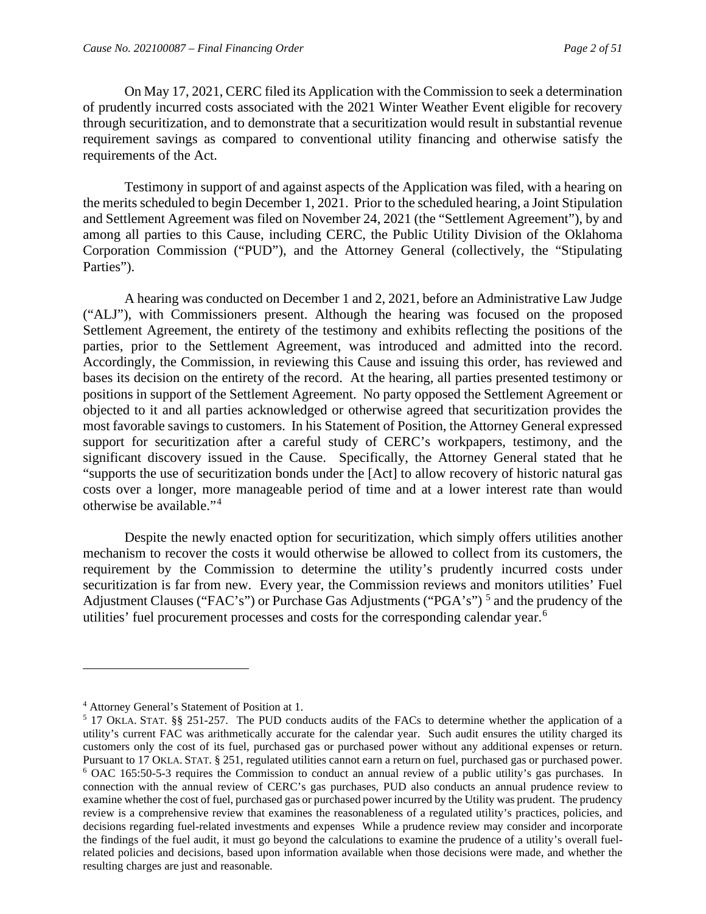On May 17, 2021, CERC filed its Application with the Commission to seek a determination of prudently incurred costs associated with the 2021 Winter Weather Event eligible for recovery through securitization, and to demonstrate that a securitization would result in substantial revenue requirement savings as compared to conventional utility financing and otherwise satisfy the requirements of the Act.

Testimony in support of and against aspects of the Application was filed, with a hearing on the merits scheduled to begin December 1, 2021. Prior to the scheduled hearing, a Joint Stipulation and Settlement Agreement was filed on November 24, 2021 (the "Settlement Agreement"), by and among all parties to this Cause, including CERC, the Public Utility Division of the Oklahoma Corporation Commission ("PUD"), and the Attorney General (collectively, the "Stipulating Parties").

A hearing was conducted on December 1 and 2, 2021, before an Administrative Law Judge ("ALJ"), with Commissioners present. Although the hearing was focused on the proposed Settlement Agreement, the entirety of the testimony and exhibits reflecting the positions of the parties, prior to the Settlement Agreement, was introduced and admitted into the record. Accordingly, the Commission, in reviewing this Cause and issuing this order, has reviewed and bases its decision on the entirety of the record. At the hearing, all parties presented testimony or positions in support of the Settlement Agreement. No party opposed the Settlement Agreement or objected to it and all parties acknowledged or otherwise agreed that securitization provides the most favorable savings to customers. In his Statement of Position, the Attorney General expressed support for securitization after a careful study of CERC's workpapers, testimony, and the significant discovery issued in the Cause. Specifically, the Attorney General stated that he "supports the use of securitization bonds under the [Act] to allow recovery of historic natural gas costs over a longer, more manageable period of time and at a lower interest rate than would otherwise be available."[4](#page-3-0)

Despite the newly enacted option for securitization, which simply offers utilities another mechanism to recover the costs it would otherwise be allowed to collect from its customers, the requirement by the Commission to determine the utility's prudently incurred costs under securitization is far from new. Every year, the Commission reviews and monitors utilities' Fuel Adjustment Clauses ("FAC's") or Purchase Gas Adjustments ("PGA's")  $^5$  $^5$  and the prudency of the utilities' fuel procurement processes and costs for the corresponding calendar year.<sup>[6](#page-3-2)</sup>

<span id="page-3-0"></span><sup>4</sup> Attorney General's Statement of Position at 1.

<span id="page-3-2"></span><span id="page-3-1"></span><sup>5</sup> 17 OKLA. STAT. §§ 251-257. The PUD conducts audits of the FACs to determine whether the application of a utility's current FAC was arithmetically accurate for the calendar year. Such audit ensures the utility charged its customers only the cost of its fuel, purchased gas or purchased power without any additional expenses or return.<br>Pursuant to 17 OKLA. STAT. § 251, regulated utilities cannot earn a return on fuel, purchased gas or purchase <sup>6</sup> OAC 165:50-5-3 requires the Commission to conduct an annual review of a public utility's gas purchases. In connection with the annual review of CERC's gas purchases, PUD also conducts an annual prudence review to examine whether the cost of fuel, purchased gas or purchased power incurred by the Utility was prudent. The prudency review is a comprehensive review that examines the reasonableness of a regulated utility's practices, policies, and decisions regarding fuel-related investments and expenses While a prudence review may consider and incorporate the findings of the fuel audit, it must go beyond the calculations to examine the prudence of a utility's overall fuelrelated policies and decisions, based upon information available when those decisions were made, and whether the resulting charges are just and reasonable.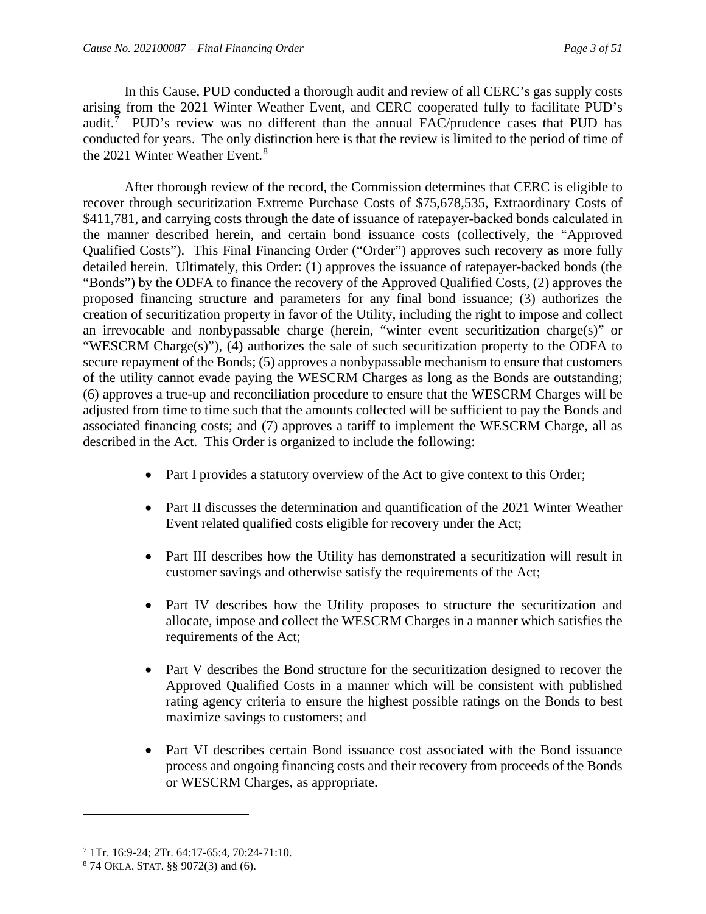In this Cause, PUD conducted a thorough audit and review of all CERC's gas supply costs arising from the 2021 Winter Weather Event, and CERC cooperated fully to facilitate PUD's audit.<sup>[7](#page-4-0)</sup> PUD's review was no different than the annual FAC/prudence cases that PUD has conducted for years. The only distinction here is that the review is limited to the period of time of the 2021 Winter Weather Event.<sup>[8](#page-4-1)</sup>

After thorough review of the record, the Commission determines that CERC is eligible to recover through securitization Extreme Purchase Costs of \$75,678,535, Extraordinary Costs of \$411,781, and carrying costs through the date of issuance of ratepayer-backed bonds calculated in the manner described herein, and certain bond issuance costs (collectively, the "Approved Qualified Costs"). This Final Financing Order ("Order") approves such recovery as more fully detailed herein. Ultimately, this Order: (1) approves the issuance of ratepayer-backed bonds (the "Bonds") by the ODFA to finance the recovery of the Approved Qualified Costs, (2) approves the proposed financing structure and parameters for any final bond issuance; (3) authorizes the creation of securitization property in favor of the Utility, including the right to impose and collect an irrevocable and nonbypassable charge (herein, "winter event securitization charge(s)" or "WESCRM Charge(s)"), (4) authorizes the sale of such securitization property to the ODFA to secure repayment of the Bonds; (5) approves a nonbypassable mechanism to ensure that customers of the utility cannot evade paying the WESCRM Charges as long as the Bonds are outstanding; (6) approves a true-up and reconciliation procedure to ensure that the WESCRM Charges will be adjusted from time to time such that the amounts collected will be sufficient to pay the Bonds and associated financing costs; and (7) approves a tariff to implement the WESCRM Charge, all as described in the Act. This Order is organized to include the following:

- Part I provides a statutory overview of the Act to give context to this Order;
- Part II discusses the determination and quantification of the 2021 Winter Weather Event related qualified costs eligible for recovery under the Act;
- Part III describes how the Utility has demonstrated a securitization will result in customer savings and otherwise satisfy the requirements of the Act;
- Part IV describes how the Utility proposes to structure the securitization and allocate, impose and collect the WESCRM Charges in a manner which satisfies the requirements of the Act;
- Part V describes the Bond structure for the securitization designed to recover the Approved Qualified Costs in a manner which will be consistent with published rating agency criteria to ensure the highest possible ratings on the Bonds to best maximize savings to customers; and
- Part VI describes certain Bond issuance cost associated with the Bond issuance process and ongoing financing costs and their recovery from proceeds of the Bonds or WESCRM Charges, as appropriate.

<span id="page-4-0"></span><sup>&</sup>lt;sup>7</sup> 1Tr. 16:9-24; 2Tr. 64:17-65:4, 70:24-71:10.<br><sup>8</sup> 74 OKLA. STAT. §§ 9072(3) and (6).

<span id="page-4-1"></span>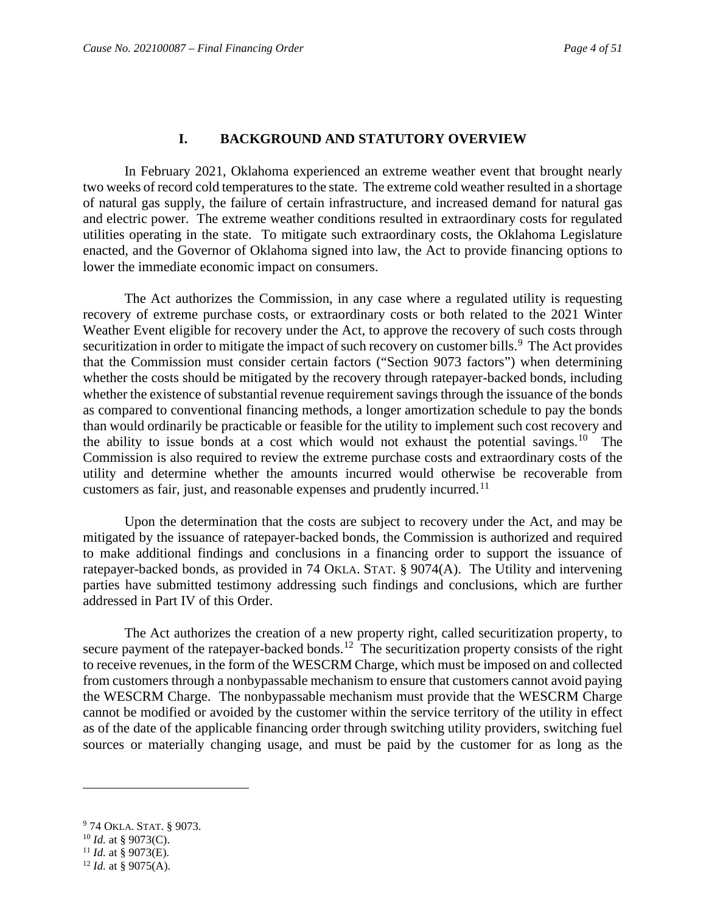#### **I. BACKGROUND AND STATUTORY OVERVIEW**

<span id="page-5-0"></span>In February 2021, Oklahoma experienced an extreme weather event that brought nearly two weeks of record cold temperatures to the state. The extreme cold weather resulted in a shortage of natural gas supply, the failure of certain infrastructure, and increased demand for natural gas and electric power. The extreme weather conditions resulted in extraordinary costs for regulated utilities operating in the state. To mitigate such extraordinary costs, the Oklahoma Legislature enacted, and the Governor of Oklahoma signed into law, the Act to provide financing options to lower the immediate economic impact on consumers.

The Act authorizes the Commission, in any case where a regulated utility is requesting recovery of extreme purchase costs, or extraordinary costs or both related to the 2021 Winter Weather Event eligible for recovery under the Act, to approve the recovery of such costs through securitization in order to mitigate the impact of such recovery on customer bills.<sup>[9](#page-5-1)</sup> The Act provides that the Commission must consider certain factors ("Section 9073 factors") when determining whether the costs should be mitigated by the recovery through ratepayer-backed bonds, including whether the existence of substantial revenue requirement savings through the issuance of the bonds as compared to conventional financing methods, a longer amortization schedule to pay the bonds than would ordinarily be practicable or feasible for the utility to implement such cost recovery and the ability to issue bonds at a cost which would not exhaust the potential savings.<sup>[10](#page-5-2)</sup> The Commission is also required to review the extreme purchase costs and extraordinary costs of the utility and determine whether the amounts incurred would otherwise be recoverable from customers as fair, just, and reasonable expenses and prudently incurred.<sup>[11](#page-5-3)</sup>

Upon the determination that the costs are subject to recovery under the Act, and may be mitigated by the issuance of ratepayer-backed bonds, the Commission is authorized and required to make additional findings and conclusions in a financing order to support the issuance of ratepayer-backed bonds, as provided in 74 OKLA. STAT. § 9074(A). The Utility and intervening parties have submitted testimony addressing such findings and conclusions, which are further addressed in Part IV of this Order.

The Act authorizes the creation of a new property right, called securitization property, to secure payment of the ratepayer-backed bonds.<sup>12</sup> The securitization property consists of the right to receive revenues, in the form of the WESCRM Charge, which must be imposed on and collected from customers through a nonbypassable mechanism to ensure that customers cannot avoid paying the WESCRM Charge. The nonbypassable mechanism must provide that the WESCRM Charge cannot be modified or avoided by the customer within the service territory of the utility in effect as of the date of the applicable financing order through switching utility providers, switching fuel sources or materially changing usage, and must be paid by the customer for as long as the

<span id="page-5-1"></span><sup>9</sup> 74 OKLA. STAT. § 9073.

<span id="page-5-2"></span> $10$  *Id.* at § 9073(C).

<span id="page-5-3"></span><sup>&</sup>lt;sup>11</sup> *Id.* at § 9073(E).

<span id="page-5-4"></span><sup>12</sup> *Id.* at § 9075(A).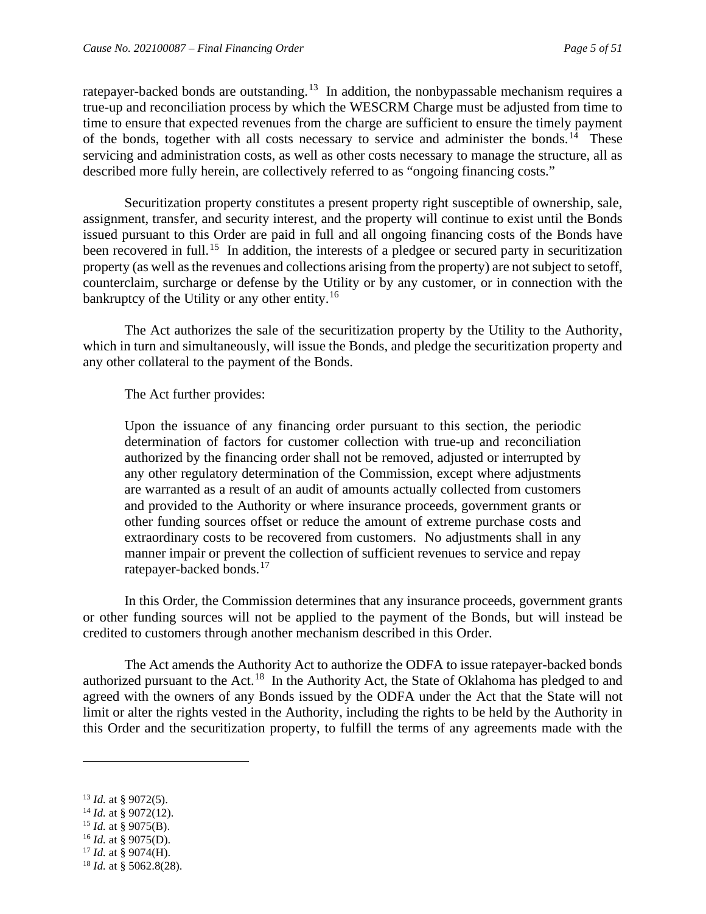ratepayer-backed bonds are outstanding.<sup>[13](#page-6-0)</sup> In addition, the nonbypassable mechanism requires a true-up and reconciliation process by which the WESCRM Charge must be adjusted from time to time to ensure that expected revenues from the charge are sufficient to ensure the timely payment of the bonds, together with all costs necessary to service and administer the bonds.<sup>14</sup> These servicing and administration costs, as well as other costs necessary to manage the structure, all as described more fully herein, are collectively referred to as "ongoing financing costs."

Securitization property constitutes a present property right susceptible of ownership, sale, assignment, transfer, and security interest, and the property will continue to exist until the Bonds issued pursuant to this Order are paid in full and all ongoing financing costs of the Bonds have been recovered in full.<sup>[15](#page-6-2)</sup> In addition, the interests of a pledgee or secured party in securitization property (as well as the revenues and collections arising from the property) are not subject to setoff, counterclaim, surcharge or defense by the Utility or by any customer, or in connection with the bankruptcy of the Utility or any other entity.<sup>[16](#page-6-3)</sup>

The Act authorizes the sale of the securitization property by the Utility to the Authority, which in turn and simultaneously, will issue the Bonds, and pledge the securitization property and any other collateral to the payment of the Bonds.

The Act further provides:

Upon the issuance of any financing order pursuant to this section, the periodic determination of factors for customer collection with true-up and reconciliation authorized by the financing order shall not be removed, adjusted or interrupted by any other regulatory determination of the Commission, except where adjustments are warranted as a result of an audit of amounts actually collected from customers and provided to the Authority or where insurance proceeds, government grants or other funding sources offset or reduce the amount of extreme purchase costs and extraordinary costs to be recovered from customers. No adjustments shall in any manner impair or prevent the collection of sufficient revenues to service and repay ratepayer-backed bonds.[17](#page-6-4)

In this Order, the Commission determines that any insurance proceeds, government grants or other funding sources will not be applied to the payment of the Bonds, but will instead be credited to customers through another mechanism described in this Order.

The Act amends the Authority Act to authorize the ODFA to issue ratepayer-backed bonds authorized pursuant to the Act.<sup>[18](#page-6-5)</sup> In the Authority Act, the State of Oklahoma has pledged to and agreed with the owners of any Bonds issued by the ODFA under the Act that the State will not limit or alter the rights vested in the Authority, including the rights to be held by the Authority in this Order and the securitization property, to fulfill the terms of any agreements made with the

- <span id="page-6-1"></span><sup>14</sup> *Id.* at § 9072(12).
- <span id="page-6-2"></span><sup>15</sup> *Id.* at § 9075(B).
- <span id="page-6-3"></span><sup>16</sup> *Id.* at § 9075(D).
- <span id="page-6-4"></span><sup>17</sup> *Id.* at § 9074(H).
- <span id="page-6-5"></span><sup>18</sup> *Id.* at § 5062.8(28).

<span id="page-6-0"></span><sup>13</sup> *Id.* at § 9072(5).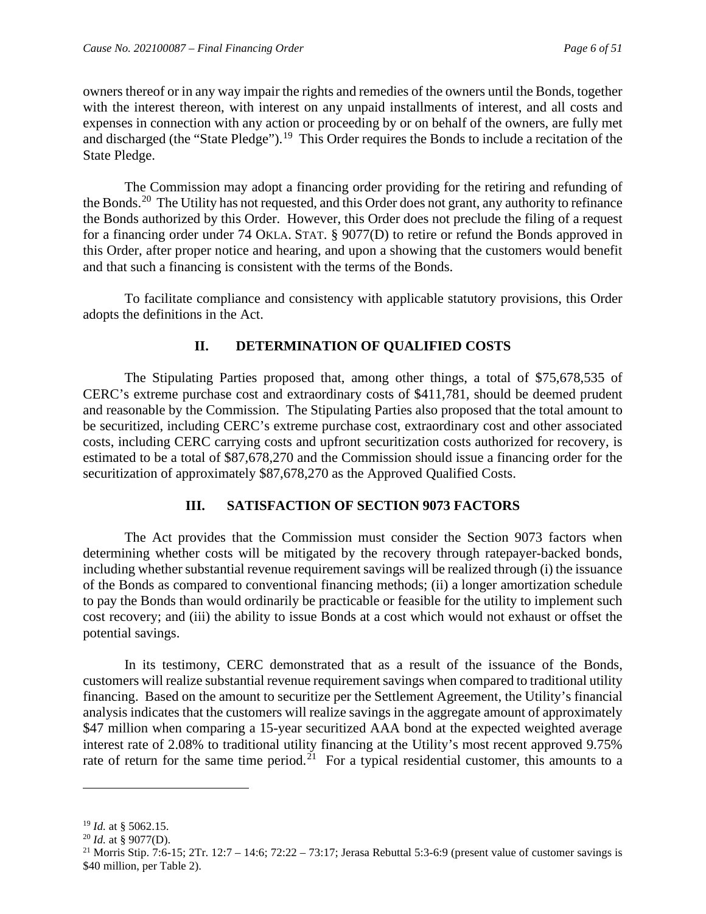owners thereof or in any way impair the rights and remedies of the owners until the Bonds, together with the interest thereon, with interest on any unpaid installments of interest, and all costs and expenses in connection with any action or proceeding by or on behalf of the owners, are fully met and discharged (the "State Pledge").<sup>19</sup> This Order requires the Bonds to include a recitation of the State Pledge.

The Commission may adopt a financing order providing for the retiring and refunding of the Bonds.<sup>[20](#page-7-3)</sup> The Utility has not requested, and this Order does not grant, any authority to refinance the Bonds authorized by this Order. However, this Order does not preclude the filing of a request for a financing order under 74 OKLA. STAT. § 9077(D) to retire or refund the Bonds approved in this Order, after proper notice and hearing, and upon a showing that the customers would benefit and that such a financing is consistent with the terms of the Bonds.

To facilitate compliance and consistency with applicable statutory provisions, this Order adopts the definitions in the Act.

# **II. DETERMINATION OF QUALIFIED COSTS**

<span id="page-7-0"></span>The Stipulating Parties proposed that, among other things, a total of \$75,678,535 of CERC's extreme purchase cost and extraordinary costs of \$411,781, should be deemed prudent and reasonable by the Commission. The Stipulating Parties also proposed that the total amount to be securitized, including CERC's extreme purchase cost, extraordinary cost and other associated costs, including CERC carrying costs and upfront securitization costs authorized for recovery, is estimated to be a total of \$87,678,270 and the Commission should issue a financing order for the securitization of approximately \$87,678,270 as the Approved Qualified Costs.

## **III. SATISFACTION OF SECTION 9073 FACTORS**

<span id="page-7-1"></span>The Act provides that the Commission must consider the Section 9073 factors when determining whether costs will be mitigated by the recovery through ratepayer-backed bonds, including whether substantial revenue requirement savings will be realized through (i) the issuance of the Bonds as compared to conventional financing methods; (ii) a longer amortization schedule to pay the Bonds than would ordinarily be practicable or feasible for the utility to implement such cost recovery; and (iii) the ability to issue Bonds at a cost which would not exhaust or offset the potential savings.

In its testimony, CERC demonstrated that as a result of the issuance of the Bonds, customers will realize substantial revenue requirement savings when compared to traditional utility financing. Based on the amount to securitize per the Settlement Agreement, the Utility's financial analysis indicates that the customers will realize savings in the aggregate amount of approximately \$47 million when comparing a 15-year securitized AAA bond at the expected weighted average interest rate of 2.08% to traditional utility financing at the Utility's most recent approved 9.75% rate of return for the same time period.<sup>21</sup> For a typical residential customer, this amounts to a

<span id="page-7-2"></span><sup>19</sup> *Id.* at § 5062.15.

<span id="page-7-3"></span><sup>20</sup> *Id.* at § 9077(D).

<span id="page-7-4"></span><sup>&</sup>lt;sup>21</sup> Morris Stip. 7:6-15; 2Tr. 12:7 – 14:6; 72:22 – 73:17; Jerasa Rebuttal 5:3-6:9 (present value of customer savings is \$40 million, per Table 2).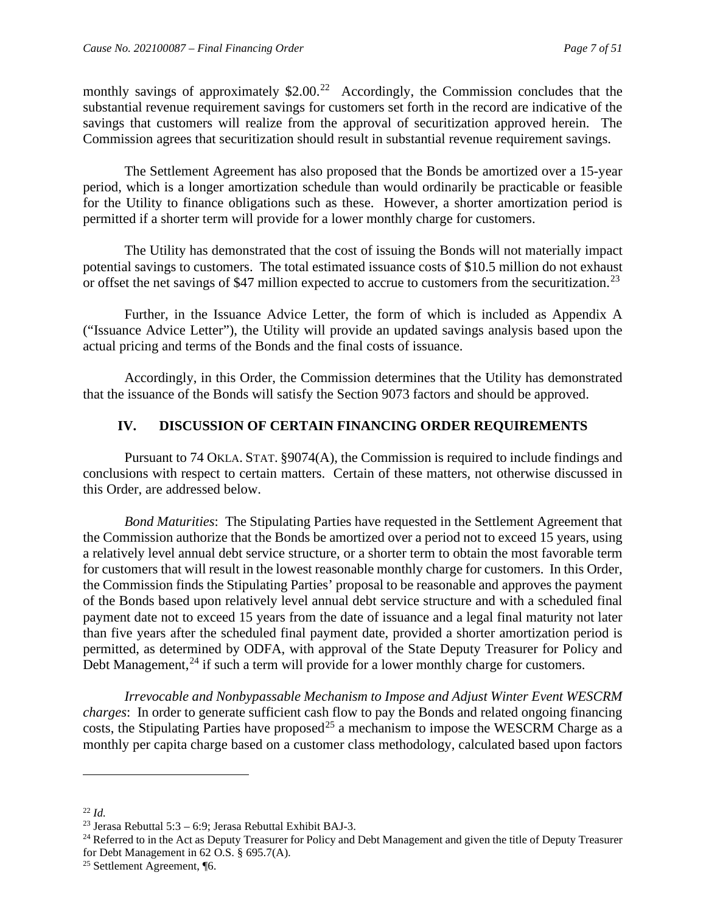monthly savings of approximately \$2.00.<sup>[22](#page-8-1)</sup> Accordingly, the Commission concludes that the substantial revenue requirement savings for customers set forth in the record are indicative of the savings that customers will realize from the approval of securitization approved herein. The Commission agrees that securitization should result in substantial revenue requirement savings.

The Settlement Agreement has also proposed that the Bonds be amortized over a 15-year period, which is a longer amortization schedule than would ordinarily be practicable or feasible for the Utility to finance obligations such as these. However, a shorter amortization period is permitted if a shorter term will provide for a lower monthly charge for customers.

The Utility has demonstrated that the cost of issuing the Bonds will not materially impact potential savings to customers. The total estimated issuance costs of \$10.5 million do not exhaust or offset the net savings of \$47 million expected to accrue to customers from the securitization.<sup>23</sup>

Further, in the Issuance Advice Letter, the form of which is included as Appendix A ("Issuance Advice Letter"), the Utility will provide an updated savings analysis based upon the actual pricing and terms of the Bonds and the final costs of issuance.

Accordingly, in this Order, the Commission determines that the Utility has demonstrated that the issuance of the Bonds will satisfy the Section 9073 factors and should be approved.

## **IV. DISCUSSION OF CERTAIN FINANCING ORDER REQUIREMENTS**

<span id="page-8-0"></span>Pursuant to 74 OKLA. STAT. §9074(A), the Commission is required to include findings and conclusions with respect to certain matters. Certain of these matters, not otherwise discussed in this Order, are addressed below.

*Bond Maturities*: The Stipulating Parties have requested in the Settlement Agreement that the Commission authorize that the Bonds be amortized over a period not to exceed 15 years, using a relatively level annual debt service structure, or a shorter term to obtain the most favorable term for customers that will result in the lowest reasonable monthly charge for customers. In this Order, the Commission finds the Stipulating Parties' proposal to be reasonable and approves the payment of the Bonds based upon relatively level annual debt service structure and with a scheduled final payment date not to exceed 15 years from the date of issuance and a legal final maturity not later than five years after the scheduled final payment date, provided a shorter amortization period is permitted, as determined by ODFA, with approval of the State Deputy Treasurer for Policy and Debt Management,<sup>[24](#page-8-3)</sup> if such a term will provide for a lower monthly charge for customers.

*Irrevocable and Nonbypassable Mechanism to Impose and Adjust Winter Event WESCRM charges*: In order to generate sufficient cash flow to pay the Bonds and related ongoing financing costs, the Stipulating Parties have proposed<sup>[25](#page-8-4)</sup> a mechanism to impose the WESCRM Charge as a monthly per capita charge based on a customer class methodology, calculated based upon factors

<span id="page-8-1"></span> $^{22}$  *Id.* 

<span id="page-8-2"></span><sup>&</sup>lt;sup>23</sup> Jerasa Rebuttal 5:3 – 6:9; Jerasa Rebuttal Exhibit BAJ-3.

<span id="page-8-3"></span><sup>&</sup>lt;sup>24</sup> Referred to in the Act as Deputy Treasurer for Policy and Debt Management and given the title of Deputy Treasurer for Debt Management in 62 O.S. § 695.7(A).

<span id="page-8-4"></span><sup>25</sup> Settlement Agreement, ¶6.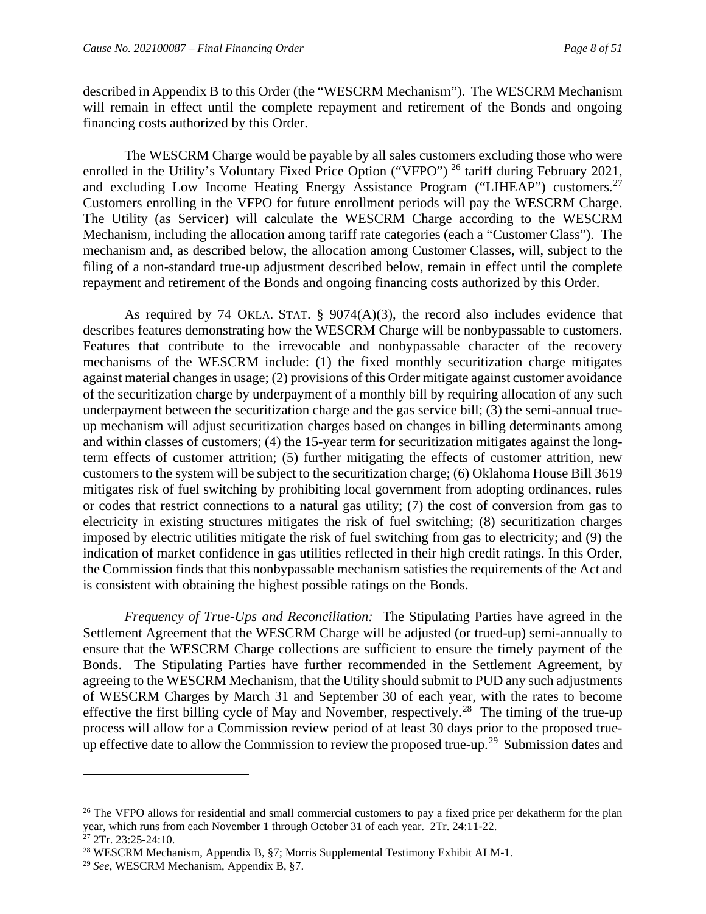described in Appendix B to this Order (the "WESCRM Mechanism"). The WESCRM Mechanism will remain in effect until the complete repayment and retirement of the Bonds and ongoing financing costs authorized by this Order.

The WESCRM Charge would be payable by all sales customers excluding those who were enrolled in the Utility's Voluntary Fixed Price Option ("VFPO")<sup>[26](#page-9-0)</sup> tariff during February 2021, and excluding Low Income Heating Energy Assistance Program ("LIHEAP") customers.<sup>[27](#page-9-1)</sup> Customers enrolling in the VFPO for future enrollment periods will pay the WESCRM Charge. The Utility (as Servicer) will calculate the WESCRM Charge according to the WESCRM Mechanism, including the allocation among tariff rate categories (each a "Customer Class"). The mechanism and, as described below, the allocation among Customer Classes, will, subject to the filing of a non-standard true-up adjustment described below, remain in effect until the complete repayment and retirement of the Bonds and ongoing financing costs authorized by this Order.

As required by 74 OKLA. STAT. § 9074(A)(3), the record also includes evidence that describes features demonstrating how the WESCRM Charge will be nonbypassable to customers. Features that contribute to the irrevocable and nonbypassable character of the recovery mechanisms of the WESCRM include: (1) the fixed monthly securitization charge mitigates against material changes in usage; (2) provisions of this Order mitigate against customer avoidance of the securitization charge by underpayment of a monthly bill by requiring allocation of any such underpayment between the securitization charge and the gas service bill; (3) the semi-annual trueup mechanism will adjust securitization charges based on changes in billing determinants among and within classes of customers; (4) the 15-year term for securitization mitigates against the longterm effects of customer attrition; (5) further mitigating the effects of customer attrition, new customers to the system will be subject to the securitization charge; (6) Oklahoma House Bill 3619 mitigates risk of fuel switching by prohibiting local government from adopting ordinances, rules or codes that restrict connections to a natural gas utility; (7) the cost of conversion from gas to electricity in existing structures mitigates the risk of fuel switching; (8) securitization charges imposed by electric utilities mitigate the risk of fuel switching from gas to electricity; and (9) the indication of market confidence in gas utilities reflected in their high credit ratings. In this Order, the Commission finds that this nonbypassable mechanism satisfies the requirements of the Act and is consistent with obtaining the highest possible ratings on the Bonds.

*Frequency of True-Ups and Reconciliation:* The Stipulating Parties have agreed in the Settlement Agreement that the WESCRM Charge will be adjusted (or trued-up) semi-annually to ensure that the WESCRM Charge collections are sufficient to ensure the timely payment of the Bonds. The Stipulating Parties have further recommended in the Settlement Agreement, by agreeing to the WESCRM Mechanism, that the Utility should submit to PUD any such adjustments of WESCRM Charges by March 31 and September 30 of each year, with the rates to become effective the first billing cycle of May and November, respectively.<sup>[28](#page-9-2)</sup> The timing of the true-up process will allow for a Commission review period of at least 30 days prior to the proposed true-up effective date to allow the Commission to review the proposed true-up.<sup>[29](#page-9-3)</sup> Submission dates and

<span id="page-9-0"></span><sup>&</sup>lt;sup>26</sup> The VFPO allows for residential and small commercial customers to pay a fixed price per dekatherm for the plan year, which runs from each November 1 through October 31 of each year. 2Tr. 24:11-22. <sup>27</sup> 2Tr. 23:25-24:10.

<span id="page-9-2"></span><span id="page-9-1"></span><sup>28</sup> WESCRM Mechanism, Appendix B, §7; Morris Supplemental Testimony Exhibit ALM-1.

<span id="page-9-3"></span><sup>29</sup> *See*, WESCRM Mechanism, Appendix B, §7.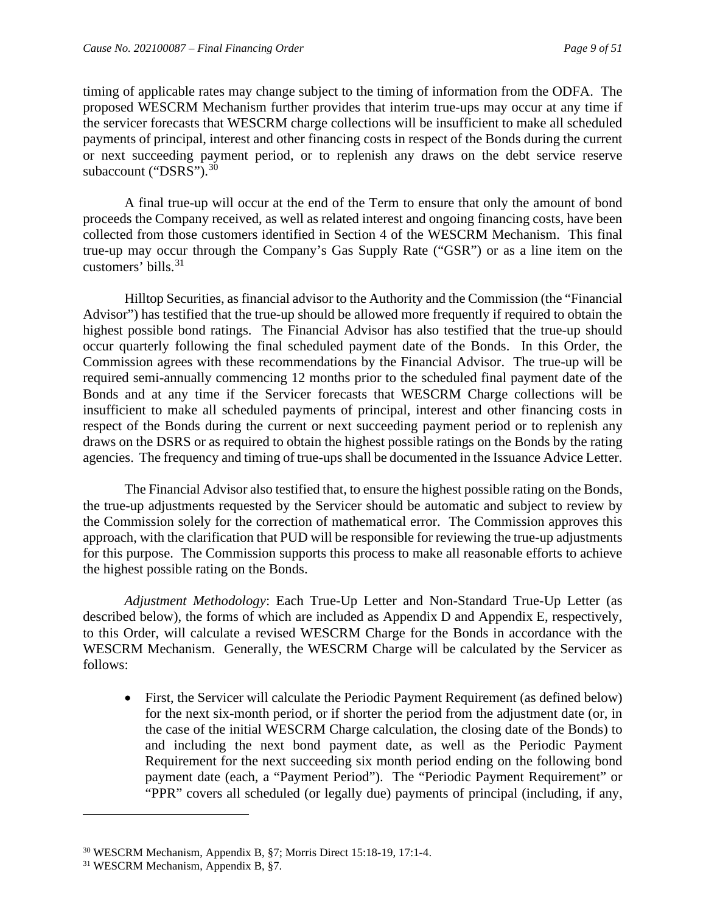timing of applicable rates may change subject to the timing of information from the ODFA. The proposed WESCRM Mechanism further provides that interim true-ups may occur at any time if the servicer forecasts that WESCRM charge collections will be insufficient to make all scheduled payments of principal, interest and other financing costs in respect of the Bonds during the current or next succeeding payment period, or to replenish any draws on the debt service reserve subaccount ("DSRS").<sup>[30](#page-10-0)</sup>

A final true-up will occur at the end of the Term to ensure that only the amount of bond proceeds the Company received, as well as related interest and ongoing financing costs, have been collected from those customers identified in Section 4 of the WESCRM Mechanism. This final true-up may occur through the Company's Gas Supply Rate ("GSR") or as a line item on the customers' bills.  $31$ 

Hilltop Securities, as financial advisor to the Authority and the Commission (the "Financial Advisor") has testified that the true-up should be allowed more frequently if required to obtain the highest possible bond ratings. The Financial Advisor has also testified that the true-up should occur quarterly following the final scheduled payment date of the Bonds. In this Order, the Commission agrees with these recommendations by the Financial Advisor. The true-up will be required semi-annually commencing 12 months prior to the scheduled final payment date of the Bonds and at any time if the Servicer forecasts that WESCRM Charge collections will be insufficient to make all scheduled payments of principal, interest and other financing costs in respect of the Bonds during the current or next succeeding payment period or to replenish any draws on the DSRS or as required to obtain the highest possible ratings on the Bonds by the rating agencies. The frequency and timing of true-ups shall be documented in the Issuance Advice Letter.

The Financial Advisor also testified that, to ensure the highest possible rating on the Bonds, the true-up adjustments requested by the Servicer should be automatic and subject to review by the Commission solely for the correction of mathematical error. The Commission approves this approach, with the clarification that PUD will be responsible for reviewing the true-up adjustments for this purpose. The Commission supports this process to make all reasonable efforts to achieve the highest possible rating on the Bonds.

*Adjustment Methodology*: Each True-Up Letter and Non-Standard True-Up Letter (as described below), the forms of which are included as Appendix D and Appendix E, respectively, to this Order, will calculate a revised WESCRM Charge for the Bonds in accordance with the WESCRM Mechanism. Generally, the WESCRM Charge will be calculated by the Servicer as follows:

• First, the Servicer will calculate the Periodic Payment Requirement (as defined below) for the next six-month period, or if shorter the period from the adjustment date (or, in the case of the initial WESCRM Charge calculation, the closing date of the Bonds) to and including the next bond payment date, as well as the Periodic Payment Requirement for the next succeeding six month period ending on the following bond payment date (each, a "Payment Period"). The "Periodic Payment Requirement" or "PPR" covers all scheduled (or legally due) payments of principal (including, if any,

<span id="page-10-0"></span><sup>30</sup> WESCRM Mechanism, Appendix B, §7; Morris Direct 15:18-19, 17:1-4.

<span id="page-10-1"></span><sup>&</sup>lt;sup>31</sup> WESCRM Mechanism, Appendix B, §7.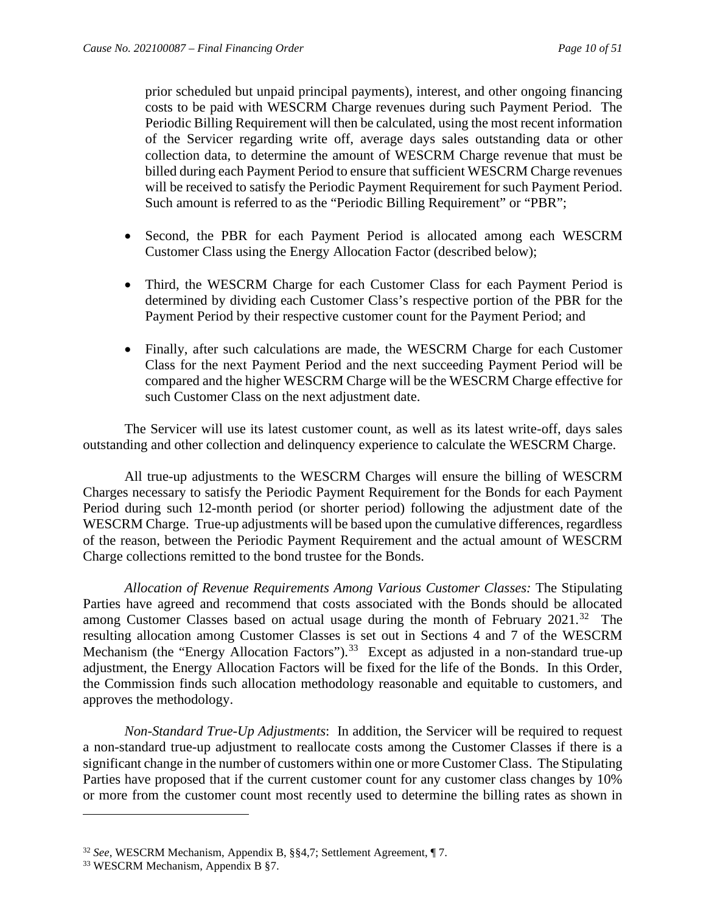prior scheduled but unpaid principal payments), interest, and other ongoing financing costs to be paid with WESCRM Charge revenues during such Payment Period. The Periodic Billing Requirement will then be calculated, using the most recent information of the Servicer regarding write off, average days sales outstanding data or other collection data, to determine the amount of WESCRM Charge revenue that must be billed during each Payment Period to ensure that sufficient WESCRM Charge revenues will be received to satisfy the Periodic Payment Requirement for such Payment Period. Such amount is referred to as the "Periodic Billing Requirement" or "PBR";

- Second, the PBR for each Payment Period is allocated among each WESCRM Customer Class using the Energy Allocation Factor (described below);
- Third, the WESCRM Charge for each Customer Class for each Payment Period is determined by dividing each Customer Class's respective portion of the PBR for the Payment Period by their respective customer count for the Payment Period; and
- Finally, after such calculations are made, the WESCRM Charge for each Customer Class for the next Payment Period and the next succeeding Payment Period will be compared and the higher WESCRM Charge will be the WESCRM Charge effective for such Customer Class on the next adjustment date.

The Servicer will use its latest customer count, as well as its latest write-off, days sales outstanding and other collection and delinquency experience to calculate the WESCRM Charge.

All true-up adjustments to the WESCRM Charges will ensure the billing of WESCRM Charges necessary to satisfy the Periodic Payment Requirement for the Bonds for each Payment Period during such 12-month period (or shorter period) following the adjustment date of the WESCRM Charge. True-up adjustments will be based upon the cumulative differences, regardless of the reason, between the Periodic Payment Requirement and the actual amount of WESCRM Charge collections remitted to the bond trustee for the Bonds.

*Allocation of Revenue Requirements Among Various Customer Classes:* The Stipulating Parties have agreed and recommend that costs associated with the Bonds should be allocated among Customer Classes based on actual usage during the month of February 2021.<sup>32</sup> The resulting allocation among Customer Classes is set out in Sections 4 and 7 of the WESCRM Mechanism (the "Energy Allocation Factors").<sup>33</sup> Except as adjusted in a non-standard true-up adjustment, the Energy Allocation Factors will be fixed for the life of the Bonds. In this Order, the Commission finds such allocation methodology reasonable and equitable to customers, and approves the methodology.

*Non-Standard True-Up Adjustments*: In addition, the Servicer will be required to request a non-standard true-up adjustment to reallocate costs among the Customer Classes if there is a significant change in the number of customers within one or more Customer Class. The Stipulating Parties have proposed that if the current customer count for any customer class changes by 10% or more from the customer count most recently used to determine the billing rates as shown in

<span id="page-11-0"></span><sup>32</sup> *See*, WESCRM Mechanism, Appendix B, §§4,7; Settlement Agreement, ¶ 7.

<span id="page-11-1"></span><sup>33</sup> WESCRM Mechanism, Appendix B §7.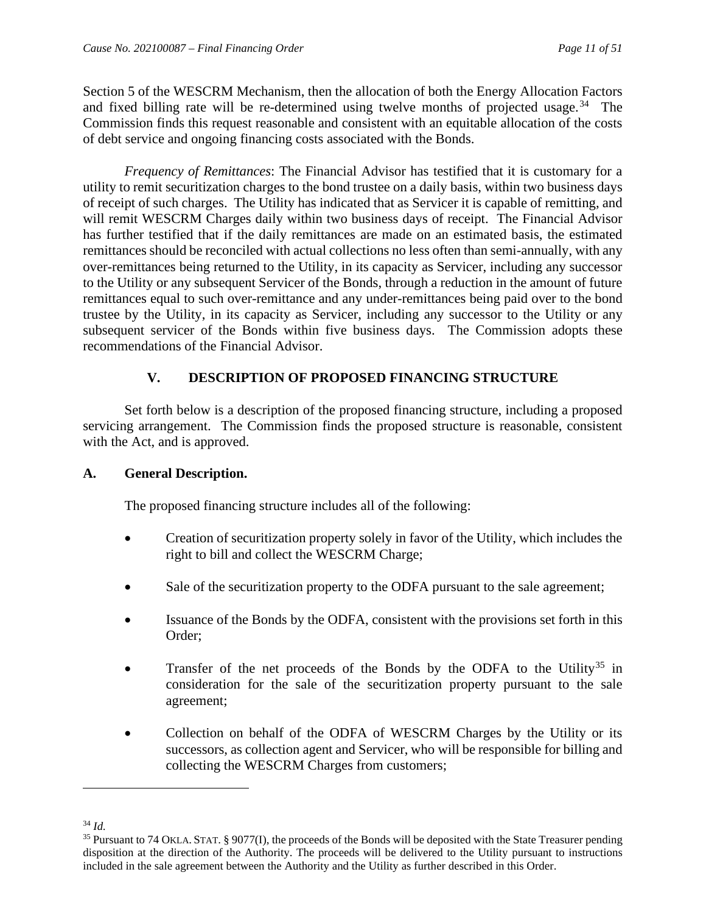Section 5 of the WESCRM Mechanism, then the allocation of both the Energy Allocation Factors and fixed billing rate will be re-determined using twelve months of projected usage.<sup>34</sup> The Commission finds this request reasonable and consistent with an equitable allocation of the costs of debt service and ongoing financing costs associated with the Bonds.

*Frequency of Remittances*: The Financial Advisor has testified that it is customary for a utility to remit securitization charges to the bond trustee on a daily basis, within two business days of receipt of such charges. The Utility has indicated that as Servicer it is capable of remitting, and will remit WESCRM Charges daily within two business days of receipt. The Financial Advisor has further testified that if the daily remittances are made on an estimated basis, the estimated remittances should be reconciled with actual collections no less often than semi-annually, with any over-remittances being returned to the Utility, in its capacity as Servicer, including any successor to the Utility or any subsequent Servicer of the Bonds, through a reduction in the amount of future remittances equal to such over-remittance and any under-remittances being paid over to the bond trustee by the Utility, in its capacity as Servicer, including any successor to the Utility or any subsequent servicer of the Bonds within five business days. The Commission adopts these recommendations of the Financial Advisor.

## **V. DESCRIPTION OF PROPOSED FINANCING STRUCTURE**

<span id="page-12-0"></span>Set forth below is a description of the proposed financing structure, including a proposed servicing arrangement. The Commission finds the proposed structure is reasonable, consistent with the Act, and is approved.

#### <span id="page-12-1"></span>**A. General Description.**

The proposed financing structure includes all of the following:

- Creation of securitization property solely in favor of the Utility, which includes the right to bill and collect the WESCRM Charge;
- Sale of the securitization property to the ODFA pursuant to the sale agreement;
- Issuance of the Bonds by the ODFA, consistent with the provisions set forth in this Order;
- Transfer of the net proceeds of the Bonds by the ODFA to the Utility<sup>[35](#page-12-3)</sup> in consideration for the sale of the securitization property pursuant to the sale agreement;
- Collection on behalf of the ODFA of WESCRM Charges by the Utility or its successors, as collection agent and Servicer, who will be responsible for billing and collecting the WESCRM Charges from customers;

<span id="page-12-2"></span><sup>34</sup> *Id.* 

<span id="page-12-3"></span><sup>35</sup> Pursuant to 74 OKLA. STAT. § 9077(I), the proceeds of the Bonds will be deposited with the State Treasurer pending disposition at the direction of the Authority. The proceeds will be delivered to the Utility pursuant to instructions included in the sale agreement between the Authority and the Utility as further described in this Order.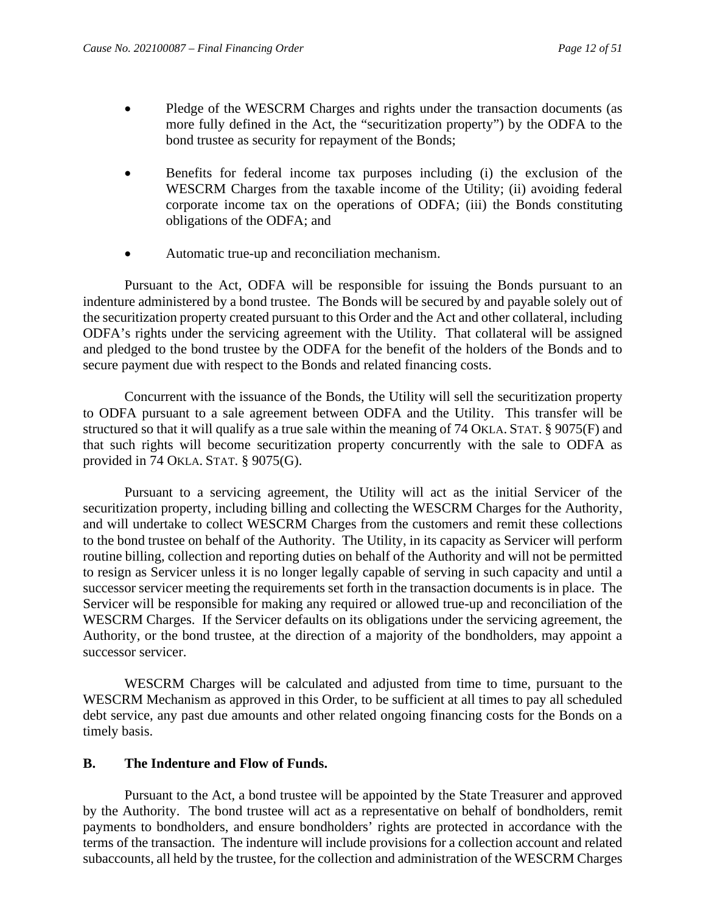- Pledge of the WESCRM Charges and rights under the transaction documents (as more fully defined in the Act, the "securitization property") by the ODFA to the bond trustee as security for repayment of the Bonds;
- Benefits for federal income tax purposes including (i) the exclusion of the WESCRM Charges from the taxable income of the Utility; (ii) avoiding federal corporate income tax on the operations of ODFA; (iii) the Bonds constituting obligations of the ODFA; and
- Automatic true-up and reconciliation mechanism.

Pursuant to the Act, ODFA will be responsible for issuing the Bonds pursuant to an indenture administered by a bond trustee. The Bonds will be secured by and payable solely out of the securitization property created pursuant to this Order and the Act and other collateral, including ODFA's rights under the servicing agreement with the Utility. That collateral will be assigned and pledged to the bond trustee by the ODFA for the benefit of the holders of the Bonds and to secure payment due with respect to the Bonds and related financing costs.

Concurrent with the issuance of the Bonds, the Utility will sell the securitization property to ODFA pursuant to a sale agreement between ODFA and the Utility. This transfer will be structured so that it will qualify as a true sale within the meaning of 74 OKLA. STAT. § 9075(F) and that such rights will become securitization property concurrently with the sale to ODFA as provided in 74 OKLA. STAT. § 9075(G).

Pursuant to a servicing agreement, the Utility will act as the initial Servicer of the securitization property, including billing and collecting the WESCRM Charges for the Authority, and will undertake to collect WESCRM Charges from the customers and remit these collections to the bond trustee on behalf of the Authority. The Utility, in its capacity as Servicer will perform routine billing, collection and reporting duties on behalf of the Authority and will not be permitted to resign as Servicer unless it is no longer legally capable of serving in such capacity and until a successor servicer meeting the requirements set forth in the transaction documents is in place. The Servicer will be responsible for making any required or allowed true-up and reconciliation of the WESCRM Charges. If the Servicer defaults on its obligations under the servicing agreement, the Authority, or the bond trustee, at the direction of a majority of the bondholders, may appoint a successor servicer.

WESCRM Charges will be calculated and adjusted from time to time, pursuant to the WESCRM Mechanism as approved in this Order, to be sufficient at all times to pay all scheduled debt service, any past due amounts and other related ongoing financing costs for the Bonds on a timely basis.

## <span id="page-13-0"></span>**B. The Indenture and Flow of Funds.**

Pursuant to the Act, a bond trustee will be appointed by the State Treasurer and approved by the Authority. The bond trustee will act as a representative on behalf of bondholders, remit payments to bondholders, and ensure bondholders' rights are protected in accordance with the terms of the transaction. The indenture will include provisions for a collection account and related subaccounts, all held by the trustee, for the collection and administration of the WESCRM Charges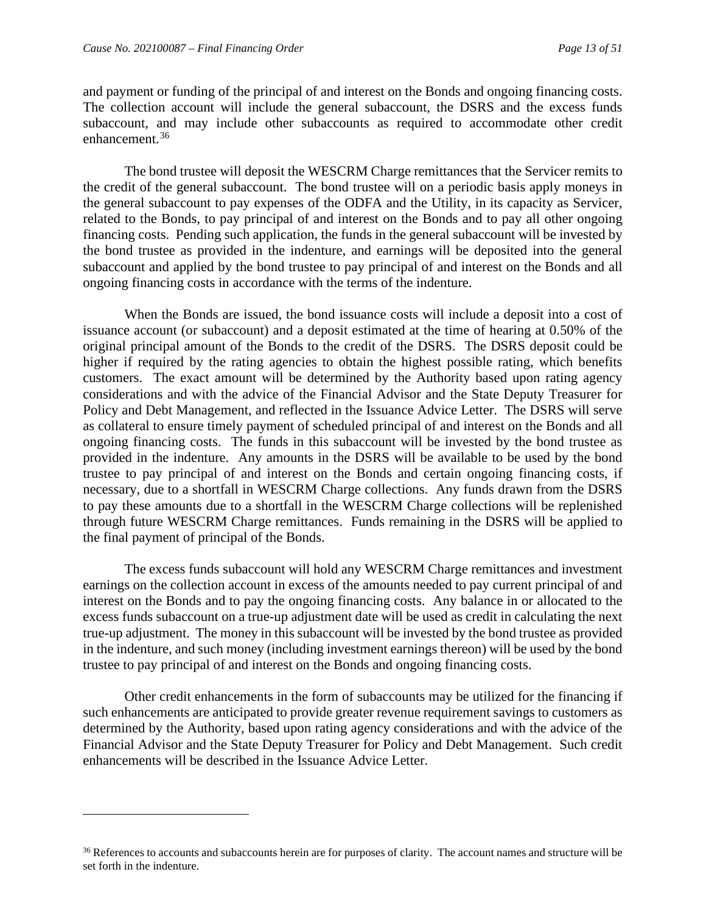and payment or funding of the principal of and interest on the Bonds and ongoing financing costs. The collection account will include the general subaccount, the DSRS and the excess funds subaccount, and may include other subaccounts as required to accommodate other credit enhancement.[36](#page-14-0)

The bond trustee will deposit the WESCRM Charge remittances that the Servicer remits to the credit of the general subaccount. The bond trustee will on a periodic basis apply moneys in the general subaccount to pay expenses of the ODFA and the Utility, in its capacity as Servicer, related to the Bonds, to pay principal of and interest on the Bonds and to pay all other ongoing financing costs. Pending such application, the funds in the general subaccount will be invested by the bond trustee as provided in the indenture, and earnings will be deposited into the general subaccount and applied by the bond trustee to pay principal of and interest on the Bonds and all ongoing financing costs in accordance with the terms of the indenture.

When the Bonds are issued, the bond issuance costs will include a deposit into a cost of issuance account (or subaccount) and a deposit estimated at the time of hearing at 0.50% of the original principal amount of the Bonds to the credit of the DSRS. The DSRS deposit could be higher if required by the rating agencies to obtain the highest possible rating, which benefits customers. The exact amount will be determined by the Authority based upon rating agency considerations and with the advice of the Financial Advisor and the State Deputy Treasurer for Policy and Debt Management, and reflected in the Issuance Advice Letter. The DSRS will serve as collateral to ensure timely payment of scheduled principal of and interest on the Bonds and all ongoing financing costs. The funds in this subaccount will be invested by the bond trustee as provided in the indenture. Any amounts in the DSRS will be available to be used by the bond trustee to pay principal of and interest on the Bonds and certain ongoing financing costs, if necessary, due to a shortfall in WESCRM Charge collections. Any funds drawn from the DSRS to pay these amounts due to a shortfall in the WESCRM Charge collections will be replenished through future WESCRM Charge remittances. Funds remaining in the DSRS will be applied to the final payment of principal of the Bonds.

The excess funds subaccount will hold any WESCRM Charge remittances and investment earnings on the collection account in excess of the amounts needed to pay current principal of and interest on the Bonds and to pay the ongoing financing costs. Any balance in or allocated to the excess funds subaccount on a true-up adjustment date will be used as credit in calculating the next true-up adjustment. The money in this subaccount will be invested by the bond trustee as provided in the indenture, and such money (including investment earnings thereon) will be used by the bond trustee to pay principal of and interest on the Bonds and ongoing financing costs.

Other credit enhancements in the form of subaccounts may be utilized for the financing if such enhancements are anticipated to provide greater revenue requirement savings to customers as determined by the Authority, based upon rating agency considerations and with the advice of the Financial Advisor and the State Deputy Treasurer for Policy and Debt Management. Such credit enhancements will be described in the Issuance Advice Letter.

<span id="page-14-0"></span><sup>&</sup>lt;sup>36</sup> References to accounts and subaccounts herein are for purposes of clarity. The account names and structure will be set forth in the indenture.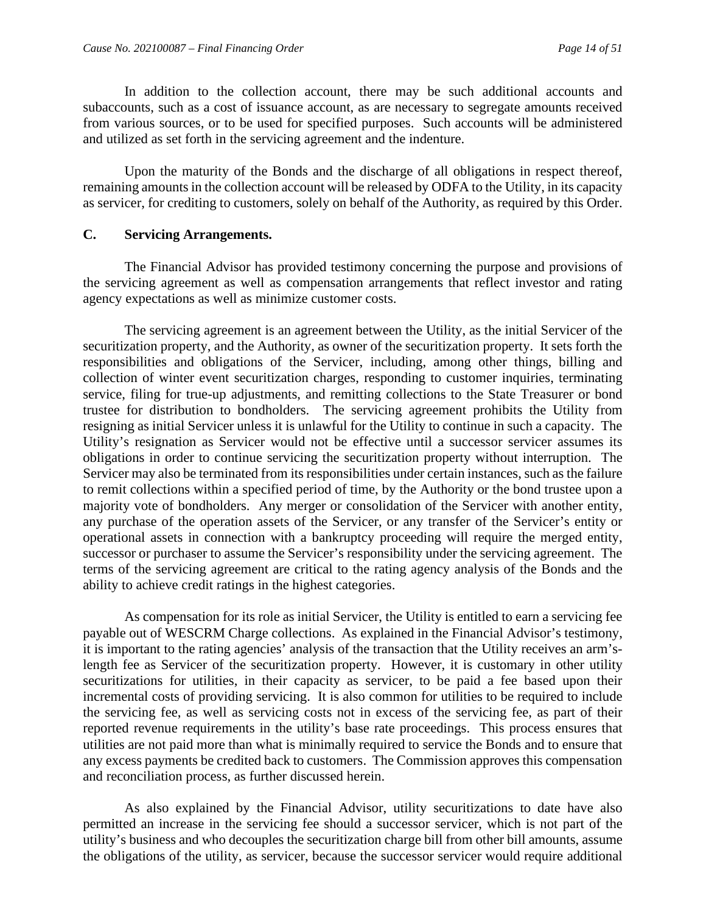In addition to the collection account, there may be such additional accounts and subaccounts, such as a cost of issuance account, as are necessary to segregate amounts received from various sources, or to be used for specified purposes. Such accounts will be administered and utilized as set forth in the servicing agreement and the indenture.

Upon the maturity of the Bonds and the discharge of all obligations in respect thereof, remaining amounts in the collection account will be released by ODFA to the Utility, in its capacity as servicer, for crediting to customers, solely on behalf of the Authority, as required by this Order.

#### <span id="page-15-0"></span>**C. Servicing Arrangements.**

The Financial Advisor has provided testimony concerning the purpose and provisions of the servicing agreement as well as compensation arrangements that reflect investor and rating agency expectations as well as minimize customer costs.

The servicing agreement is an agreement between the Utility, as the initial Servicer of the securitization property, and the Authority, as owner of the securitization property. It sets forth the responsibilities and obligations of the Servicer, including, among other things, billing and collection of winter event securitization charges, responding to customer inquiries, terminating service, filing for true-up adjustments, and remitting collections to the State Treasurer or bond trustee for distribution to bondholders. The servicing agreement prohibits the Utility from resigning as initial Servicer unless it is unlawful for the Utility to continue in such a capacity. The Utility's resignation as Servicer would not be effective until a successor servicer assumes its obligations in order to continue servicing the securitization property without interruption. The Servicer may also be terminated from its responsibilities under certain instances, such as the failure to remit collections within a specified period of time, by the Authority or the bond trustee upon a majority vote of bondholders. Any merger or consolidation of the Servicer with another entity, any purchase of the operation assets of the Servicer, or any transfer of the Servicer's entity or operational assets in connection with a bankruptcy proceeding will require the merged entity, successor or purchaser to assume the Servicer's responsibility under the servicing agreement. The terms of the servicing agreement are critical to the rating agency analysis of the Bonds and the ability to achieve credit ratings in the highest categories.

As compensation for its role as initial Servicer, the Utility is entitled to earn a servicing fee payable out of WESCRM Charge collections. As explained in the Financial Advisor's testimony, it is important to the rating agencies' analysis of the transaction that the Utility receives an arm'slength fee as Servicer of the securitization property. However, it is customary in other utility securitizations for utilities, in their capacity as servicer, to be paid a fee based upon their incremental costs of providing servicing. It is also common for utilities to be required to include the servicing fee, as well as servicing costs not in excess of the servicing fee, as part of their reported revenue requirements in the utility's base rate proceedings. This process ensures that utilities are not paid more than what is minimally required to service the Bonds and to ensure that any excess payments be credited back to customers. The Commission approves this compensation and reconciliation process, as further discussed herein.

As also explained by the Financial Advisor, utility securitizations to date have also permitted an increase in the servicing fee should a successor servicer, which is not part of the utility's business and who decouples the securitization charge bill from other bill amounts, assume the obligations of the utility, as servicer, because the successor servicer would require additional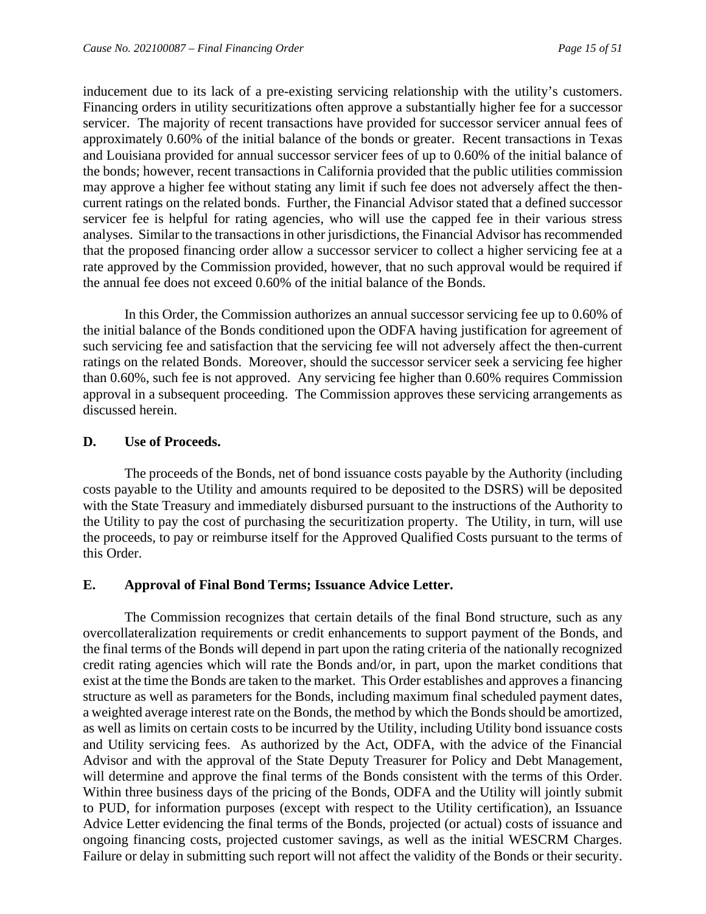inducement due to its lack of a pre-existing servicing relationship with the utility's customers. Financing orders in utility securitizations often approve a substantially higher fee for a successor servicer. The majority of recent transactions have provided for successor servicer annual fees of approximately 0.60% of the initial balance of the bonds or greater. Recent transactions in Texas and Louisiana provided for annual successor servicer fees of up to 0.60% of the initial balance of the bonds; however, recent transactions in California provided that the public utilities commission may approve a higher fee without stating any limit if such fee does not adversely affect the thencurrent ratings on the related bonds. Further, the Financial Advisor stated that a defined successor servicer fee is helpful for rating agencies, who will use the capped fee in their various stress analyses. Similar to the transactions in other jurisdictions, the Financial Advisor has recommended that the proposed financing order allow a successor servicer to collect a higher servicing fee at a rate approved by the Commission provided, however, that no such approval would be required if the annual fee does not exceed 0.60% of the initial balance of the Bonds.

In this Order, the Commission authorizes an annual successor servicing fee up to 0.60% of the initial balance of the Bonds conditioned upon the ODFA having justification for agreement of such servicing fee and satisfaction that the servicing fee will not adversely affect the then-current ratings on the related Bonds. Moreover, should the successor servicer seek a servicing fee higher than 0.60%, such fee is not approved. Any servicing fee higher than 0.60% requires Commission approval in a subsequent proceeding. The Commission approves these servicing arrangements as discussed herein.

#### <span id="page-16-0"></span>**D. Use of Proceeds.**

The proceeds of the Bonds, net of bond issuance costs payable by the Authority (including costs payable to the Utility and amounts required to be deposited to the DSRS) will be deposited with the State Treasury and immediately disbursed pursuant to the instructions of the Authority to the Utility to pay the cost of purchasing the securitization property. The Utility, in turn, will use the proceeds, to pay or reimburse itself for the Approved Qualified Costs pursuant to the terms of this Order.

## <span id="page-16-1"></span>**E. Approval of Final Bond Terms; Issuance Advice Letter.**

The Commission recognizes that certain details of the final Bond structure, such as any overcollateralization requirements or credit enhancements to support payment of the Bonds, and the final terms of the Bonds will depend in part upon the rating criteria of the nationally recognized credit rating agencies which will rate the Bonds and/or, in part, upon the market conditions that exist at the time the Bonds are taken to the market. This Order establishes and approves a financing structure as well as parameters for the Bonds, including maximum final scheduled payment dates, a weighted average interest rate on the Bonds, the method by which the Bonds should be amortized, as well as limits on certain costs to be incurred by the Utility, including Utility bond issuance costs and Utility servicing fees. As authorized by the Act, ODFA, with the advice of the Financial Advisor and with the approval of the State Deputy Treasurer for Policy and Debt Management, will determine and approve the final terms of the Bonds consistent with the terms of this Order. Within three business days of the pricing of the Bonds, ODFA and the Utility will jointly submit to PUD, for information purposes (except with respect to the Utility certification), an Issuance Advice Letter evidencing the final terms of the Bonds, projected (or actual) costs of issuance and ongoing financing costs, projected customer savings, as well as the initial WESCRM Charges. Failure or delay in submitting such report will not affect the validity of the Bonds or their security.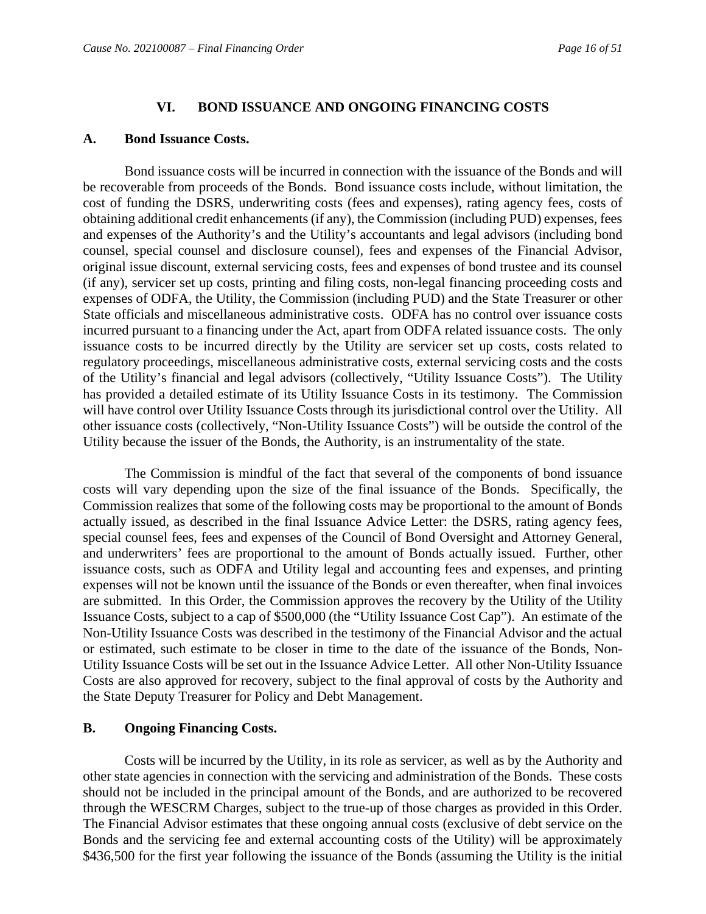#### **VI. BOND ISSUANCE AND ONGOING FINANCING COSTS**

#### <span id="page-17-1"></span><span id="page-17-0"></span>**A. Bond Issuance Costs.**

Bond issuance costs will be incurred in connection with the issuance of the Bonds and will be recoverable from proceeds of the Bonds. Bond issuance costs include, without limitation, the cost of funding the DSRS, underwriting costs (fees and expenses), rating agency fees, costs of obtaining additional credit enhancements (if any), the Commission (including PUD) expenses, fees and expenses of the Authority's and the Utility's accountants and legal advisors (including bond counsel, special counsel and disclosure counsel), fees and expenses of the Financial Advisor, original issue discount, external servicing costs, fees and expenses of bond trustee and its counsel (if any), servicer set up costs, printing and filing costs, non-legal financing proceeding costs and expenses of ODFA, the Utility, the Commission (including PUD) and the State Treasurer or other State officials and miscellaneous administrative costs. ODFA has no control over issuance costs incurred pursuant to a financing under the Act, apart from ODFA related issuance costs. The only issuance costs to be incurred directly by the Utility are servicer set up costs, costs related to regulatory proceedings, miscellaneous administrative costs, external servicing costs and the costs of the Utility's financial and legal advisors (collectively, "Utility Issuance Costs"). The Utility has provided a detailed estimate of its Utility Issuance Costs in its testimony. The Commission will have control over Utility Issuance Costs through its jurisdictional control over the Utility. All other issuance costs (collectively, "Non-Utility Issuance Costs") will be outside the control of the Utility because the issuer of the Bonds, the Authority, is an instrumentality of the state.

The Commission is mindful of the fact that several of the components of bond issuance costs will vary depending upon the size of the final issuance of the Bonds. Specifically, the Commission realizes that some of the following costs may be proportional to the amount of Bonds actually issued, as described in the final Issuance Advice Letter: the DSRS, rating agency fees, special counsel fees, fees and expenses of the Council of Bond Oversight and Attorney General, and underwriters' fees are proportional to the amount of Bonds actually issued. Further, other issuance costs, such as ODFA and Utility legal and accounting fees and expenses, and printing expenses will not be known until the issuance of the Bonds or even thereafter, when final invoices are submitted. In this Order, the Commission approves the recovery by the Utility of the Utility Issuance Costs, subject to a cap of \$500,000 (the "Utility Issuance Cost Cap"). An estimate of the Non-Utility Issuance Costs was described in the testimony of the Financial Advisor and the actual or estimated, such estimate to be closer in time to the date of the issuance of the Bonds, Non-Utility Issuance Costs will be set out in the Issuance Advice Letter. All other Non-Utility Issuance Costs are also approved for recovery, subject to the final approval of costs by the Authority and the State Deputy Treasurer for Policy and Debt Management.

#### <span id="page-17-2"></span>**B. Ongoing Financing Costs.**

Costs will be incurred by the Utility, in its role as servicer, as well as by the Authority and other state agencies in connection with the servicing and administration of the Bonds. These costs should not be included in the principal amount of the Bonds, and are authorized to be recovered through the WESCRM Charges, subject to the true-up of those charges as provided in this Order. The Financial Advisor estimates that these ongoing annual costs (exclusive of debt service on the Bonds and the servicing fee and external accounting costs of the Utility) will be approximately \$436,500 for the first year following the issuance of the Bonds (assuming the Utility is the initial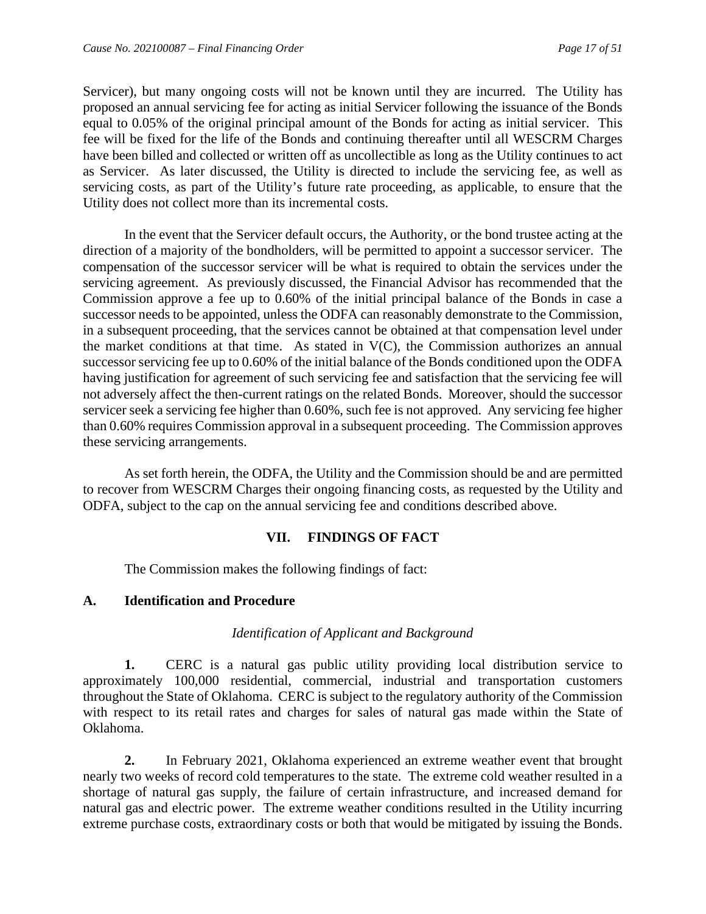Servicer), but many ongoing costs will not be known until they are incurred. The Utility has proposed an annual servicing fee for acting as initial Servicer following the issuance of the Bonds equal to 0.05% of the original principal amount of the Bonds for acting as initial servicer. This fee will be fixed for the life of the Bonds and continuing thereafter until all WESCRM Charges have been billed and collected or written off as uncollectible as long as the Utility continues to act as Servicer. As later discussed, the Utility is directed to include the servicing fee, as well as servicing costs, as part of the Utility's future rate proceeding, as applicable, to ensure that the Utility does not collect more than its incremental costs.

In the event that the Servicer default occurs, the Authority, or the bond trustee acting at the direction of a majority of the bondholders, will be permitted to appoint a successor servicer. The compensation of the successor servicer will be what is required to obtain the services under the servicing agreement. As previously discussed, the Financial Advisor has recommended that the Commission approve a fee up to 0.60% of the initial principal balance of the Bonds in case a successor needs to be appointed, unless the ODFA can reasonably demonstrate to the Commission, in a subsequent proceeding, that the services cannot be obtained at that compensation level under the market conditions at that time. As stated in V(C), the Commission authorizes an annual successor servicing fee up to 0.60% of the initial balance of the Bonds conditioned upon the ODFA having justification for agreement of such servicing fee and satisfaction that the servicing fee will not adversely affect the then-current ratings on the related Bonds. Moreover, should the successor servicer seek a servicing fee higher than 0.60%, such fee is not approved. Any servicing fee higher than 0.60% requires Commission approval in a subsequent proceeding. The Commission approves these servicing arrangements.

As set forth herein, the ODFA, the Utility and the Commission should be and are permitted to recover from WESCRM Charges their ongoing financing costs, as requested by the Utility and ODFA, subject to the cap on the annual servicing fee and conditions described above.

## **VII. FINDINGS OF FACT**

<span id="page-18-0"></span>The Commission makes the following findings of fact:

#### <span id="page-18-1"></span>**A. Identification and Procedure**

#### *Identification of Applicant and Background*

**1.** CERC is a natural gas public utility providing local distribution service to approximately 100,000 residential, commercial, industrial and transportation customers throughout the State of Oklahoma. CERC is subject to the regulatory authority of the Commission with respect to its retail rates and charges for sales of natural gas made within the State of Oklahoma.

**2.** In February 2021, Oklahoma experienced an extreme weather event that brought nearly two weeks of record cold temperatures to the state. The extreme cold weather resulted in a shortage of natural gas supply, the failure of certain infrastructure, and increased demand for natural gas and electric power. The extreme weather conditions resulted in the Utility incurring extreme purchase costs, extraordinary costs or both that would be mitigated by issuing the Bonds.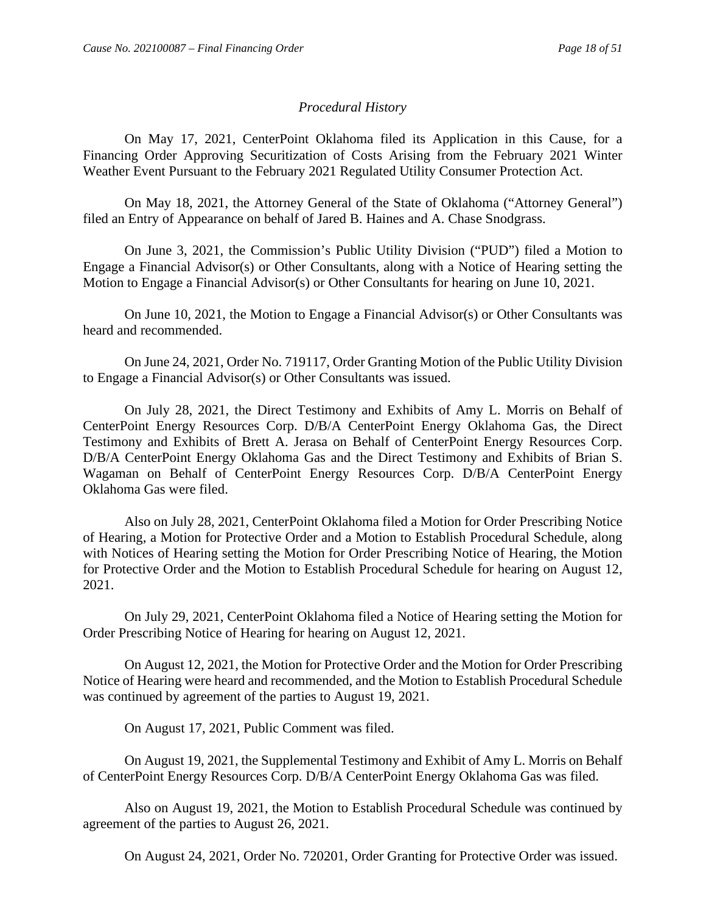#### *Procedural History*

On May 17, 2021, CenterPoint Oklahoma filed its Application in this Cause, for a Financing Order Approving Securitization of Costs Arising from the February 2021 Winter Weather Event Pursuant to the February 2021 Regulated Utility Consumer Protection Act.

On May 18, 2021, the Attorney General of the State of Oklahoma ("Attorney General") filed an Entry of Appearance on behalf of Jared B. Haines and A. Chase Snodgrass.

On June 3, 2021, the Commission's Public Utility Division ("PUD") filed a Motion to Engage a Financial Advisor(s) or Other Consultants, along with a Notice of Hearing setting the Motion to Engage a Financial Advisor(s) or Other Consultants for hearing on June 10, 2021.

On June 10, 2021, the Motion to Engage a Financial Advisor(s) or Other Consultants was heard and recommended.

On June 24, 2021, Order No. 719117, Order Granting Motion of the Public Utility Division to Engage a Financial Advisor(s) or Other Consultants was issued.

On July 28, 2021, the Direct Testimony and Exhibits of Amy L. Morris on Behalf of CenterPoint Energy Resources Corp. D/B/A CenterPoint Energy Oklahoma Gas, the Direct Testimony and Exhibits of Brett A. Jerasa on Behalf of CenterPoint Energy Resources Corp. D/B/A CenterPoint Energy Oklahoma Gas and the Direct Testimony and Exhibits of Brian S. Wagaman on Behalf of CenterPoint Energy Resources Corp. D/B/A CenterPoint Energy Oklahoma Gas were filed.

Also on July 28, 2021, CenterPoint Oklahoma filed a Motion for Order Prescribing Notice of Hearing, a Motion for Protective Order and a Motion to Establish Procedural Schedule, along with Notices of Hearing setting the Motion for Order Prescribing Notice of Hearing, the Motion for Protective Order and the Motion to Establish Procedural Schedule for hearing on August 12, 2021.

On July 29, 2021, CenterPoint Oklahoma filed a Notice of Hearing setting the Motion for Order Prescribing Notice of Hearing for hearing on August 12, 2021.

On August 12, 2021, the Motion for Protective Order and the Motion for Order Prescribing Notice of Hearing were heard and recommended, and the Motion to Establish Procedural Schedule was continued by agreement of the parties to August 19, 2021.

On August 17, 2021, Public Comment was filed.

On August 19, 2021, the Supplemental Testimony and Exhibit of Amy L. Morris on Behalf of CenterPoint Energy Resources Corp. D/B/A CenterPoint Energy Oklahoma Gas was filed.

Also on August 19, 2021, the Motion to Establish Procedural Schedule was continued by agreement of the parties to August 26, 2021.

On August 24, 2021, Order No. 720201, Order Granting for Protective Order was issued.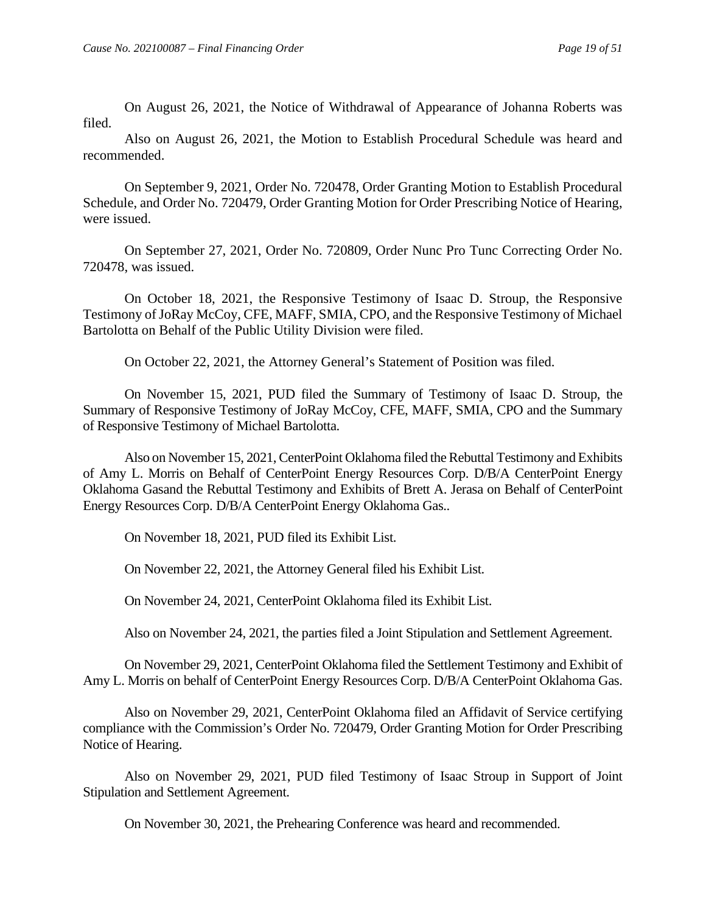On August 26, 2021, the Notice of Withdrawal of Appearance of Johanna Roberts was filed.

Also on August 26, 2021, the Motion to Establish Procedural Schedule was heard and recommended.

On September 9, 2021, Order No. 720478, Order Granting Motion to Establish Procedural Schedule, and Order No. 720479, Order Granting Motion for Order Prescribing Notice of Hearing, were issued.

On September 27, 2021, Order No. 720809, Order Nunc Pro Tunc Correcting Order No. 720478, was issued.

On October 18, 2021, the Responsive Testimony of Isaac D. Stroup, the Responsive Testimony of JoRay McCoy, CFE, MAFF, SMIA, CPO, and the Responsive Testimony of Michael Bartolotta on Behalf of the Public Utility Division were filed.

On October 22, 2021, the Attorney General's Statement of Position was filed.

On November 15, 2021, PUD filed the Summary of Testimony of Isaac D. Stroup, the Summary of Responsive Testimony of JoRay McCoy, CFE, MAFF, SMIA, CPO and the Summary of Responsive Testimony of Michael Bartolotta.

Also on November 15, 2021, CenterPoint Oklahoma filed the Rebuttal Testimony and Exhibits of Amy L. Morris on Behalf of CenterPoint Energy Resources Corp. D/B/A CenterPoint Energy Oklahoma Gasand the Rebuttal Testimony and Exhibits of Brett A. Jerasa on Behalf of CenterPoint Energy Resources Corp. D/B/A CenterPoint Energy Oklahoma Gas..

On November 18, 2021, PUD filed its Exhibit List.

On November 22, 2021, the Attorney General filed his Exhibit List.

On November 24, 2021, CenterPoint Oklahoma filed its Exhibit List.

Also on November 24, 2021, the parties filed a Joint Stipulation and Settlement Agreement.

On November 29, 2021, CenterPoint Oklahoma filed the Settlement Testimony and Exhibit of Amy L. Morris on behalf of CenterPoint Energy Resources Corp. D/B/A CenterPoint Oklahoma Gas.

Also on November 29, 2021, CenterPoint Oklahoma filed an Affidavit of Service certifying compliance with the Commission's Order No. 720479, Order Granting Motion for Order Prescribing Notice of Hearing.

Also on November 29, 2021, PUD filed Testimony of Isaac Stroup in Support of Joint Stipulation and Settlement Agreement.

On November 30, 2021, the Prehearing Conference was heard and recommended.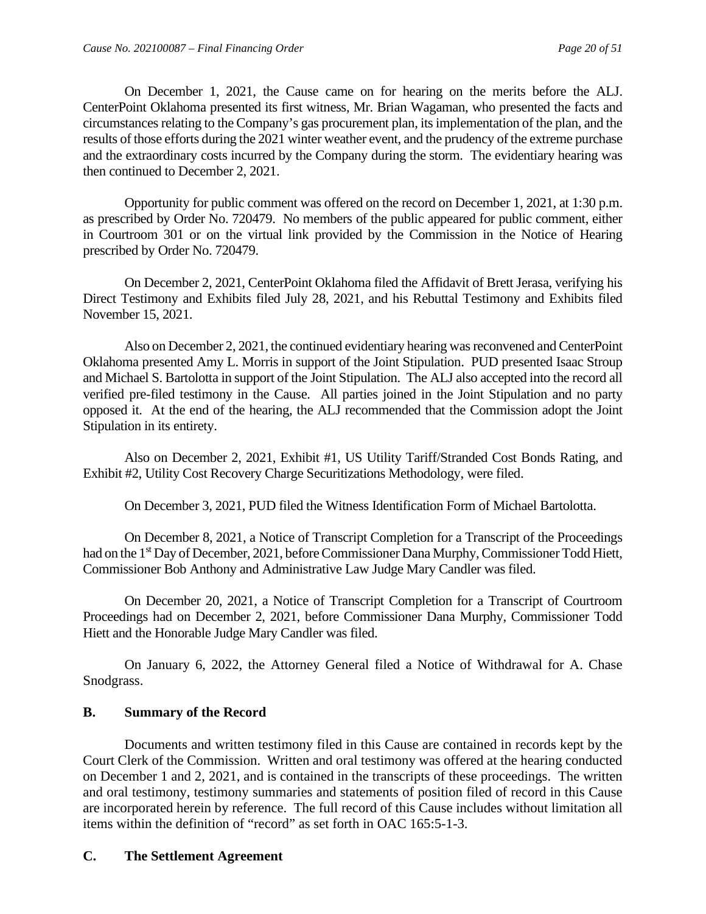On December 1, 2021, the Cause came on for hearing on the merits before the ALJ. CenterPoint Oklahoma presented its first witness, Mr. Brian Wagaman, who presented the facts and circumstances relating to the Company's gas procurement plan, its implementation of the plan, and the results of those efforts during the 2021 winter weather event, and the prudency of the extreme purchase and the extraordinary costs incurred by the Company during the storm. The evidentiary hearing was then continued to December 2, 2021.

Opportunity for public comment was offered on the record on December 1, 2021, at 1:30 p.m. as prescribed by Order No. 720479. No members of the public appeared for public comment, either in Courtroom 301 or on the virtual link provided by the Commission in the Notice of Hearing prescribed by Order No. 720479.

On December 2, 2021, CenterPoint Oklahoma filed the Affidavit of Brett Jerasa, verifying his Direct Testimony and Exhibits filed July 28, 2021, and his Rebuttal Testimony and Exhibits filed November 15, 2021.

Also on December 2, 2021, the continued evidentiary hearing was reconvened and CenterPoint Oklahoma presented Amy L. Morris in support of the Joint Stipulation. PUD presented Isaac Stroup and Michael S. Bartolotta in support of the Joint Stipulation. The ALJ also accepted into the record all verified pre-filed testimony in the Cause. All parties joined in the Joint Stipulation and no party opposed it. At the end of the hearing, the ALJ recommended that the Commission adopt the Joint Stipulation in its entirety.

Also on December 2, 2021, Exhibit #1, US Utility Tariff/Stranded Cost Bonds Rating, and Exhibit #2, Utility Cost Recovery Charge Securitizations Methodology, were filed.

On December 3, 2021, PUD filed the Witness Identification Form of Michael Bartolotta.

On December 8, 2021, a Notice of Transcript Completion for a Transcript of the Proceedings had on the 1<sup>st</sup> Day of December, 2021, before Commissioner Dana Murphy, Commissioner Todd Hiett, Commissioner Bob Anthony and Administrative Law Judge Mary Candler was filed.

On December 20, 2021, a Notice of Transcript Completion for a Transcript of Courtroom Proceedings had on December 2, 2021, before Commissioner Dana Murphy, Commissioner Todd Hiett and the Honorable Judge Mary Candler was filed.

On January 6, 2022, the Attorney General filed a Notice of Withdrawal for A. Chase Snodgrass.

#### <span id="page-21-0"></span>**B. Summary of the Record**

Documents and written testimony filed in this Cause are contained in records kept by the Court Clerk of the Commission. Written and oral testimony was offered at the hearing conducted on December 1 and 2, 2021, and is contained in the transcripts of these proceedings. The written and oral testimony, testimony summaries and statements of position filed of record in this Cause are incorporated herein by reference. The full record of this Cause includes without limitation all items within the definition of "record" as set forth in OAC 165:5-1-3.

#### <span id="page-21-1"></span>**C. The Settlement Agreement**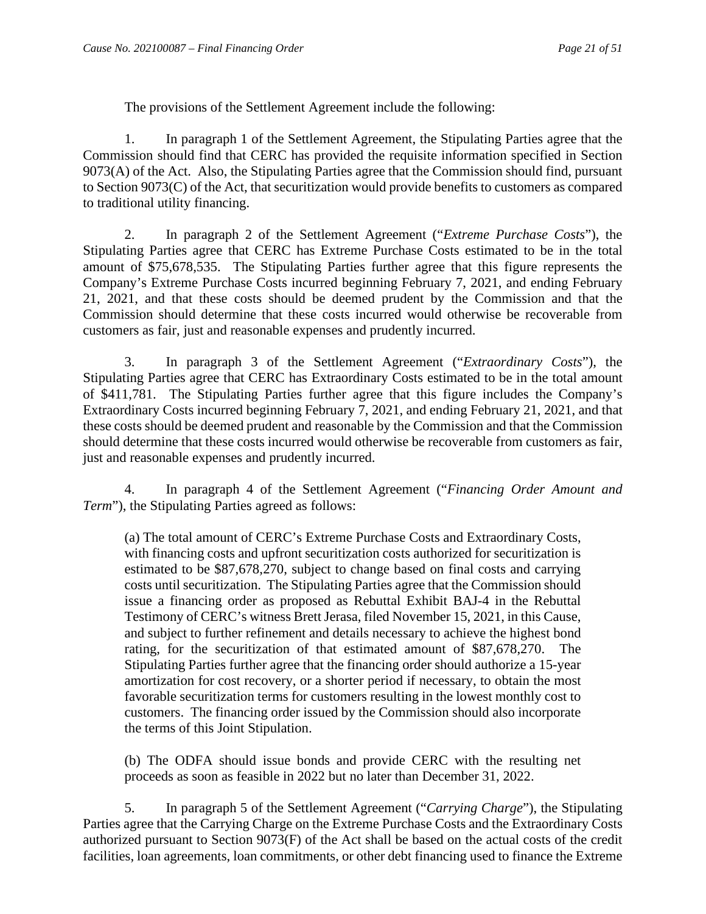The provisions of the Settlement Agreement include the following:

1. In paragraph 1 of the Settlement Agreement, the Stipulating Parties agree that the Commission should find that CERC has provided the requisite information specified in Section 9073(A) of the Act. Also, the Stipulating Parties agree that the Commission should find, pursuant to Section 9073(C) of the Act, that securitization would provide benefits to customers as compared to traditional utility financing.

2. In paragraph 2 of the Settlement Agreement ("*Extreme Purchase Costs*"), the Stipulating Parties agree that CERC has Extreme Purchase Costs estimated to be in the total amount of \$75,678,535. The Stipulating Parties further agree that this figure represents the Company's Extreme Purchase Costs incurred beginning February 7, 2021, and ending February 21, 2021, and that these costs should be deemed prudent by the Commission and that the Commission should determine that these costs incurred would otherwise be recoverable from customers as fair, just and reasonable expenses and prudently incurred.

3. In paragraph 3 of the Settlement Agreement ("*Extraordinary Costs*"), the Stipulating Parties agree that CERC has Extraordinary Costs estimated to be in the total amount of \$411,781. The Stipulating Parties further agree that this figure includes the Company's Extraordinary Costs incurred beginning February 7, 2021, and ending February 21, 2021, and that these costs should be deemed prudent and reasonable by the Commission and that the Commission should determine that these costs incurred would otherwise be recoverable from customers as fair, just and reasonable expenses and prudently incurred.

4. In paragraph 4 of the Settlement Agreement ("*Financing Order Amount and Term*"), the Stipulating Parties agreed as follows:

(a) The total amount of CERC's Extreme Purchase Costs and Extraordinary Costs, with financing costs and upfront securitization costs authorized for securitization is estimated to be \$87,678,270, subject to change based on final costs and carrying costs until securitization. The Stipulating Parties agree that the Commission should issue a financing order as proposed as Rebuttal Exhibit BAJ-4 in the Rebuttal Testimony of CERC's witness Brett Jerasa, filed November 15, 2021, in this Cause, and subject to further refinement and details necessary to achieve the highest bond rating, for the securitization of that estimated amount of \$87,678,270. The Stipulating Parties further agree that the financing order should authorize a 15-year amortization for cost recovery, or a shorter period if necessary, to obtain the most favorable securitization terms for customers resulting in the lowest monthly cost to customers. The financing order issued by the Commission should also incorporate the terms of this Joint Stipulation.

(b) The ODFA should issue bonds and provide CERC with the resulting net proceeds as soon as feasible in 2022 but no later than December 31, 2022.

5. In paragraph 5 of the Settlement Agreement ("*Carrying Charge*"), the Stipulating Parties agree that the Carrying Charge on the Extreme Purchase Costs and the Extraordinary Costs authorized pursuant to Section 9073(F) of the Act shall be based on the actual costs of the credit facilities, loan agreements, loan commitments, or other debt financing used to finance the Extreme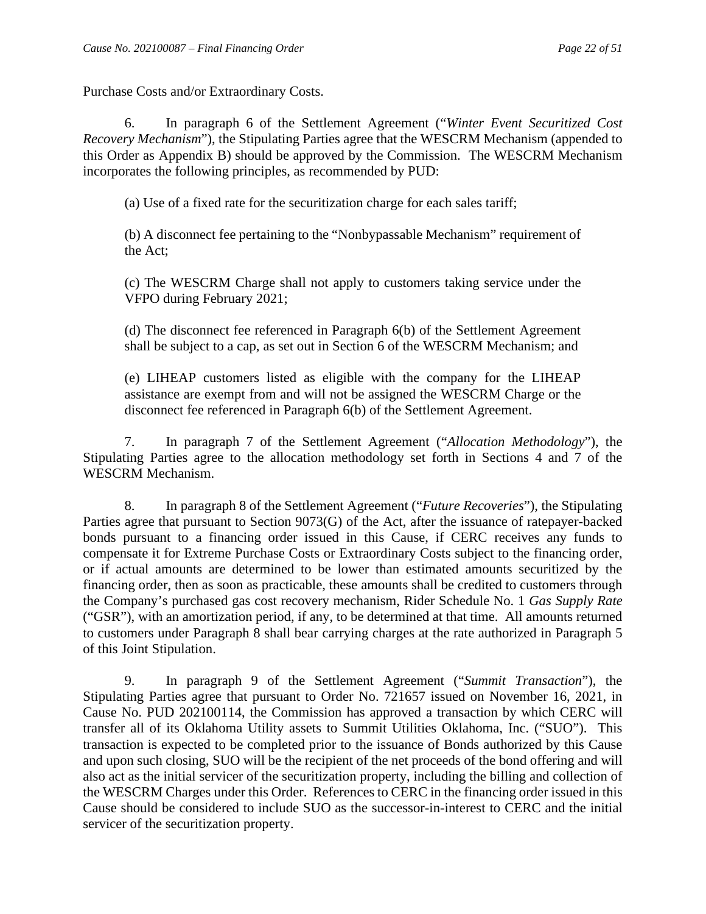Purchase Costs and/or Extraordinary Costs.

6. In paragraph 6 of the Settlement Agreement ("*Winter Event Securitized Cost Recovery Mechanism*"), the Stipulating Parties agree that the WESCRM Mechanism (appended to this Order as Appendix B) should be approved by the Commission. The WESCRM Mechanism incorporates the following principles, as recommended by PUD:

(a) Use of a fixed rate for the securitization charge for each sales tariff;

(b) A disconnect fee pertaining to the "Nonbypassable Mechanism" requirement of the Act;

(c) The WESCRM Charge shall not apply to customers taking service under the VFPO during February 2021;

(d) The disconnect fee referenced in Paragraph 6(b) of the Settlement Agreement shall be subject to a cap, as set out in Section 6 of the WESCRM Mechanism; and

(e) LIHEAP customers listed as eligible with the company for the LIHEAP assistance are exempt from and will not be assigned the WESCRM Charge or the disconnect fee referenced in Paragraph 6(b) of the Settlement Agreement.

7. In paragraph 7 of the Settlement Agreement ("*Allocation Methodology*"), the Stipulating Parties agree to the allocation methodology set forth in Sections 4 and 7 of the WESCRM Mechanism.

8. In paragraph 8 of the Settlement Agreement ("*Future Recoveries*"), the Stipulating Parties agree that pursuant to Section 9073(G) of the Act, after the issuance of ratepayer-backed bonds pursuant to a financing order issued in this Cause, if CERC receives any funds to compensate it for Extreme Purchase Costs or Extraordinary Costs subject to the financing order, or if actual amounts are determined to be lower than estimated amounts securitized by the financing order, then as soon as practicable, these amounts shall be credited to customers through the Company's purchased gas cost recovery mechanism, Rider Schedule No. 1 *Gas Supply Rate* ("GSR"), with an amortization period, if any, to be determined at that time. All amounts returned to customers under Paragraph 8 shall bear carrying charges at the rate authorized in Paragraph 5 of this Joint Stipulation.

9. In paragraph 9 of the Settlement Agreement ("*Summit Transaction*"), the Stipulating Parties agree that pursuant to Order No. 721657 issued on November 16, 2021, in Cause No. PUD 202100114, the Commission has approved a transaction by which CERC will transfer all of its Oklahoma Utility assets to Summit Utilities Oklahoma, Inc. ("SUO"). This transaction is expected to be completed prior to the issuance of Bonds authorized by this Cause and upon such closing, SUO will be the recipient of the net proceeds of the bond offering and will also act as the initial servicer of the securitization property, including the billing and collection of the WESCRM Charges under this Order. References to CERC in the financing order issued in this Cause should be considered to include SUO as the successor-in-interest to CERC and the initial servicer of the securitization property.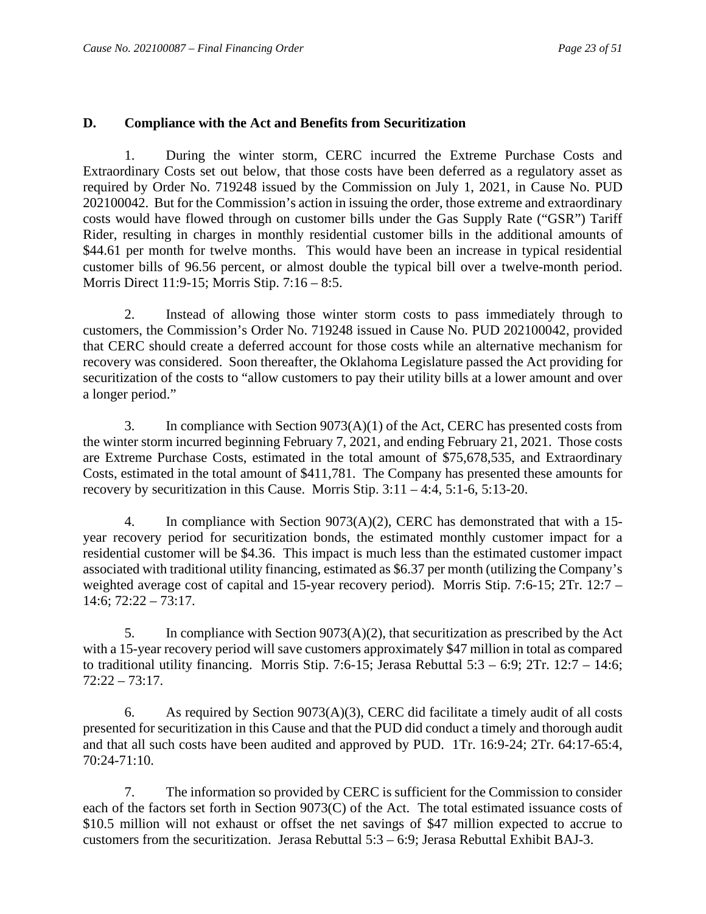#### <span id="page-24-0"></span>**D. Compliance with the Act and Benefits from Securitization**

1. During the winter storm, CERC incurred the Extreme Purchase Costs and Extraordinary Costs set out below, that those costs have been deferred as a regulatory asset as required by Order No. 719248 issued by the Commission on July 1, 2021, in Cause No. PUD 202100042. But for the Commission's action in issuing the order, those extreme and extraordinary costs would have flowed through on customer bills under the Gas Supply Rate ("GSR") Tariff Rider, resulting in charges in monthly residential customer bills in the additional amounts of \$44.61 per month for twelve months. This would have been an increase in typical residential customer bills of 96.56 percent, or almost double the typical bill over a twelve-month period. Morris Direct 11:9-15; Morris Stip. 7:16 – 8:5.

2. Instead of allowing those winter storm costs to pass immediately through to customers, the Commission's Order No. 719248 issued in Cause No. PUD 202100042, provided that CERC should create a deferred account for those costs while an alternative mechanism for recovery was considered. Soon thereafter, the Oklahoma Legislature passed the Act providing for securitization of the costs to "allow customers to pay their utility bills at a lower amount and over a longer period."

3. In compliance with Section 9073(A)(1) of the Act, CERC has presented costs from the winter storm incurred beginning February 7, 2021, and ending February 21, 2021. Those costs are Extreme Purchase Costs, estimated in the total amount of \$75,678,535, and Extraordinary Costs, estimated in the total amount of \$411,781. The Company has presented these amounts for recovery by securitization in this Cause. Morris Stip. 3:11 – 4:4, 5:1-6, 5:13-20.

4. In compliance with Section 9073(A)(2), CERC has demonstrated that with a 15 year recovery period for securitization bonds, the estimated monthly customer impact for a residential customer will be \$4.36. This impact is much less than the estimated customer impact associated with traditional utility financing, estimated as \$6.37 per month (utilizing the Company's weighted average cost of capital and 15-year recovery period). Morris Stip. 7:6-15; 2Tr. 12:7 –  $14:6:72:22 - 73:17.$ 

5. In compliance with Section 9073(A)(2), that securitization as prescribed by the Act with a 15-year recovery period will save customers approximately \$47 million in total as compared to traditional utility financing. Morris Stip. 7:6-15; Jerasa Rebuttal 5:3 – 6:9; 2Tr. 12:7 – 14:6; 72:22 – 73:17.

6. As required by Section 9073(A)(3), CERC did facilitate a timely audit of all costs presented for securitization in this Cause and that the PUD did conduct a timely and thorough audit and that all such costs have been audited and approved by PUD. 1Tr. 16:9-24; 2Tr. 64:17-65:4, 70:24-71:10.

7. The information so provided by CERC is sufficient for the Commission to consider each of the factors set forth in Section 9073(C) of the Act. The total estimated issuance costs of \$10.5 million will not exhaust or offset the net savings of \$47 million expected to accrue to customers from the securitization. Jerasa Rebuttal  $5:3 - 6:9$ ; Jerasa Rebuttal Exhibit BAJ-3.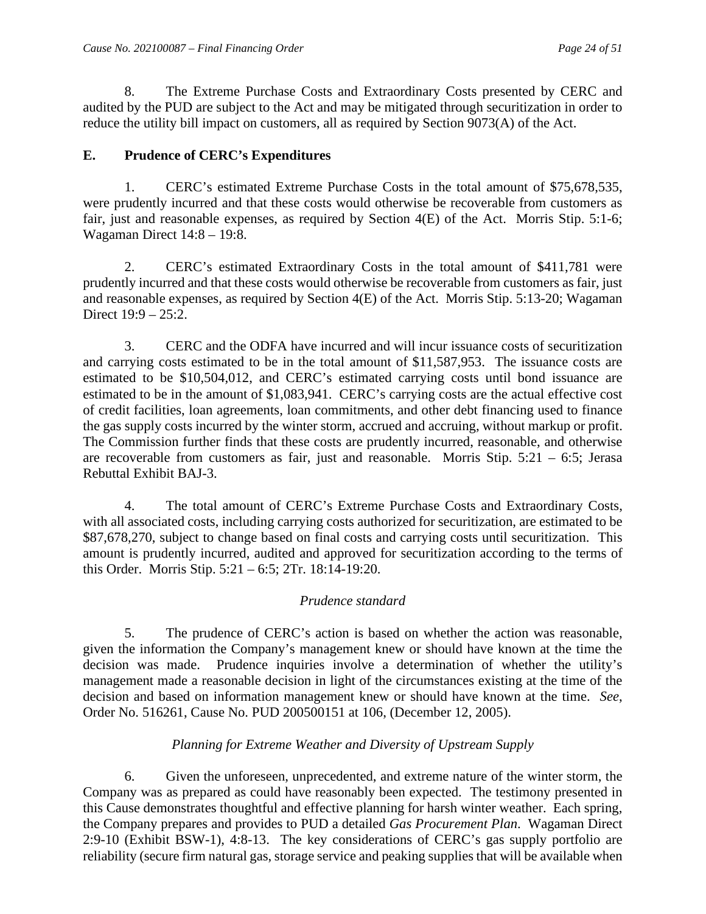8. The Extreme Purchase Costs and Extraordinary Costs presented by CERC and audited by the PUD are subject to the Act and may be mitigated through securitization in order to reduce the utility bill impact on customers, all as required by Section 9073(A) of the Act.

#### <span id="page-25-0"></span>**E. Prudence of CERC's Expenditures**

1. CERC's estimated Extreme Purchase Costs in the total amount of \$75,678,535, were prudently incurred and that these costs would otherwise be recoverable from customers as fair, just and reasonable expenses, as required by Section 4(E) of the Act. Morris Stip. 5:1-6; Wagaman Direct 14:8 – 19:8.

2. CERC's estimated Extraordinary Costs in the total amount of \$411,781 were prudently incurred and that these costs would otherwise be recoverable from customers as fair, just and reasonable expenses, as required by Section 4(E) of the Act. Morris Stip. 5:13-20; Wagaman Direct  $19.9 - 25.2$ .

3. CERC and the ODFA have incurred and will incur issuance costs of securitization and carrying costs estimated to be in the total amount of \$11,587,953. The issuance costs are estimated to be \$10,504,012, and CERC's estimated carrying costs until bond issuance are estimated to be in the amount of \$1,083,941. CERC's carrying costs are the actual effective cost of credit facilities, loan agreements, loan commitments, and other debt financing used to finance the gas supply costs incurred by the winter storm, accrued and accruing, without markup or profit. The Commission further finds that these costs are prudently incurred, reasonable, and otherwise are recoverable from customers as fair, just and reasonable. Morris Stip. 5:21 – 6:5; Jerasa Rebuttal Exhibit BAJ-3.

4. The total amount of CERC's Extreme Purchase Costs and Extraordinary Costs, with all associated costs, including carrying costs authorized for securitization, are estimated to be \$87,678,270, subject to change based on final costs and carrying costs until securitization. This amount is prudently incurred, audited and approved for securitization according to the terms of this Order. Morris Stip. 5:21 – 6:5; 2Tr. 18:14-19:20.

## *Prudence standard*

5. The prudence of CERC's action is based on whether the action was reasonable, given the information the Company's management knew or should have known at the time the decision was made. Prudence inquiries involve a determination of whether the utility's management made a reasonable decision in light of the circumstances existing at the time of the decision and based on information management knew or should have known at the time. *See*, Order No. 516261, Cause No. PUD 200500151 at 106, (December 12, 2005).

## *Planning for Extreme Weather and Diversity of Upstream Supply*

6. Given the unforeseen, unprecedented, and extreme nature of the winter storm, the Company was as prepared as could have reasonably been expected. The testimony presented in this Cause demonstrates thoughtful and effective planning for harsh winter weather. Each spring, the Company prepares and provides to PUD a detailed *Gas Procurement Plan*. Wagaman Direct 2:9-10 (Exhibit BSW-1), 4:8-13. The key considerations of CERC's gas supply portfolio are reliability (secure firm natural gas, storage service and peaking supplies that will be available when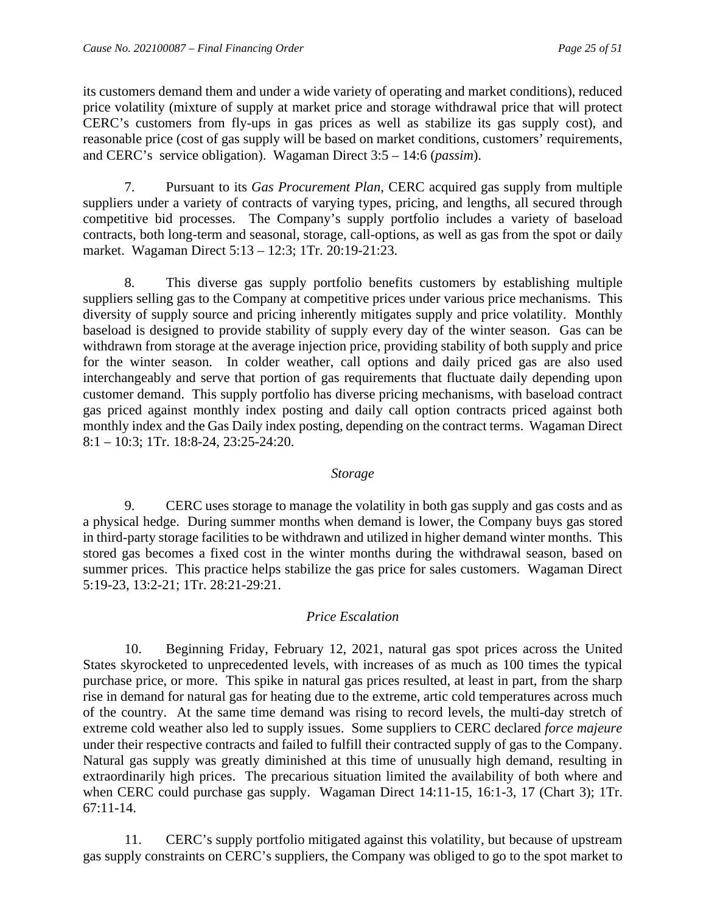its customers demand them and under a wide variety of operating and market conditions), reduced price volatility (mixture of supply at market price and storage withdrawal price that will protect CERC's customers from fly-ups in gas prices as well as stabilize its gas supply cost), and reasonable price (cost of gas supply will be based on market conditions, customers' requirements, and CERC's service obligation). Wagaman Direct 3:5 – 14:6 (*passim*).

7. Pursuant to its *Gas Procurement Plan*, CERC acquired gas supply from multiple suppliers under a variety of contracts of varying types, pricing, and lengths, all secured through competitive bid processes. The Company's supply portfolio includes a variety of baseload contracts, both long-term and seasonal, storage, call-options, as well as gas from the spot or daily market. Wagaman Direct 5:13 – 12:3; 1Tr. 20:19-21:23.

8. This diverse gas supply portfolio benefits customers by establishing multiple suppliers selling gas to the Company at competitive prices under various price mechanisms. This diversity of supply source and pricing inherently mitigates supply and price volatility. Monthly baseload is designed to provide stability of supply every day of the winter season. Gas can be withdrawn from storage at the average injection price, providing stability of both supply and price for the winter season. In colder weather, call options and daily priced gas are also used interchangeably and serve that portion of gas requirements that fluctuate daily depending upon customer demand. This supply portfolio has diverse pricing mechanisms, with baseload contract gas priced against monthly index posting and daily call option contracts priced against both monthly index and the Gas Daily index posting, depending on the contract terms. Wagaman Direct 8:1 – 10:3; 1Tr. 18:8-24, 23:25-24:20.

#### *Storage*

9. CERC uses storage to manage the volatility in both gas supply and gas costs and as a physical hedge. During summer months when demand is lower, the Company buys gas stored in third-party storage facilities to be withdrawn and utilized in higher demand winter months. This stored gas becomes a fixed cost in the winter months during the withdrawal season, based on summer prices. This practice helps stabilize the gas price for sales customers. Wagaman Direct 5:19-23, 13:2-21; 1Tr. 28:21-29:21.

#### *Price Escalation*

10. Beginning Friday, February 12, 2021, natural gas spot prices across the United States skyrocketed to unprecedented levels, with increases of as much as 100 times the typical purchase price, or more. This spike in natural gas prices resulted, at least in part, from the sharp rise in demand for natural gas for heating due to the extreme, artic cold temperatures across much of the country. At the same time demand was rising to record levels, the multi-day stretch of extreme cold weather also led to supply issues. Some suppliers to CERC declared *force majeure* under their respective contracts and failed to fulfill their contracted supply of gas to the Company. Natural gas supply was greatly diminished at this time of unusually high demand, resulting in extraordinarily high prices. The precarious situation limited the availability of both where and when CERC could purchase gas supply. Wagaman Direct 14:11-15, 16:1-3, 17 (Chart 3); 1Tr. 67:11-14.

11. CERC's supply portfolio mitigated against this volatility, but because of upstream gas supply constraints on CERC's suppliers, the Company was obliged to go to the spot market to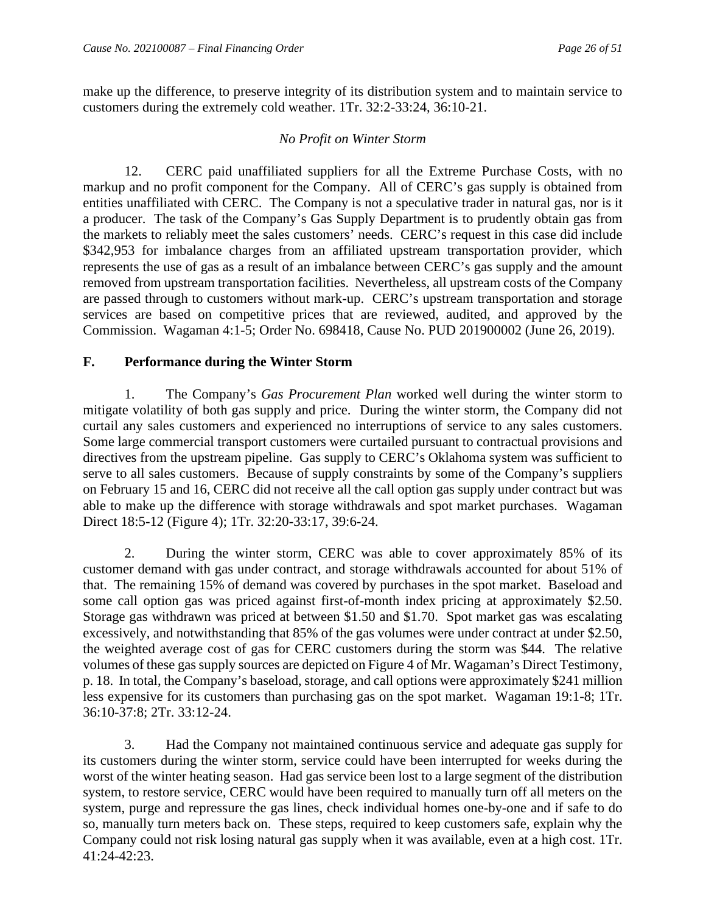make up the difference, to preserve integrity of its distribution system and to maintain service to customers during the extremely cold weather. 1Tr. 32:2-33:24, 36:10-21.

#### *No Profit on Winter Storm*

12. CERC paid unaffiliated suppliers for all the Extreme Purchase Costs, with no markup and no profit component for the Company. All of CERC's gas supply is obtained from entities unaffiliated with CERC. The Company is not a speculative trader in natural gas, nor is it a producer. The task of the Company's Gas Supply Department is to prudently obtain gas from the markets to reliably meet the sales customers' needs. CERC's request in this case did include \$342,953 for imbalance charges from an affiliated upstream transportation provider, which represents the use of gas as a result of an imbalance between CERC's gas supply and the amount removed from upstream transportation facilities. Nevertheless, all upstream costs of the Company are passed through to customers without mark-up. CERC's upstream transportation and storage services are based on competitive prices that are reviewed, audited, and approved by the Commission. Wagaman 4:1-5; Order No. 698418, Cause No. PUD 201900002 (June 26, 2019).

## <span id="page-27-0"></span>**F. Performance during the Winter Storm**

1. The Company's *Gas Procurement Plan* worked well during the winter storm to mitigate volatility of both gas supply and price. During the winter storm, the Company did not curtail any sales customers and experienced no interruptions of service to any sales customers. Some large commercial transport customers were curtailed pursuant to contractual provisions and directives from the upstream pipeline. Gas supply to CERC's Oklahoma system was sufficient to serve to all sales customers. Because of supply constraints by some of the Company's suppliers on February 15 and 16, CERC did not receive all the call option gas supply under contract but was able to make up the difference with storage withdrawals and spot market purchases. Wagaman Direct 18:5-12 (Figure 4); 1Tr. 32:20-33:17, 39:6-24.

2. During the winter storm, CERC was able to cover approximately 85% of its customer demand with gas under contract, and storage withdrawals accounted for about 51% of that. The remaining 15% of demand was covered by purchases in the spot market. Baseload and some call option gas was priced against first-of-month index pricing at approximately \$2.50. Storage gas withdrawn was priced at between \$1.50 and \$1.70. Spot market gas was escalating excessively, and notwithstanding that 85% of the gas volumes were under contract at under \$2.50, the weighted average cost of gas for CERC customers during the storm was \$44. The relative volumes of these gas supply sources are depicted on Figure 4 of Mr. Wagaman's Direct Testimony, p. 18. In total, the Company's baseload, storage, and call options were approximately \$241 million less expensive for its customers than purchasing gas on the spot market. Wagaman 19:1-8; 1Tr. 36:10-37:8; 2Tr. 33:12-24.

3. Had the Company not maintained continuous service and adequate gas supply for its customers during the winter storm, service could have been interrupted for weeks during the worst of the winter heating season. Had gas service been lost to a large segment of the distribution system, to restore service, CERC would have been required to manually turn off all meters on the system, purge and repressure the gas lines, check individual homes one-by-one and if safe to do so, manually turn meters back on. These steps, required to keep customers safe, explain why the Company could not risk losing natural gas supply when it was available, even at a high cost. 1Tr. 41:24-42:23.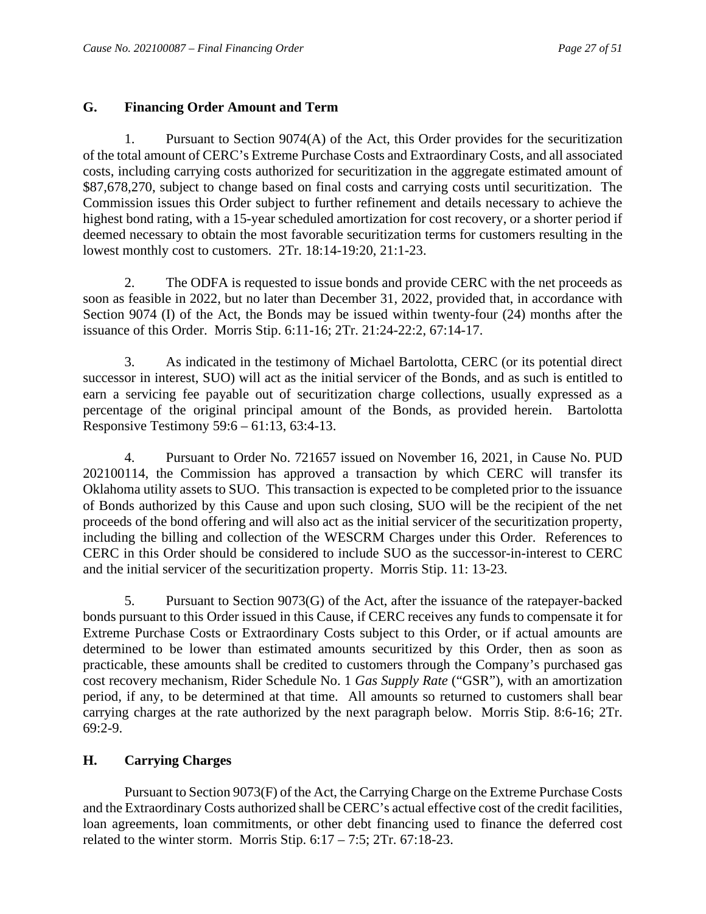#### <span id="page-28-0"></span>**G. Financing Order Amount and Term**

1. Pursuant to Section 9074(A) of the Act, this Order provides for the securitization of the total amount of CERC's Extreme Purchase Costs and Extraordinary Costs, and all associated costs, including carrying costs authorized for securitization in the aggregate estimated amount of \$87,678,270, subject to change based on final costs and carrying costs until securitization. The Commission issues this Order subject to further refinement and details necessary to achieve the highest bond rating, with a 15-year scheduled amortization for cost recovery, or a shorter period if deemed necessary to obtain the most favorable securitization terms for customers resulting in the lowest monthly cost to customers. 2Tr. 18:14-19:20, 21:1-23.

2. The ODFA is requested to issue bonds and provide CERC with the net proceeds as soon as feasible in 2022, but no later than December 31, 2022, provided that, in accordance with Section 9074 (I) of the Act, the Bonds may be issued within twenty-four (24) months after the issuance of this Order. Morris Stip. 6:11-16; 2Tr. 21:24-22:2, 67:14-17.

3. As indicated in the testimony of Michael Bartolotta, CERC (or its potential direct successor in interest, SUO) will act as the initial servicer of the Bonds, and as such is entitled to earn a servicing fee payable out of securitization charge collections, usually expressed as a percentage of the original principal amount of the Bonds, as provided herein. Bartolotta Responsive Testimony 59:6 – 61:13, 63:4-13.

4. Pursuant to Order No. 721657 issued on November 16, 2021, in Cause No. PUD 202100114, the Commission has approved a transaction by which CERC will transfer its Oklahoma utility assets to SUO. This transaction is expected to be completed prior to the issuance of Bonds authorized by this Cause and upon such closing, SUO will be the recipient of the net proceeds of the bond offering and will also act as the initial servicer of the securitization property, including the billing and collection of the WESCRM Charges under this Order. References to CERC in this Order should be considered to include SUO as the successor-in-interest to CERC and the initial servicer of the securitization property. Morris Stip. 11: 13-23.

5. Pursuant to Section 9073(G) of the Act, after the issuance of the ratepayer-backed bonds pursuant to this Order issued in this Cause, if CERC receives any funds to compensate it for Extreme Purchase Costs or Extraordinary Costs subject to this Order, or if actual amounts are determined to be lower than estimated amounts securitized by this Order, then as soon as practicable, these amounts shall be credited to customers through the Company's purchased gas cost recovery mechanism, Rider Schedule No. 1 *Gas Supply Rate* ("GSR"), with an amortization period, if any, to be determined at that time. All amounts so returned to customers shall bear carrying charges at the rate authorized by the next paragraph below. Morris Stip. 8:6-16; 2Tr. 69:2-9.

#### <span id="page-28-1"></span>**H. Carrying Charges**

Pursuant to Section 9073(F) of the Act, the Carrying Charge on the Extreme Purchase Costs and the Extraordinary Costs authorized shall be CERC's actual effective cost of the credit facilities, loan agreements, loan commitments, or other debt financing used to finance the deferred cost related to the winter storm. Morris Stip.  $6:17 - 7:5$ ;  $2Tr. 67:18-23$ .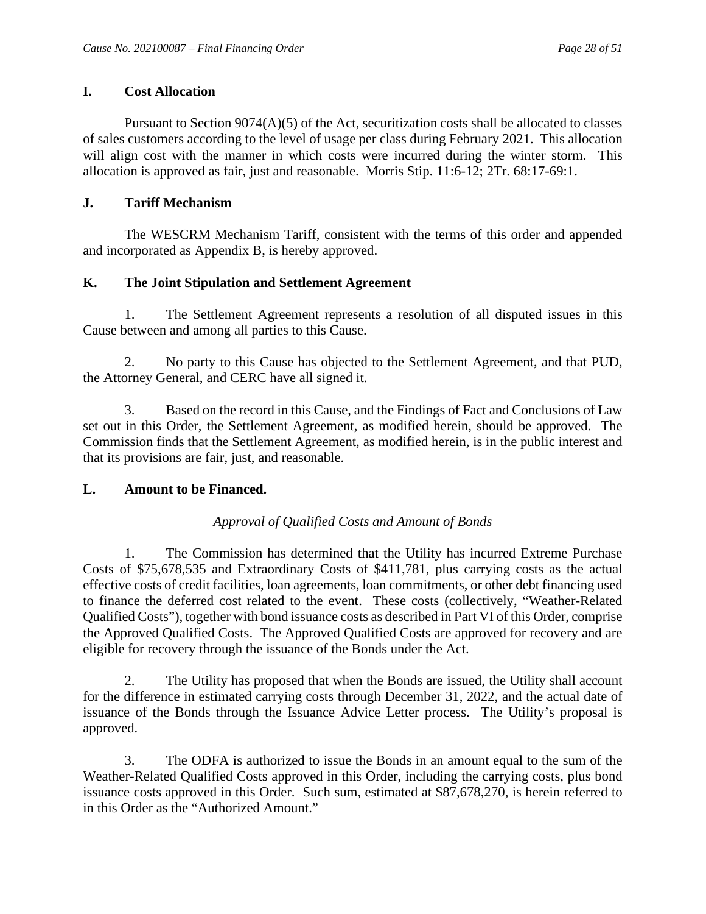## <span id="page-29-0"></span>**I. Cost Allocation**

Pursuant to Section  $9074(A)(5)$  of the Act, securitization costs shall be allocated to classes of sales customers according to the level of usage per class during February 2021. This allocation will align cost with the manner in which costs were incurred during the winter storm. This allocation is approved as fair, just and reasonable. Morris Stip. 11:6-12; 2Tr. 68:17-69:1.

## <span id="page-29-1"></span>**J. Tariff Mechanism**

The WESCRM Mechanism Tariff, consistent with the terms of this order and appended and incorporated as Appendix B, is hereby approved.

# <span id="page-29-2"></span>**K. The Joint Stipulation and Settlement Agreement**

1. The Settlement Agreement represents a resolution of all disputed issues in this Cause between and among all parties to this Cause.

2. No party to this Cause has objected to the Settlement Agreement, and that PUD, the Attorney General, and CERC have all signed it.

3. Based on the record in this Cause, and the Findings of Fact and Conclusions of Law set out in this Order, the Settlement Agreement, as modified herein, should be approved. The Commission finds that the Settlement Agreement, as modified herein, is in the public interest and that its provisions are fair, just, and reasonable.

## <span id="page-29-3"></span>**L. Amount to be Financed.**

# *Approval of Qualified Costs and Amount of Bonds*

1. The Commission has determined that the Utility has incurred Extreme Purchase Costs of \$75,678,535 and Extraordinary Costs of \$411,781, plus carrying costs as the actual effective costs of credit facilities, loan agreements, loan commitments, or other debt financing used to finance the deferred cost related to the event. These costs (collectively, "Weather-Related Qualified Costs"), together with bond issuance costs as described in Part VI of this Order, comprise the Approved Qualified Costs. The Approved Qualified Costs are approved for recovery and are eligible for recovery through the issuance of the Bonds under the Act.

2. The Utility has proposed that when the Bonds are issued, the Utility shall account for the difference in estimated carrying costs through December 31, 2022, and the actual date of issuance of the Bonds through the Issuance Advice Letter process. The Utility's proposal is approved.

3. The ODFA is authorized to issue the Bonds in an amount equal to the sum of the Weather-Related Qualified Costs approved in this Order, including the carrying costs, plus bond issuance costs approved in this Order. Such sum, estimated at \$87,678,270, is herein referred to in this Order as the "Authorized Amount."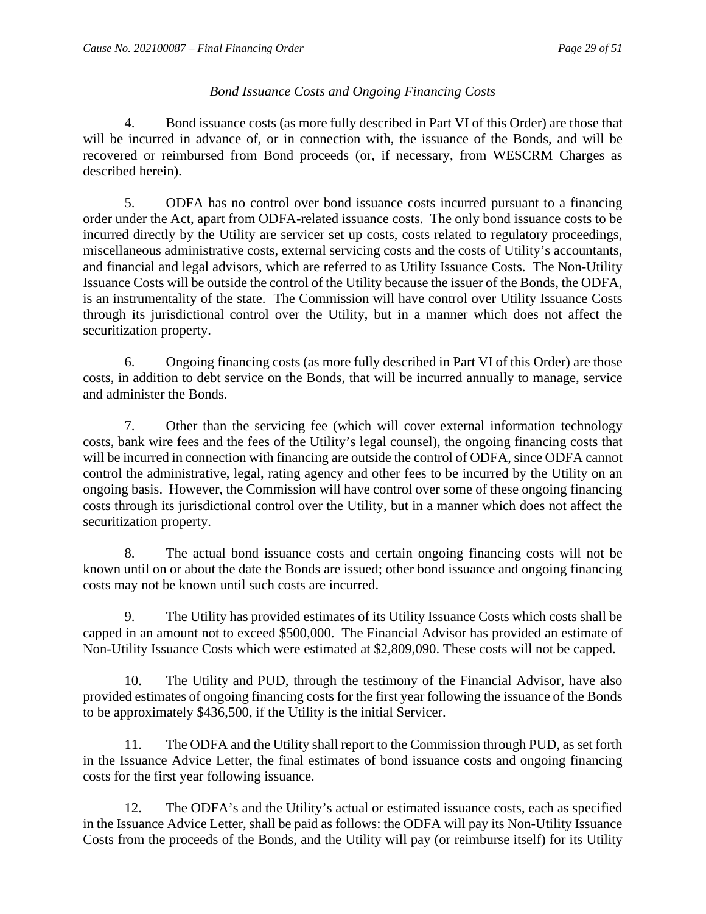## *Bond Issuance Costs and Ongoing Financing Costs*

4. Bond issuance costs (as more fully described in Part VI of this Order) are those that will be incurred in advance of, or in connection with, the issuance of the Bonds, and will be recovered or reimbursed from Bond proceeds (or, if necessary, from WESCRM Charges as described herein).

5. ODFA has no control over bond issuance costs incurred pursuant to a financing order under the Act, apart from ODFA-related issuance costs. The only bond issuance costs to be incurred directly by the Utility are servicer set up costs, costs related to regulatory proceedings, miscellaneous administrative costs, external servicing costs and the costs of Utility's accountants, and financial and legal advisors, which are referred to as Utility Issuance Costs. The Non-Utility Issuance Costs will be outside the control of the Utility because the issuer of the Bonds, the ODFA, is an instrumentality of the state. The Commission will have control over Utility Issuance Costs through its jurisdictional control over the Utility, but in a manner which does not affect the securitization property.

6. Ongoing financing costs (as more fully described in Part VI of this Order) are those costs, in addition to debt service on the Bonds, that will be incurred annually to manage, service and administer the Bonds.

7. Other than the servicing fee (which will cover external information technology costs, bank wire fees and the fees of the Utility's legal counsel), the ongoing financing costs that will be incurred in connection with financing are outside the control of ODFA, since ODFA cannot control the administrative, legal, rating agency and other fees to be incurred by the Utility on an ongoing basis. However, the Commission will have control over some of these ongoing financing costs through its jurisdictional control over the Utility, but in a manner which does not affect the securitization property.

8. The actual bond issuance costs and certain ongoing financing costs will not be known until on or about the date the Bonds are issued; other bond issuance and ongoing financing costs may not be known until such costs are incurred.

9. The Utility has provided estimates of its Utility Issuance Costs which costs shall be capped in an amount not to exceed \$500,000. The Financial Advisor has provided an estimate of Non-Utility Issuance Costs which were estimated at \$2,809,090. These costs will not be capped.

10. The Utility and PUD, through the testimony of the Financial Advisor, have also provided estimates of ongoing financing costs for the first year following the issuance of the Bonds to be approximately \$436,500, if the Utility is the initial Servicer.

11. The ODFA and the Utility shall report to the Commission through PUD, as set forth in the Issuance Advice Letter, the final estimates of bond issuance costs and ongoing financing costs for the first year following issuance.

12. The ODFA's and the Utility's actual or estimated issuance costs, each as specified in the Issuance Advice Letter, shall be paid as follows: the ODFA will pay its Non-Utility Issuance Costs from the proceeds of the Bonds, and the Utility will pay (or reimburse itself) for its Utility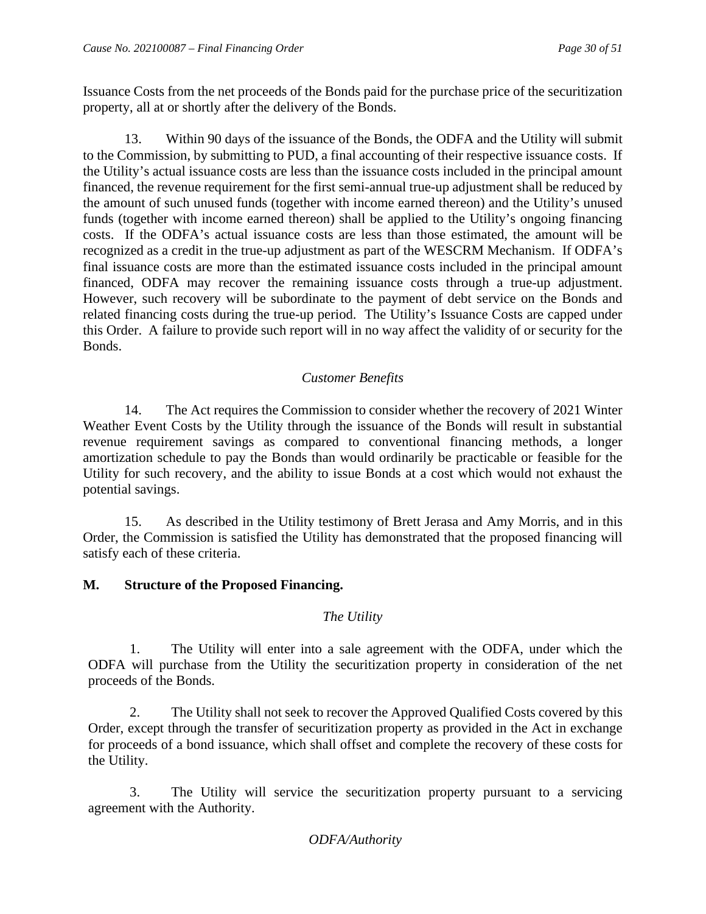Issuance Costs from the net proceeds of the Bonds paid for the purchase price of the securitization property, all at or shortly after the delivery of the Bonds.

13. Within 90 days of the issuance of the Bonds, the ODFA and the Utility will submit to the Commission, by submitting to PUD, a final accounting of their respective issuance costs. If the Utility's actual issuance costs are less than the issuance costs included in the principal amount financed, the revenue requirement for the first semi-annual true-up adjustment shall be reduced by the amount of such unused funds (together with income earned thereon) and the Utility's unused funds (together with income earned thereon) shall be applied to the Utility's ongoing financing costs. If the ODFA's actual issuance costs are less than those estimated, the amount will be recognized as a credit in the true-up adjustment as part of the WESCRM Mechanism. If ODFA's final issuance costs are more than the estimated issuance costs included in the principal amount financed, ODFA may recover the remaining issuance costs through a true-up adjustment. However, such recovery will be subordinate to the payment of debt service on the Bonds and related financing costs during the true-up period. The Utility's Issuance Costs are capped under this Order. A failure to provide such report will in no way affect the validity of or security for the Bonds.

## *Customer Benefits*

14. The Act requires the Commission to consider whether the recovery of 2021 Winter Weather Event Costs by the Utility through the issuance of the Bonds will result in substantial revenue requirement savings as compared to conventional financing methods, a longer amortization schedule to pay the Bonds than would ordinarily be practicable or feasible for the Utility for such recovery, and the ability to issue Bonds at a cost which would not exhaust the potential savings.

15. As described in the Utility testimony of Brett Jerasa and Amy Morris, and in this Order, the Commission is satisfied the Utility has demonstrated that the proposed financing will satisfy each of these criteria.

## <span id="page-31-0"></span>**M. Structure of the Proposed Financing.**

## *The Utility*

1. The Utility will enter into a sale agreement with the ODFA, under which the ODFA will purchase from the Utility the securitization property in consideration of the net proceeds of the Bonds.

2. The Utility shall not seek to recover the Approved Qualified Costs covered by this Order, except through the transfer of securitization property as provided in the Act in exchange for proceeds of a bond issuance, which shall offset and complete the recovery of these costs for the Utility.

3. The Utility will service the securitization property pursuant to a servicing agreement with the Authority.

## *ODFA/Authority*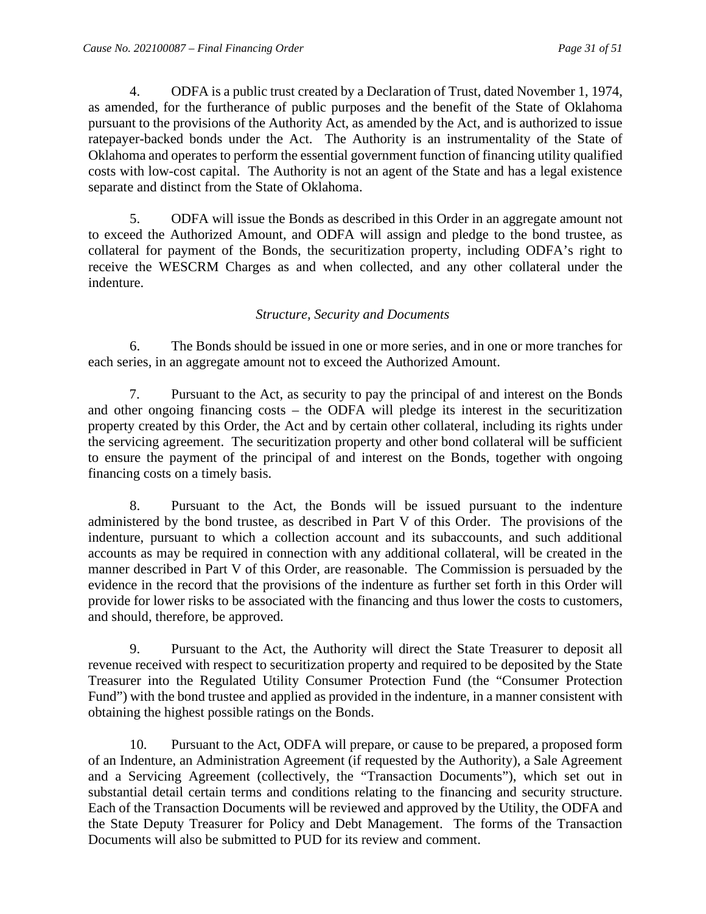4. ODFA is a public trust created by a Declaration of Trust, dated November 1, 1974, as amended, for the furtherance of public purposes and the benefit of the State of Oklahoma pursuant to the provisions of the Authority Act, as amended by the Act, and is authorized to issue ratepayer-backed bonds under the Act. The Authority is an instrumentality of the State of Oklahoma and operates to perform the essential government function of financing utility qualified costs with low-cost capital. The Authority is not an agent of the State and has a legal existence separate and distinct from the State of Oklahoma.

5. ODFA will issue the Bonds as described in this Order in an aggregate amount not to exceed the Authorized Amount, and ODFA will assign and pledge to the bond trustee, as collateral for payment of the Bonds, the securitization property, including ODFA's right to receive the WESCRM Charges as and when collected, and any other collateral under the indenture.

#### *Structure, Security and Documents*

6. The Bonds should be issued in one or more series, and in one or more tranches for each series, in an aggregate amount not to exceed the Authorized Amount.

7. Pursuant to the Act, as security to pay the principal of and interest on the Bonds and other ongoing financing costs – the ODFA will pledge its interest in the securitization property created by this Order, the Act and by certain other collateral, including its rights under the servicing agreement. The securitization property and other bond collateral will be sufficient to ensure the payment of the principal of and interest on the Bonds, together with ongoing financing costs on a timely basis.

8. Pursuant to the Act, the Bonds will be issued pursuant to the indenture administered by the bond trustee, as described in Part V of this Order. The provisions of the indenture, pursuant to which a collection account and its subaccounts, and such additional accounts as may be required in connection with any additional collateral, will be created in the manner described in Part V of this Order, are reasonable. The Commission is persuaded by the evidence in the record that the provisions of the indenture as further set forth in this Order will provide for lower risks to be associated with the financing and thus lower the costs to customers, and should, therefore, be approved.

9. Pursuant to the Act, the Authority will direct the State Treasurer to deposit all revenue received with respect to securitization property and required to be deposited by the State Treasurer into the Regulated Utility Consumer Protection Fund (the "Consumer Protection Fund") with the bond trustee and applied as provided in the indenture, in a manner consistent with obtaining the highest possible ratings on the Bonds.

10. Pursuant to the Act, ODFA will prepare, or cause to be prepared, a proposed form of an Indenture, an Administration Agreement (if requested by the Authority), a Sale Agreement and a Servicing Agreement (collectively, the "Transaction Documents"), which set out in substantial detail certain terms and conditions relating to the financing and security structure. Each of the Transaction Documents will be reviewed and approved by the Utility, the ODFA and the State Deputy Treasurer for Policy and Debt Management. The forms of the Transaction Documents will also be submitted to PUD for its review and comment.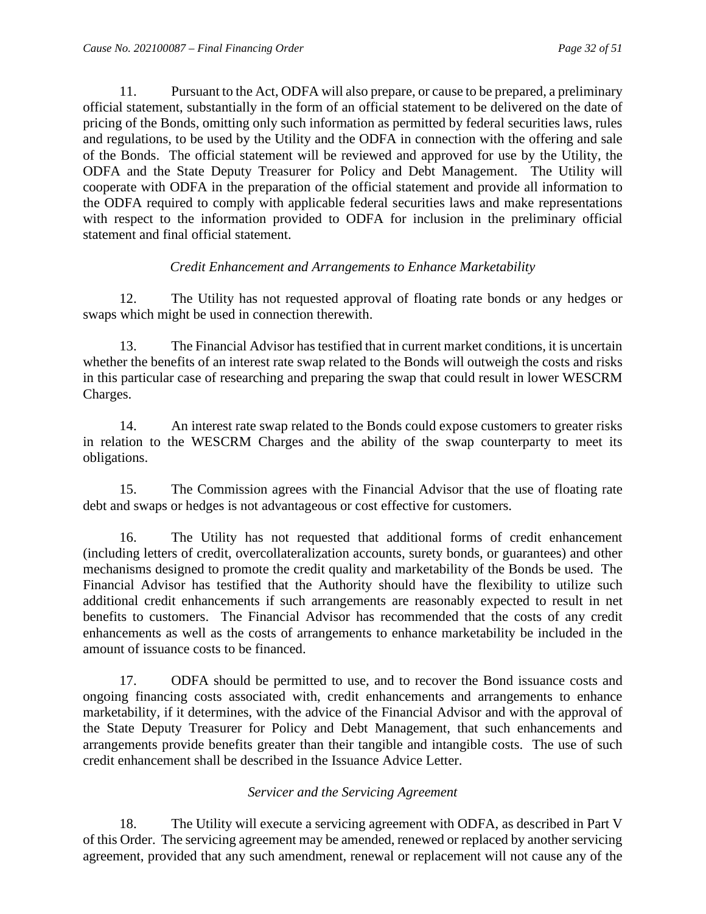11. Pursuant to the Act, ODFA will also prepare, or cause to be prepared, a preliminary official statement, substantially in the form of an official statement to be delivered on the date of pricing of the Bonds, omitting only such information as permitted by federal securities laws, rules and regulations, to be used by the Utility and the ODFA in connection with the offering and sale of the Bonds. The official statement will be reviewed and approved for use by the Utility, the ODFA and the State Deputy Treasurer for Policy and Debt Management. The Utility will cooperate with ODFA in the preparation of the official statement and provide all information to the ODFA required to comply with applicable federal securities laws and make representations with respect to the information provided to ODFA for inclusion in the preliminary official statement and final official statement.

## *Credit Enhancement and Arrangements to Enhance Marketability*

12. The Utility has not requested approval of floating rate bonds or any hedges or swaps which might be used in connection therewith.

13. The Financial Advisor has testified that in current market conditions, it is uncertain whether the benefits of an interest rate swap related to the Bonds will outweigh the costs and risks in this particular case of researching and preparing the swap that could result in lower WESCRM Charges.

14. An interest rate swap related to the Bonds could expose customers to greater risks in relation to the WESCRM Charges and the ability of the swap counterparty to meet its obligations.

15. The Commission agrees with the Financial Advisor that the use of floating rate debt and swaps or hedges is not advantageous or cost effective for customers.

16. The Utility has not requested that additional forms of credit enhancement (including letters of credit, overcollateralization accounts, surety bonds, or guarantees) and other mechanisms designed to promote the credit quality and marketability of the Bonds be used. The Financial Advisor has testified that the Authority should have the flexibility to utilize such additional credit enhancements if such arrangements are reasonably expected to result in net benefits to customers. The Financial Advisor has recommended that the costs of any credit enhancements as well as the costs of arrangements to enhance marketability be included in the amount of issuance costs to be financed.

17. ODFA should be permitted to use, and to recover the Bond issuance costs and ongoing financing costs associated with, credit enhancements and arrangements to enhance marketability, if it determines, with the advice of the Financial Advisor and with the approval of the State Deputy Treasurer for Policy and Debt Management, that such enhancements and arrangements provide benefits greater than their tangible and intangible costs. The use of such credit enhancement shall be described in the Issuance Advice Letter.

#### *Servicer and the Servicing Agreement*

18. The Utility will execute a servicing agreement with ODFA, as described in Part V of this Order. The servicing agreement may be amended, renewed or replaced by another servicing agreement, provided that any such amendment, renewal or replacement will not cause any of the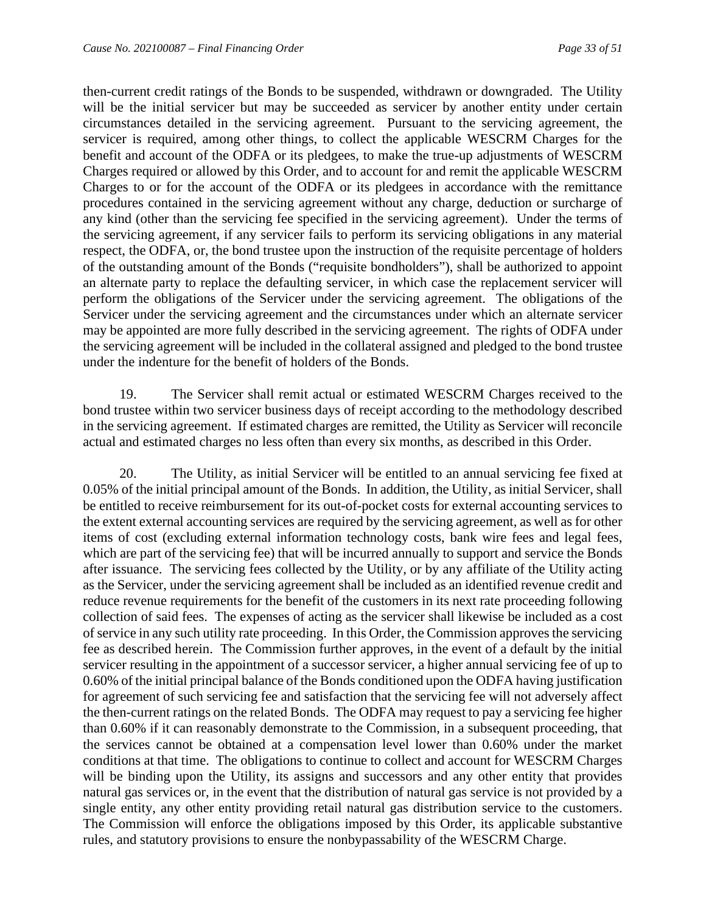then-current credit ratings of the Bonds to be suspended, withdrawn or downgraded. The Utility will be the initial servicer but may be succeeded as servicer by another entity under certain circumstances detailed in the servicing agreement. Pursuant to the servicing agreement, the servicer is required, among other things, to collect the applicable WESCRM Charges for the benefit and account of the ODFA or its pledgees, to make the true-up adjustments of WESCRM Charges required or allowed by this Order, and to account for and remit the applicable WESCRM Charges to or for the account of the ODFA or its pledgees in accordance with the remittance procedures contained in the servicing agreement without any charge, deduction or surcharge of any kind (other than the servicing fee specified in the servicing agreement). Under the terms of the servicing agreement, if any servicer fails to perform its servicing obligations in any material respect, the ODFA, or, the bond trustee upon the instruction of the requisite percentage of holders of the outstanding amount of the Bonds ("requisite bondholders"), shall be authorized to appoint an alternate party to replace the defaulting servicer, in which case the replacement servicer will perform the obligations of the Servicer under the servicing agreement. The obligations of the Servicer under the servicing agreement and the circumstances under which an alternate servicer may be appointed are more fully described in the servicing agreement. The rights of ODFA under the servicing agreement will be included in the collateral assigned and pledged to the bond trustee under the indenture for the benefit of holders of the Bonds.

19. The Servicer shall remit actual or estimated WESCRM Charges received to the bond trustee within two servicer business days of receipt according to the methodology described in the servicing agreement. If estimated charges are remitted, the Utility as Servicer will reconcile actual and estimated charges no less often than every six months, as described in this Order.

20. The Utility, as initial Servicer will be entitled to an annual servicing fee fixed at 0.05% of the initial principal amount of the Bonds. In addition, the Utility, as initial Servicer, shall be entitled to receive reimbursement for its out-of-pocket costs for external accounting services to the extent external accounting services are required by the servicing agreement, as well as for other items of cost (excluding external information technology costs, bank wire fees and legal fees, which are part of the servicing fee) that will be incurred annually to support and service the Bonds after issuance. The servicing fees collected by the Utility, or by any affiliate of the Utility acting as the Servicer, under the servicing agreement shall be included as an identified revenue credit and reduce revenue requirements for the benefit of the customers in its next rate proceeding following collection of said fees. The expenses of acting as the servicer shall likewise be included as a cost of service in any such utility rate proceeding. In this Order, the Commission approves the servicing fee as described herein. The Commission further approves, in the event of a default by the initial servicer resulting in the appointment of a successor servicer, a higher annual servicing fee of up to 0.60% of the initial principal balance of the Bonds conditioned upon the ODFA having justification for agreement of such servicing fee and satisfaction that the servicing fee will not adversely affect the then-current ratings on the related Bonds. The ODFA may request to pay a servicing fee higher than 0.60% if it can reasonably demonstrate to the Commission, in a subsequent proceeding, that the services cannot be obtained at a compensation level lower than 0.60% under the market conditions at that time. The obligations to continue to collect and account for WESCRM Charges will be binding upon the Utility, its assigns and successors and any other entity that provides natural gas services or, in the event that the distribution of natural gas service is not provided by a single entity, any other entity providing retail natural gas distribution service to the customers. The Commission will enforce the obligations imposed by this Order, its applicable substantive rules, and statutory provisions to ensure the nonbypassability of the WESCRM Charge.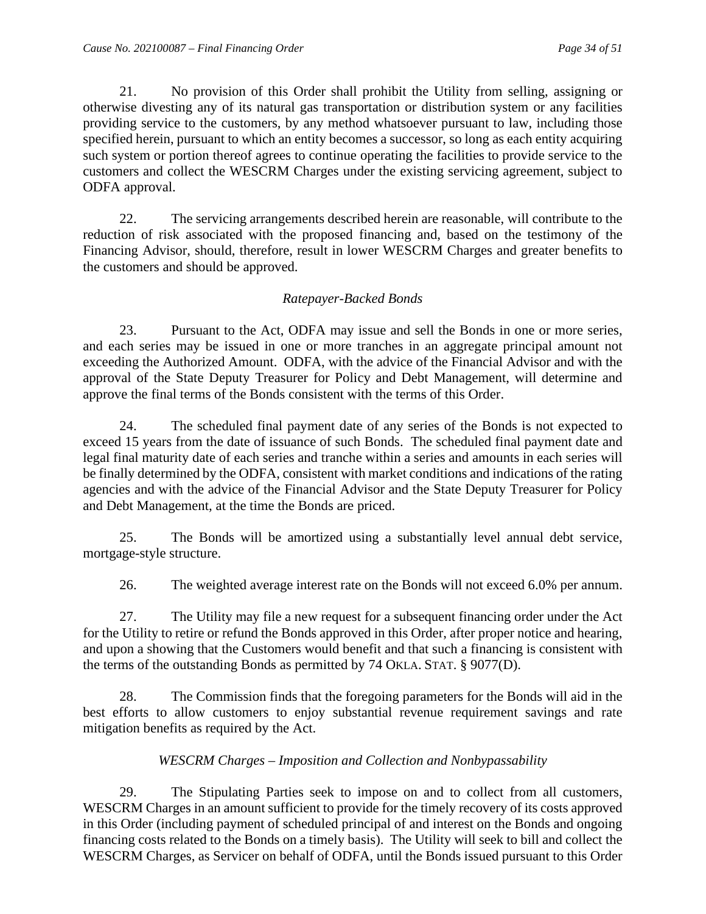21. No provision of this Order shall prohibit the Utility from selling, assigning or otherwise divesting any of its natural gas transportation or distribution system or any facilities providing service to the customers, by any method whatsoever pursuant to law, including those specified herein, pursuant to which an entity becomes a successor, so long as each entity acquiring such system or portion thereof agrees to continue operating the facilities to provide service to the customers and collect the WESCRM Charges under the existing servicing agreement, subject to ODFA approval.

22. The servicing arrangements described herein are reasonable, will contribute to the reduction of risk associated with the proposed financing and, based on the testimony of the Financing Advisor, should, therefore, result in lower WESCRM Charges and greater benefits to the customers and should be approved.

## *Ratepayer-Backed Bonds*

23. Pursuant to the Act, ODFA may issue and sell the Bonds in one or more series, and each series may be issued in one or more tranches in an aggregate principal amount not exceeding the Authorized Amount. ODFA, with the advice of the Financial Advisor and with the approval of the State Deputy Treasurer for Policy and Debt Management, will determine and approve the final terms of the Bonds consistent with the terms of this Order.

24. The scheduled final payment date of any series of the Bonds is not expected to exceed 15 years from the date of issuance of such Bonds. The scheduled final payment date and legal final maturity date of each series and tranche within a series and amounts in each series will be finally determined by the ODFA, consistent with market conditions and indications of the rating agencies and with the advice of the Financial Advisor and the State Deputy Treasurer for Policy and Debt Management, at the time the Bonds are priced.

25. The Bonds will be amortized using a substantially level annual debt service, mortgage-style structure.

26. The weighted average interest rate on the Bonds will not exceed 6.0% per annum.

27. The Utility may file a new request for a subsequent financing order under the Act for the Utility to retire or refund the Bonds approved in this Order, after proper notice and hearing, and upon a showing that the Customers would benefit and that such a financing is consistent with the terms of the outstanding Bonds as permitted by 74 OKLA. STAT. § 9077(D).

28. The Commission finds that the foregoing parameters for the Bonds will aid in the best efforts to allow customers to enjoy substantial revenue requirement savings and rate mitigation benefits as required by the Act.

## *WESCRM Charges – Imposition and Collection and Nonbypassability*

29. The Stipulating Parties seek to impose on and to collect from all customers, WESCRM Charges in an amount sufficient to provide for the timely recovery of its costs approved in this Order (including payment of scheduled principal of and interest on the Bonds and ongoing financing costs related to the Bonds on a timely basis). The Utility will seek to bill and collect the WESCRM Charges, as Servicer on behalf of ODFA, until the Bonds issued pursuant to this Order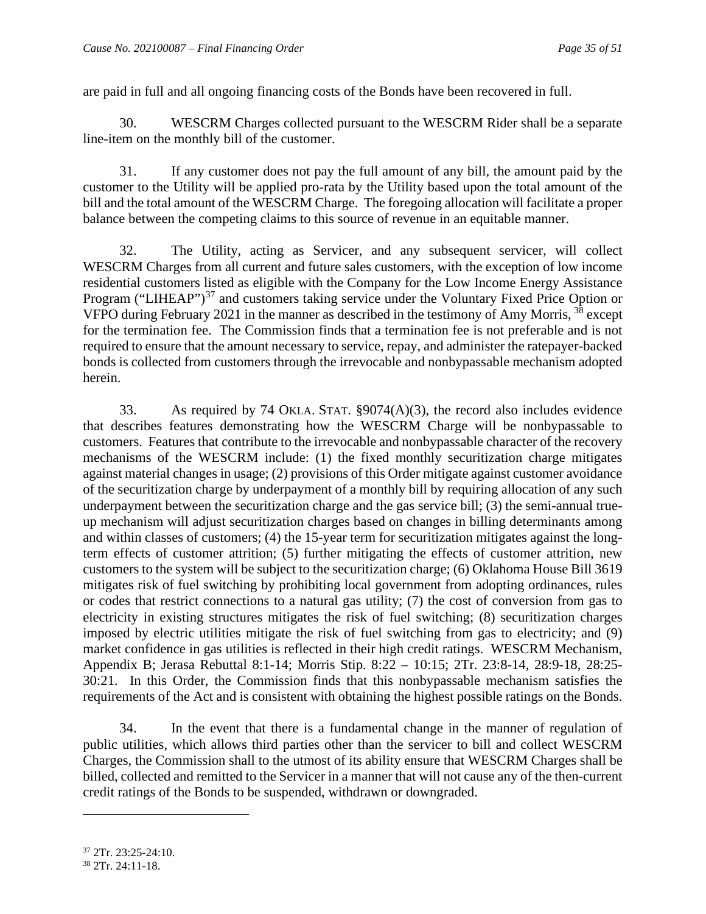are paid in full and all ongoing financing costs of the Bonds have been recovered in full.

30. WESCRM Charges collected pursuant to the WESCRM Rider shall be a separate line-item on the monthly bill of the customer.

31. If any customer does not pay the full amount of any bill, the amount paid by the customer to the Utility will be applied pro-rata by the Utility based upon the total amount of the bill and the total amount of the WESCRM Charge. The foregoing allocation will facilitate a proper balance between the competing claims to this source of revenue in an equitable manner.

32. The Utility, acting as Servicer, and any subsequent servicer, will collect WESCRM Charges from all current and future sales customers, with the exception of low income residential customers listed as eligible with the Company for the Low Income Energy Assistance Program ("LIHEAP")<sup>[37](#page-36-0)</sup> and customers taking service under the Voluntary Fixed Price Option or VFPO during February 2021 in the manner as described in the testimony of Amy Morris, <sup>[38](#page-36-1)</sup> except for the termination fee. The Commission finds that a termination fee is not preferable and is not required to ensure that the amount necessary to service, repay, and administer the ratepayer-backed bonds is collected from customers through the irrevocable and nonbypassable mechanism adopted herein.

33. As required by 74 OKLA. STAT. §9074(A)(3), the record also includes evidence that describes features demonstrating how the WESCRM Charge will be nonbypassable to customers. Features that contribute to the irrevocable and nonbypassable character of the recovery mechanisms of the WESCRM include: (1) the fixed monthly securitization charge mitigates against material changes in usage; (2) provisions of this Order mitigate against customer avoidance of the securitization charge by underpayment of a monthly bill by requiring allocation of any such underpayment between the securitization charge and the gas service bill; (3) the semi-annual trueup mechanism will adjust securitization charges based on changes in billing determinants among and within classes of customers; (4) the 15-year term for securitization mitigates against the longterm effects of customer attrition; (5) further mitigating the effects of customer attrition, new customers to the system will be subject to the securitization charge; (6) Oklahoma House Bill 3619 mitigates risk of fuel switching by prohibiting local government from adopting ordinances, rules or codes that restrict connections to a natural gas utility; (7) the cost of conversion from gas to electricity in existing structures mitigates the risk of fuel switching; (8) securitization charges imposed by electric utilities mitigate the risk of fuel switching from gas to electricity; and (9) market confidence in gas utilities is reflected in their high credit ratings. WESCRM Mechanism, Appendix B; Jerasa Rebuttal 8:1-14; Morris Stip. 8:22 – 10:15; 2Tr. 23:8-14, 28:9-18, 28:25- 30:21. In this Order, the Commission finds that this nonbypassable mechanism satisfies the requirements of the Act and is consistent with obtaining the highest possible ratings on the Bonds.

34. In the event that there is a fundamental change in the manner of regulation of public utilities, which allows third parties other than the servicer to bill and collect WESCRM Charges, the Commission shall to the utmost of its ability ensure that WESCRM Charges shall be billed, collected and remitted to the Servicer in a manner that will not cause any of the then-current credit ratings of the Bonds to be suspended, withdrawn or downgraded.

<span id="page-36-0"></span> $37$  2Tr. 23:25-24:10.

<span id="page-36-1"></span><sup>38</sup> 2Tr. 24:11-18.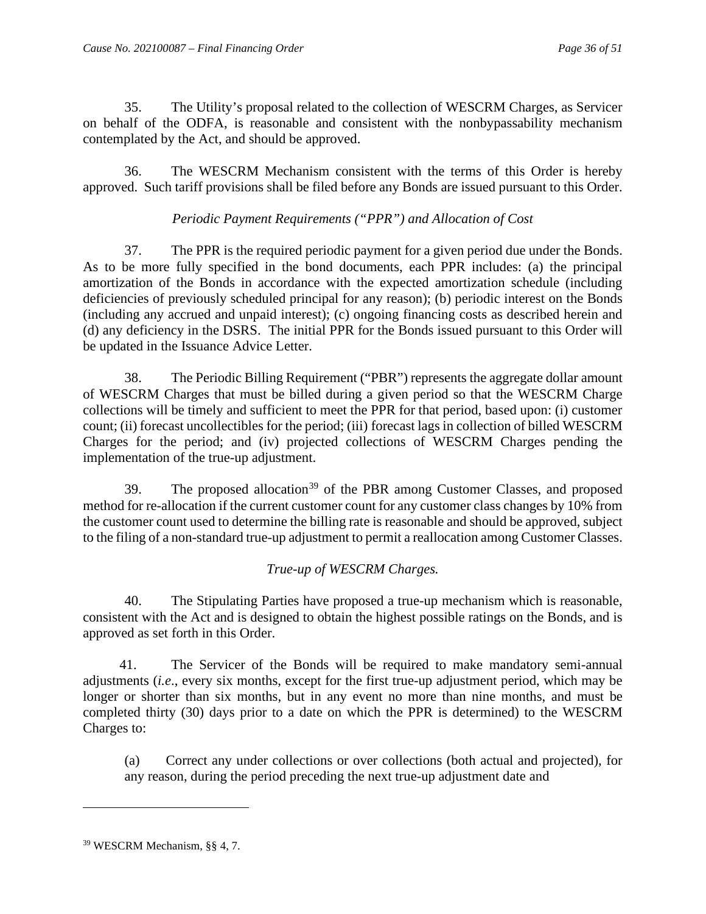35. The Utility's proposal related to the collection of WESCRM Charges, as Servicer on behalf of the ODFA, is reasonable and consistent with the nonbypassability mechanism contemplated by the Act, and should be approved.

36. The WESCRM Mechanism consistent with the terms of this Order is hereby approved. Such tariff provisions shall be filed before any Bonds are issued pursuant to this Order.

## *Periodic Payment Requirements ("PPR") and Allocation of Cost*

37. The PPR is the required periodic payment for a given period due under the Bonds. As to be more fully specified in the bond documents, each PPR includes: (a) the principal amortization of the Bonds in accordance with the expected amortization schedule (including deficiencies of previously scheduled principal for any reason); (b) periodic interest on the Bonds (including any accrued and unpaid interest); (c) ongoing financing costs as described herein and (d) any deficiency in the DSRS. The initial PPR for the Bonds issued pursuant to this Order will be updated in the Issuance Advice Letter.

38. The Periodic Billing Requirement ("PBR") represents the aggregate dollar amount of WESCRM Charges that must be billed during a given period so that the WESCRM Charge collections will be timely and sufficient to meet the PPR for that period, based upon: (i) customer count; (ii) forecast uncollectibles for the period; (iii) forecast lags in collection of billed WESCRM Charges for the period; and (iv) projected collections of WESCRM Charges pending the implementation of the true-up adjustment.

[39](#page-37-0). The proposed allocation<sup>39</sup> of the PBR among Customer Classes, and proposed method for re-allocation if the current customer count for any customer class changes by 10% from the customer count used to determine the billing rate is reasonable and should be approved, subject to the filing of a non-standard true-up adjustment to permit a reallocation among Customer Classes.

## *True-up of WESCRM Charges.*

40. The Stipulating Parties have proposed a true-up mechanism which is reasonable, consistent with the Act and is designed to obtain the highest possible ratings on the Bonds, and is approved as set forth in this Order.

41. The Servicer of the Bonds will be required to make mandatory semi-annual adjustments (*i.e*., every six months, except for the first true-up adjustment period, which may be longer or shorter than six months, but in any event no more than nine months, and must be completed thirty (30) days prior to a date on which the PPR is determined) to the WESCRM Charges to:

(a) Correct any under collections or over collections (both actual and projected), for any reason, during the period preceding the next true-up adjustment date and

<span id="page-37-0"></span><sup>39</sup> WESCRM Mechanism, §§ 4, 7.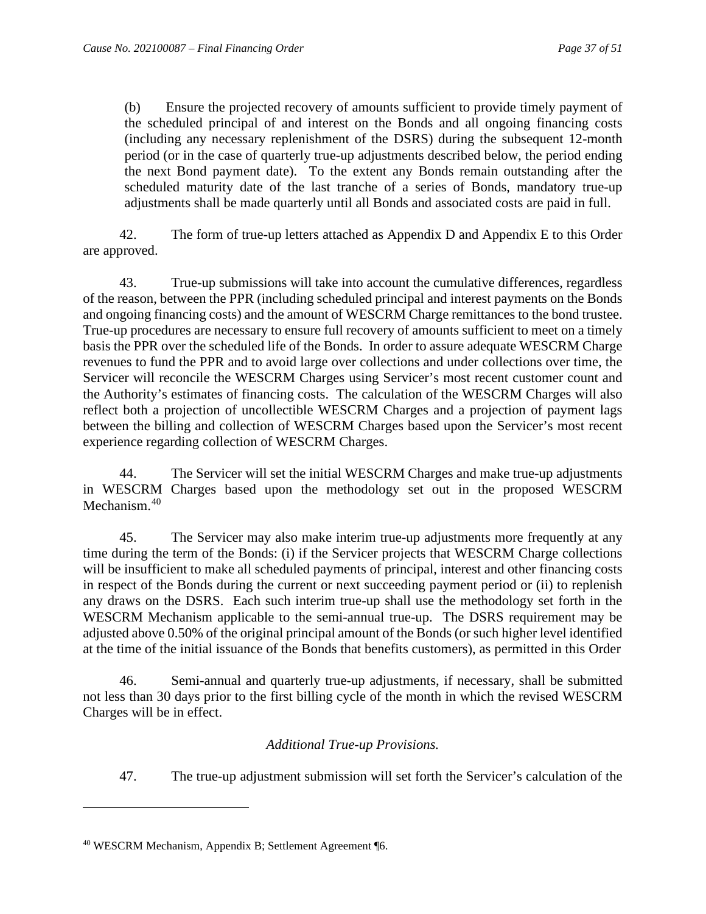(b) Ensure the projected recovery of amounts sufficient to provide timely payment of the scheduled principal of and interest on the Bonds and all ongoing financing costs (including any necessary replenishment of the DSRS) during the subsequent 12-month period (or in the case of quarterly true-up adjustments described below, the period ending the next Bond payment date). To the extent any Bonds remain outstanding after the scheduled maturity date of the last tranche of a series of Bonds, mandatory true-up adjustments shall be made quarterly until all Bonds and associated costs are paid in full.

42. The form of true-up letters attached as Appendix D and Appendix E to this Order are approved.

43. True-up submissions will take into account the cumulative differences, regardless of the reason, between the PPR (including scheduled principal and interest payments on the Bonds and ongoing financing costs) and the amount of WESCRM Charge remittances to the bond trustee. True-up procedures are necessary to ensure full recovery of amounts sufficient to meet on a timely basis the PPR over the scheduled life of the Bonds. In order to assure adequate WESCRM Charge revenues to fund the PPR and to avoid large over collections and under collections over time, the Servicer will reconcile the WESCRM Charges using Servicer's most recent customer count and the Authority's estimates of financing costs. The calculation of the WESCRM Charges will also reflect both a projection of uncollectible WESCRM Charges and a projection of payment lags between the billing and collection of WESCRM Charges based upon the Servicer's most recent experience regarding collection of WESCRM Charges.

44. The Servicer will set the initial WESCRM Charges and make true-up adjustments in WESCRM Charges based upon the methodology set out in the proposed WESCRM Mechanism.<sup>40</sup>

45. The Servicer may also make interim true-up adjustments more frequently at any time during the term of the Bonds: (i) if the Servicer projects that WESCRM Charge collections will be insufficient to make all scheduled payments of principal, interest and other financing costs in respect of the Bonds during the current or next succeeding payment period or (ii) to replenish any draws on the DSRS. Each such interim true-up shall use the methodology set forth in the WESCRM Mechanism applicable to the semi-annual true-up. The DSRS requirement may be adjusted above 0.50% of the original principal amount of the Bonds (or such higher level identified at the time of the initial issuance of the Bonds that benefits customers), as permitted in this Order

46. Semi-annual and quarterly true-up adjustments, if necessary, shall be submitted not less than 30 days prior to the first billing cycle of the month in which the revised WESCRM Charges will be in effect.

## *Additional True-up Provisions.*

47. The true-up adjustment submission will set forth the Servicer's calculation of the

<span id="page-38-0"></span><sup>40</sup> WESCRM Mechanism, Appendix B; Settlement Agreement ¶6.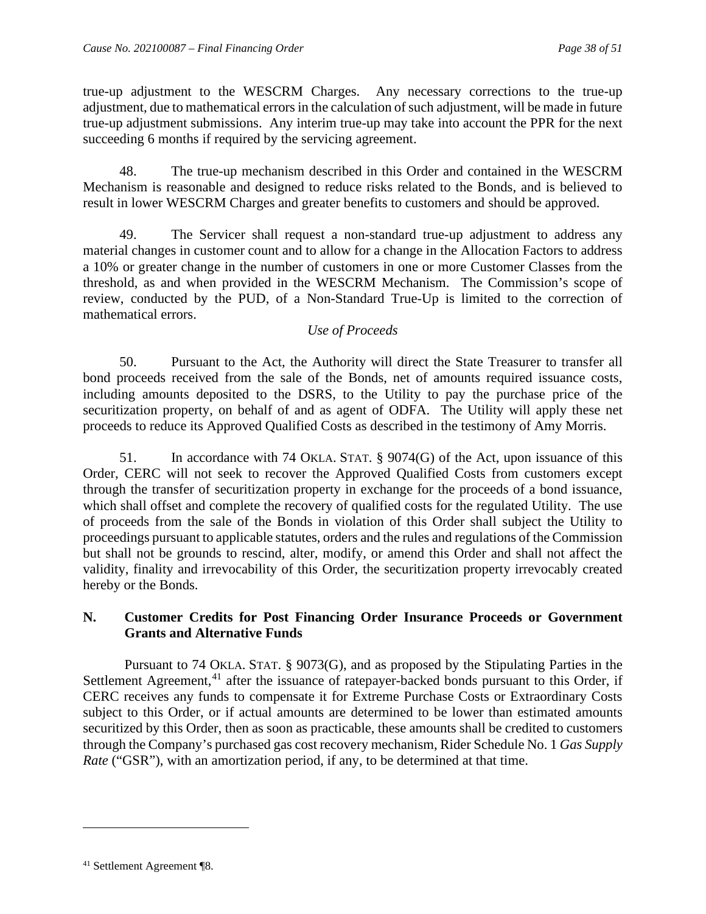true-up adjustment to the WESCRM Charges. Any necessary corrections to the true-up adjustment, due to mathematical errors in the calculation of such adjustment, will be made in future true-up adjustment submissions. Any interim true-up may take into account the PPR for the next succeeding 6 months if required by the servicing agreement.

48. The true-up mechanism described in this Order and contained in the WESCRM Mechanism is reasonable and designed to reduce risks related to the Bonds, and is believed to result in lower WESCRM Charges and greater benefits to customers and should be approved.

49. The Servicer shall request a non-standard true-up adjustment to address any material changes in customer count and to allow for a change in the Allocation Factors to address a 10% or greater change in the number of customers in one or more Customer Classes from the threshold, as and when provided in the WESCRM Mechanism. The Commission's scope of review, conducted by the PUD, of a Non-Standard True-Up is limited to the correction of mathematical errors.

## *Use of Proceeds*

50. Pursuant to the Act, the Authority will direct the State Treasurer to transfer all bond proceeds received from the sale of the Bonds, net of amounts required issuance costs, including amounts deposited to the DSRS, to the Utility to pay the purchase price of the securitization property, on behalf of and as agent of ODFA. The Utility will apply these net proceeds to reduce its Approved Qualified Costs as described in the testimony of Amy Morris.

51. In accordance with 74 OKLA. STAT. § 9074(G) of the Act, upon issuance of this Order, CERC will not seek to recover the Approved Qualified Costs from customers except through the transfer of securitization property in exchange for the proceeds of a bond issuance, which shall offset and complete the recovery of qualified costs for the regulated Utility. The use of proceeds from the sale of the Bonds in violation of this Order shall subject the Utility to proceedings pursuant to applicable statutes, orders and the rules and regulations of the Commission but shall not be grounds to rescind, alter, modify, or amend this Order and shall not affect the validity, finality and irrevocability of this Order, the securitization property irrevocably created hereby or the Bonds.

## **N. Customer Credits for Post Financing Order Insurance Proceeds or Government Grants and Alternative Funds**

Pursuant to 74 OKLA. STAT. § 9073(G), and as proposed by the Stipulating Parties in the Settlement Agreement, $41$  after the issuance of ratepayer-backed bonds pursuant to this Order, if CERC receives any funds to compensate it for Extreme Purchase Costs or Extraordinary Costs subject to this Order, or if actual amounts are determined to be lower than estimated amounts securitized by this Order, then as soon as practicable, these amounts shall be credited to customers through the Company's purchased gas cost recovery mechanism, Rider Schedule No. 1 *Gas Supply Rate* ("GSR"), with an amortization period, if any, to be determined at that time.

<span id="page-39-0"></span><sup>41</sup> Settlement Agreement ¶8.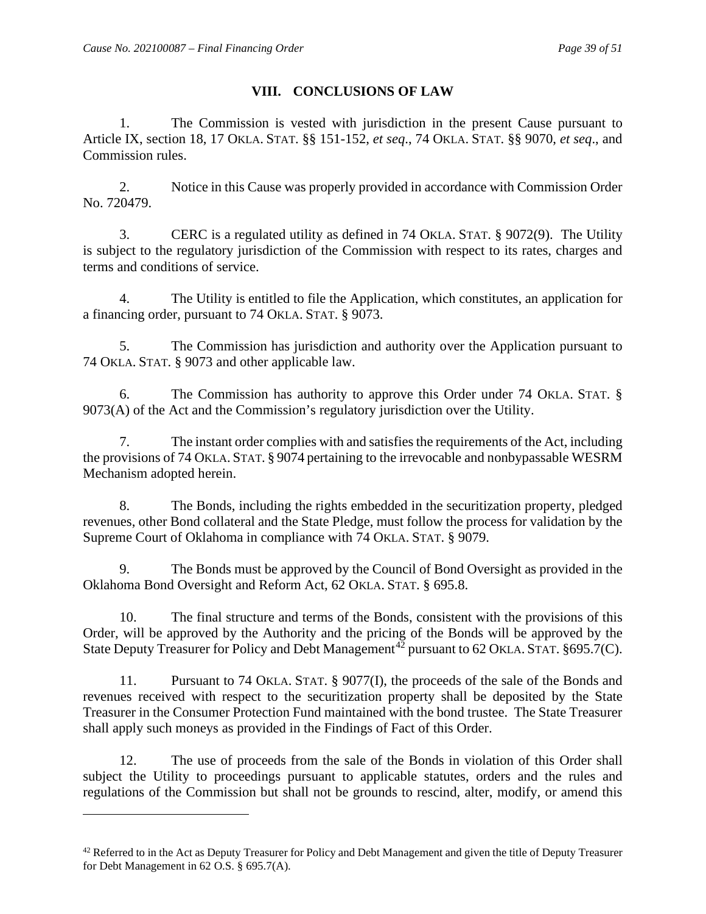## **VIII. CONCLUSIONS OF LAW**

1. The Commission is vested with jurisdiction in the present Cause pursuant to Article IX, section 18, 17 OKLA. STAT. §§ 151-152, *et seq*., 74 OKLA. STAT. §§ 9070, *et seq*., and Commission rules.

2. Notice in this Cause was properly provided in accordance with Commission Order No. 720479.

3. CERC is a regulated utility as defined in 74 OKLA. STAT. § 9072(9). The Utility is subject to the regulatory jurisdiction of the Commission with respect to its rates, charges and terms and conditions of service.

4. The Utility is entitled to file the Application, which constitutes, an application for a financing order, pursuant to 74 OKLA. STAT. § 9073.

5. The Commission has jurisdiction and authority over the Application pursuant to 74 OKLA. STAT. § 9073 and other applicable law.

6. The Commission has authority to approve this Order under 74 OKLA. STAT. § 9073(A) of the Act and the Commission's regulatory jurisdiction over the Utility.

7. The instant order complies with and satisfies the requirements of the Act, including the provisions of 74 OKLA. STAT. § 9074 pertaining to the irrevocable and nonbypassable WESRM Mechanism adopted herein.

8. The Bonds, including the rights embedded in the securitization property, pledged revenues, other Bond collateral and the State Pledge, must follow the process for validation by the Supreme Court of Oklahoma in compliance with 74 OKLA. STAT. § 9079.

9. The Bonds must be approved by the Council of Bond Oversight as provided in the Oklahoma Bond Oversight and Reform Act, 62 OKLA. STAT. § 695.8.

10. The final structure and terms of the Bonds, consistent with the provisions of this Order, will be approved by the Authority and the pricing of the Bonds will be approved by the State Deputy Treasurer for Policy and Debt Management<sup>[42](#page-40-0)</sup> pursuant to 62 OKLA. STAT. §695.7(C).

11. Pursuant to 74 OKLA. STAT. § 9077(I), the proceeds of the sale of the Bonds and revenues received with respect to the securitization property shall be deposited by the State Treasurer in the Consumer Protection Fund maintained with the bond trustee. The State Treasurer shall apply such moneys as provided in the Findings of Fact of this Order.

12. The use of proceeds from the sale of the Bonds in violation of this Order shall subject the Utility to proceedings pursuant to applicable statutes, orders and the rules and regulations of the Commission but shall not be grounds to rescind, alter, modify, or amend this

<span id="page-40-0"></span> $42$  Referred to in the Act as Deputy Treasurer for Policy and Debt Management and given the title of Deputy Treasurer for Debt Management in 62 O.S. § 695.7(A).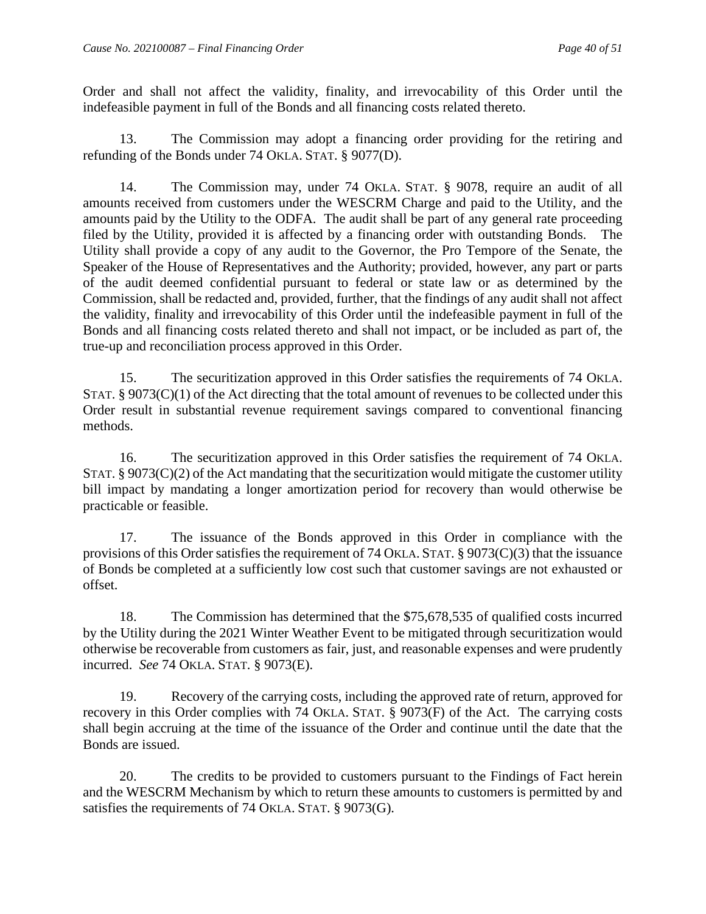Order and shall not affect the validity, finality, and irrevocability of this Order until the indefeasible payment in full of the Bonds and all financing costs related thereto.

13. The Commission may adopt a financing order providing for the retiring and refunding of the Bonds under 74 OKLA. STAT. § 9077(D).

14. The Commission may, under 74 OKLA. STAT. § 9078, require an audit of all amounts received from customers under the WESCRM Charge and paid to the Utility, and the amounts paid by the Utility to the ODFA. The audit shall be part of any general rate proceeding filed by the Utility, provided it is affected by a financing order with outstanding Bonds. The Utility shall provide a copy of any audit to the Governor, the Pro Tempore of the Senate, the Speaker of the House of Representatives and the Authority; provided, however, any part or parts of the audit deemed confidential pursuant to federal or state law or as determined by the Commission, shall be redacted and, provided, further, that the findings of any audit shall not affect the validity, finality and irrevocability of this Order until the indefeasible payment in full of the Bonds and all financing costs related thereto and shall not impact, or be included as part of, the true-up and reconciliation process approved in this Order.

15. The securitization approved in this Order satisfies the requirements of 74 OKLA. STAT. § 9073(C)(1) of the Act directing that the total amount of revenues to be collected under this Order result in substantial revenue requirement savings compared to conventional financing methods.

16. The securitization approved in this Order satisfies the requirement of 74 OKLA. STAT.  $\S 9073(C)(2)$  of the Act mandating that the securitization would mitigate the customer utility bill impact by mandating a longer amortization period for recovery than would otherwise be practicable or feasible.

17. The issuance of the Bonds approved in this Order in compliance with the provisions of this Order satisfies the requirement of 74 OKLA. STAT. § 9073(C)(3) that the issuance of Bonds be completed at a sufficiently low cost such that customer savings are not exhausted or offset.

18. The Commission has determined that the \$75,678,535 of qualified costs incurred by the Utility during the 2021 Winter Weather Event to be mitigated through securitization would otherwise be recoverable from customers as fair, just, and reasonable expenses and were prudently incurred. *See* 74 OKLA. STAT. § 9073(E).

19. Recovery of the carrying costs, including the approved rate of return, approved for recovery in this Order complies with 74 OKLA. STAT. § 9073(F) of the Act. The carrying costs shall begin accruing at the time of the issuance of the Order and continue until the date that the Bonds are issued.

20. The credits to be provided to customers pursuant to the Findings of Fact herein and the WESCRM Mechanism by which to return these amounts to customers is permitted by and satisfies the requirements of 74 OKLA. STAT. § 9073(G).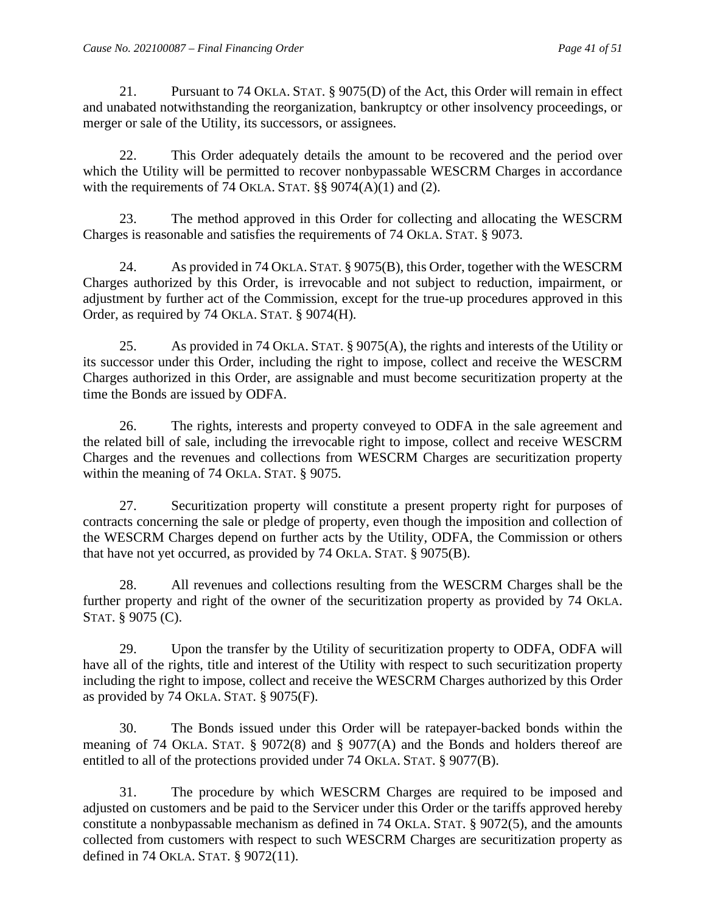21. Pursuant to 74 OKLA. STAT. § 9075(D) of the Act, this Order will remain in effect and unabated notwithstanding the reorganization, bankruptcy or other insolvency proceedings, or merger or sale of the Utility, its successors, or assignees.

22. This Order adequately details the amount to be recovered and the period over which the Utility will be permitted to recover nonbypassable WESCRM Charges in accordance with the requirements of 74 OKLA. STAT.  $\S$ § 9074(A)(1) and (2).

23. The method approved in this Order for collecting and allocating the WESCRM Charges is reasonable and satisfies the requirements of 74 OKLA. STAT. § 9073.

24. As provided in 74 OKLA. STAT. § 9075(B), this Order, together with the WESCRM Charges authorized by this Order, is irrevocable and not subject to reduction, impairment, or adjustment by further act of the Commission, except for the true-up procedures approved in this Order, as required by 74 OKLA. STAT. § 9074(H).

25. As provided in 74 OKLA. STAT. § 9075(A), the rights and interests of the Utility or its successor under this Order, including the right to impose, collect and receive the WESCRM Charges authorized in this Order, are assignable and must become securitization property at the time the Bonds are issued by ODFA.

26. The rights, interests and property conveyed to ODFA in the sale agreement and the related bill of sale, including the irrevocable right to impose, collect and receive WESCRM Charges and the revenues and collections from WESCRM Charges are securitization property within the meaning of 74 OKLA. STAT. § 9075.

27. Securitization property will constitute a present property right for purposes of contracts concerning the sale or pledge of property, even though the imposition and collection of the WESCRM Charges depend on further acts by the Utility, ODFA, the Commission or others that have not yet occurred, as provided by 74 OKLA. STAT. § 9075(B).

28. All revenues and collections resulting from the WESCRM Charges shall be the further property and right of the owner of the securitization property as provided by 74 OKLA. STAT. § 9075 (C).

29. Upon the transfer by the Utility of securitization property to ODFA, ODFA will have all of the rights, title and interest of the Utility with respect to such securitization property including the right to impose, collect and receive the WESCRM Charges authorized by this Order as provided by 74 OKLA. STAT. § 9075(F).

30. The Bonds issued under this Order will be ratepayer-backed bonds within the meaning of 74 OKLA. STAT. § 9072(8) and § 9077(A) and the Bonds and holders thereof are entitled to all of the protections provided under 74 OKLA. STAT. § 9077(B).

31. The procedure by which WESCRM Charges are required to be imposed and adjusted on customers and be paid to the Servicer under this Order or the tariffs approved hereby constitute a nonbypassable mechanism as defined in 74 OKLA. STAT. § 9072(5), and the amounts collected from customers with respect to such WESCRM Charges are securitization property as defined in 74 OKLA. STAT. § 9072(11).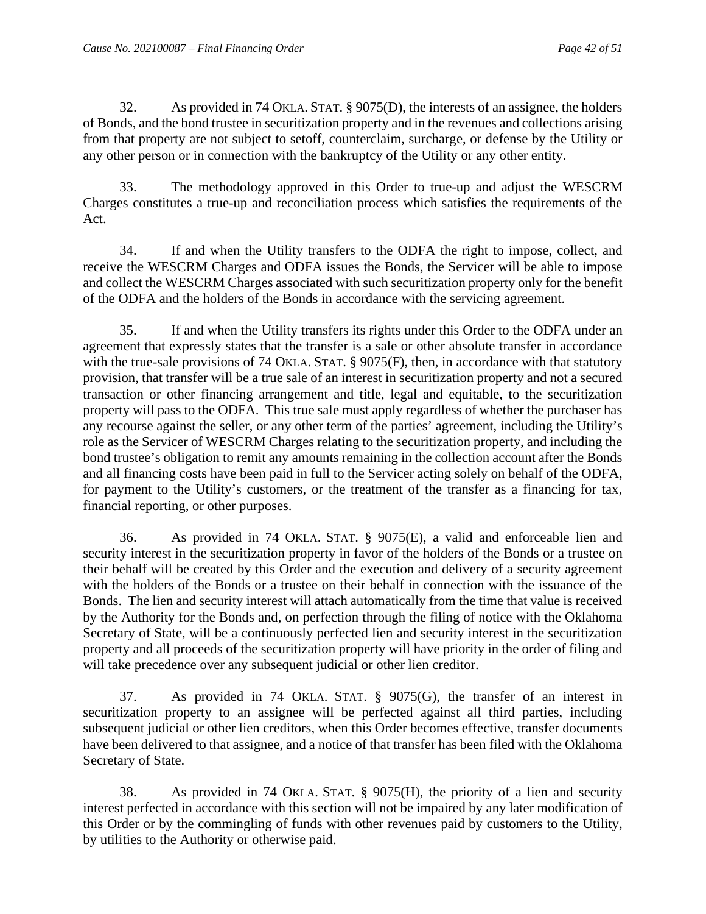32. As provided in 74 OKLA. STAT. § 9075(D), the interests of an assignee, the holders of Bonds, and the bond trustee in securitization property and in the revenues and collections arising from that property are not subject to setoff, counterclaim, surcharge, or defense by the Utility or any other person or in connection with the bankruptcy of the Utility or any other entity.

33. The methodology approved in this Order to true-up and adjust the WESCRM Charges constitutes a true-up and reconciliation process which satisfies the requirements of the Act.

34. If and when the Utility transfers to the ODFA the right to impose, collect, and receive the WESCRM Charges and ODFA issues the Bonds, the Servicer will be able to impose and collect the WESCRM Charges associated with such securitization property only for the benefit of the ODFA and the holders of the Bonds in accordance with the servicing agreement.

35. If and when the Utility transfers its rights under this Order to the ODFA under an agreement that expressly states that the transfer is a sale or other absolute transfer in accordance with the true-sale provisions of 74 OKLA. STAT. § 9075(F), then, in accordance with that statutory provision, that transfer will be a true sale of an interest in securitization property and not a secured transaction or other financing arrangement and title, legal and equitable, to the securitization property will pass to the ODFA. This true sale must apply regardless of whether the purchaser has any recourse against the seller, or any other term of the parties' agreement, including the Utility's role as the Servicer of WESCRM Charges relating to the securitization property, and including the bond trustee's obligation to remit any amounts remaining in the collection account after the Bonds and all financing costs have been paid in full to the Servicer acting solely on behalf of the ODFA, for payment to the Utility's customers, or the treatment of the transfer as a financing for tax, financial reporting, or other purposes.

36. As provided in 74 OKLA. STAT. § 9075(E), a valid and enforceable lien and security interest in the securitization property in favor of the holders of the Bonds or a trustee on their behalf will be created by this Order and the execution and delivery of a security agreement with the holders of the Bonds or a trustee on their behalf in connection with the issuance of the Bonds. The lien and security interest will attach automatically from the time that value is received by the Authority for the Bonds and, on perfection through the filing of notice with the Oklahoma Secretary of State, will be a continuously perfected lien and security interest in the securitization property and all proceeds of the securitization property will have priority in the order of filing and will take precedence over any subsequent judicial or other lien creditor.

37. As provided in 74 OKLA. STAT. § 9075(G), the transfer of an interest in securitization property to an assignee will be perfected against all third parties, including subsequent judicial or other lien creditors, when this Order becomes effective, transfer documents have been delivered to that assignee, and a notice of that transfer has been filed with the Oklahoma Secretary of State.

38. As provided in 74 OKLA. STAT. § 9075(H), the priority of a lien and security interest perfected in accordance with this section will not be impaired by any later modification of this Order or by the commingling of funds with other revenues paid by customers to the Utility, by utilities to the Authority or otherwise paid.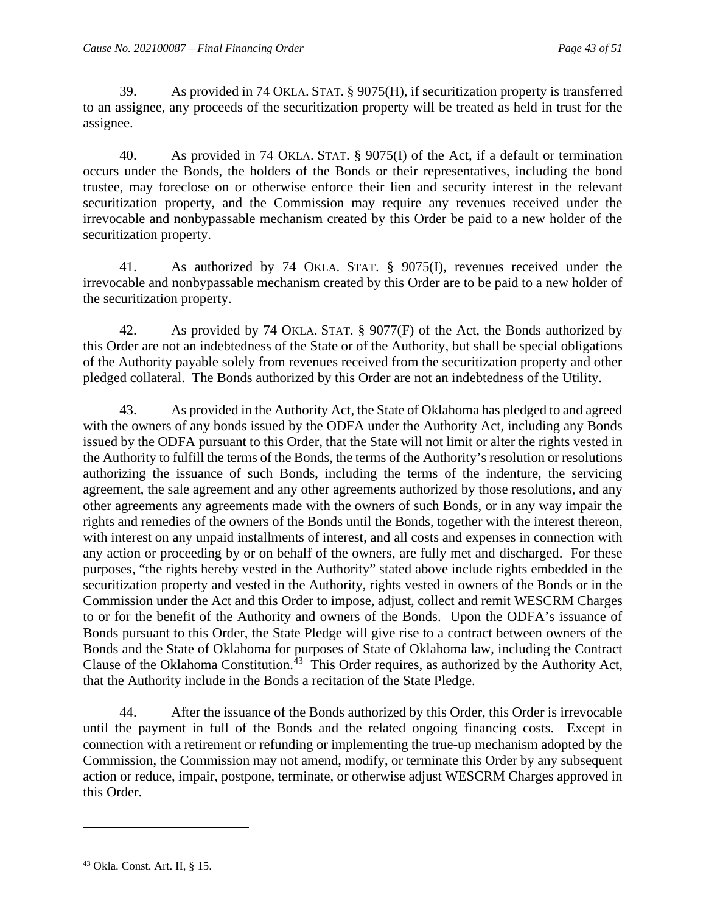39. As provided in 74 OKLA. STAT. § 9075(H), if securitization property is transferred to an assignee, any proceeds of the securitization property will be treated as held in trust for the assignee.

40. As provided in 74 OKLA. STAT. § 9075(I) of the Act, if a default or termination occurs under the Bonds, the holders of the Bonds or their representatives, including the bond trustee, may foreclose on or otherwise enforce their lien and security interest in the relevant securitization property, and the Commission may require any revenues received under the irrevocable and nonbypassable mechanism created by this Order be paid to a new holder of the securitization property.

41. As authorized by 74 OKLA. STAT. § 9075(I), revenues received under the irrevocable and nonbypassable mechanism created by this Order are to be paid to a new holder of the securitization property.

42. As provided by 74 OKLA. STAT. § 9077(F) of the Act, the Bonds authorized by this Order are not an indebtedness of the State or of the Authority, but shall be special obligations of the Authority payable solely from revenues received from the securitization property and other pledged collateral. The Bonds authorized by this Order are not an indebtedness of the Utility.

43. As provided in the Authority Act, the State of Oklahoma has pledged to and agreed with the owners of any bonds issued by the ODFA under the Authority Act, including any Bonds issued by the ODFA pursuant to this Order, that the State will not limit or alter the rights vested in the Authority to fulfill the terms of the Bonds, the terms of the Authority's resolution or resolutions authorizing the issuance of such Bonds, including the terms of the indenture, the servicing agreement, the sale agreement and any other agreements authorized by those resolutions, and any other agreements any agreements made with the owners of such Bonds, or in any way impair the rights and remedies of the owners of the Bonds until the Bonds, together with the interest thereon, with interest on any unpaid installments of interest, and all costs and expenses in connection with any action or proceeding by or on behalf of the owners, are fully met and discharged. For these purposes, "the rights hereby vested in the Authority" stated above include rights embedded in the securitization property and vested in the Authority, rights vested in owners of the Bonds or in the Commission under the Act and this Order to impose, adjust, collect and remit WESCRM Charges to or for the benefit of the Authority and owners of the Bonds. Upon the ODFA's issuance of Bonds pursuant to this Order, the State Pledge will give rise to a contract between owners of the Bonds and the State of Oklahoma for purposes of State of Oklahoma law, including the Contract Clause of the Oklahoma Constitution.<sup>[43](#page-44-0)</sup> This Order requires, as authorized by the Authority Act, that the Authority include in the Bonds a recitation of the State Pledge.

44. After the issuance of the Bonds authorized by this Order, this Order is irrevocable until the payment in full of the Bonds and the related ongoing financing costs. Except in connection with a retirement or refunding or implementing the true-up mechanism adopted by the Commission, the Commission may not amend, modify, or terminate this Order by any subsequent action or reduce, impair, postpone, terminate, or otherwise adjust WESCRM Charges approved in this Order.

<span id="page-44-0"></span><sup>43</sup> Okla. Const. Art. II, § 15.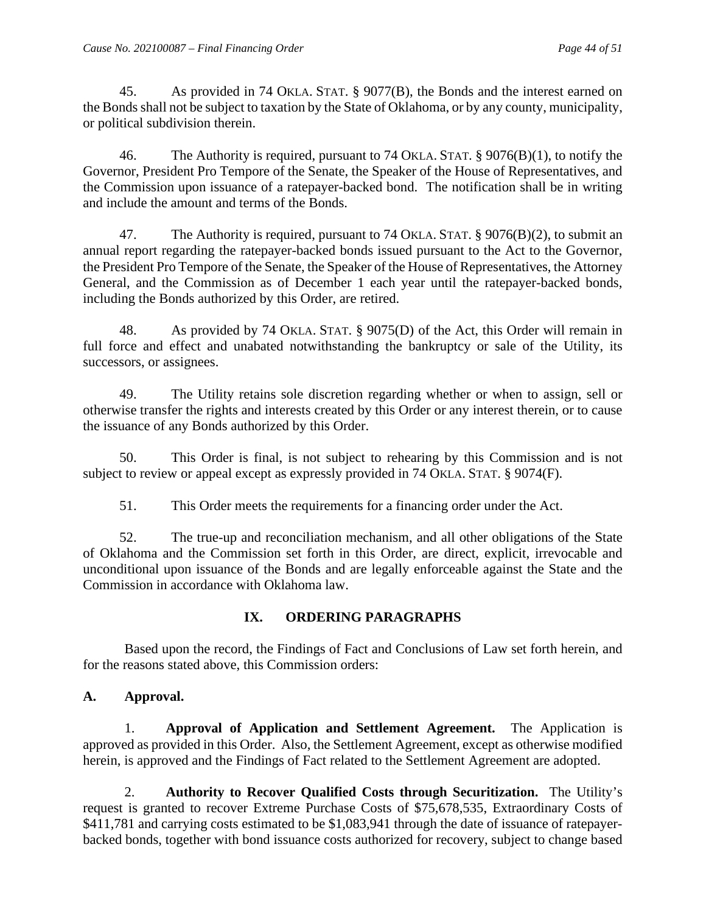45. As provided in 74 OKLA. STAT. § 9077(B), the Bonds and the interest earned on the Bonds shall not be subject to taxation by the State of Oklahoma, or by any county, municipality, or political subdivision therein.

46. The Authority is required, pursuant to 74 OKLA. STAT. § 9076(B)(1), to notify the Governor, President Pro Tempore of the Senate, the Speaker of the House of Representatives, and the Commission upon issuance of a ratepayer-backed bond. The notification shall be in writing and include the amount and terms of the Bonds.

47. The Authority is required, pursuant to 74 OKLA. STAT. § 9076(B)(2), to submit an annual report regarding the ratepayer-backed bonds issued pursuant to the Act to the Governor, the President Pro Tempore of the Senate, the Speaker of the House of Representatives, the Attorney General, and the Commission as of December 1 each year until the ratepayer-backed bonds, including the Bonds authorized by this Order, are retired.

48. As provided by 74 OKLA. STAT. § 9075(D) of the Act, this Order will remain in full force and effect and unabated notwithstanding the bankruptcy or sale of the Utility, its successors, or assignees.

49. The Utility retains sole discretion regarding whether or when to assign, sell or otherwise transfer the rights and interests created by this Order or any interest therein, or to cause the issuance of any Bonds authorized by this Order.

50. This Order is final, is not subject to rehearing by this Commission and is not subject to review or appeal except as expressly provided in 74 OKLA. STAT. § 9074(F).

51. This Order meets the requirements for a financing order under the Act.

52. The true-up and reconciliation mechanism, and all other obligations of the State of Oklahoma and the Commission set forth in this Order, are direct, explicit, irrevocable and unconditional upon issuance of the Bonds and are legally enforceable against the State and the Commission in accordance with Oklahoma law.

# **IX. ORDERING PARAGRAPHS**

Based upon the record, the Findings of Fact and Conclusions of Law set forth herein, and for the reasons stated above, this Commission orders:

## **A. Approval.**

1. **Approval of Application and Settlement Agreement.** The Application is approved as provided in this Order. Also, the Settlement Agreement, except as otherwise modified herein, is approved and the Findings of Fact related to the Settlement Agreement are adopted.

2. **Authority to Recover Qualified Costs through Securitization.** The Utility's request is granted to recover Extreme Purchase Costs of \$75,678,535, Extraordinary Costs of \$411,781 and carrying costs estimated to be \$1,083,941 through the date of issuance of ratepayerbacked bonds, together with bond issuance costs authorized for recovery, subject to change based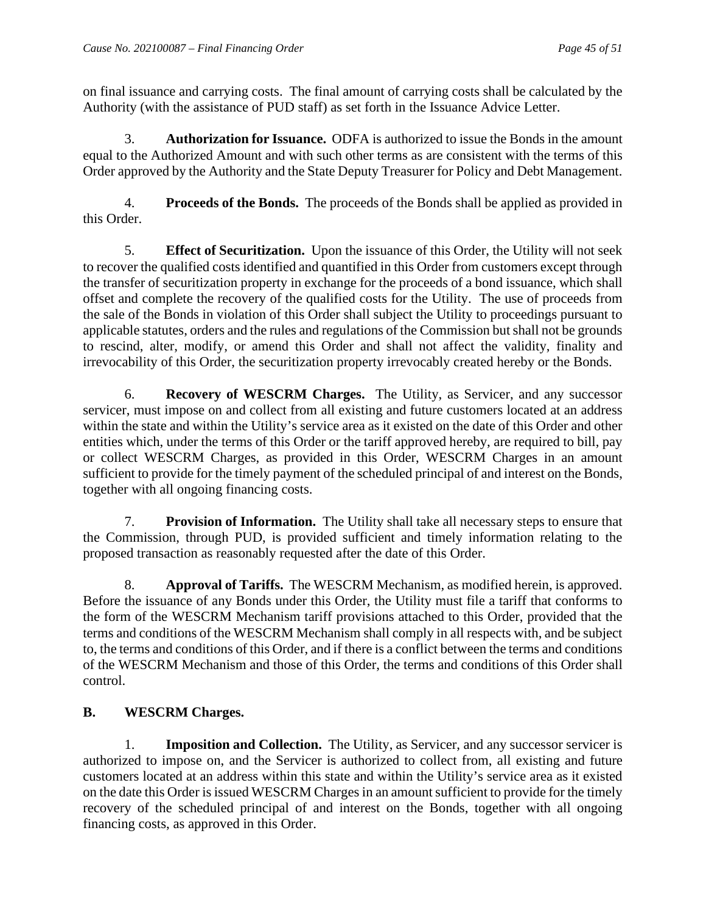on final issuance and carrying costs. The final amount of carrying costs shall be calculated by the Authority (with the assistance of PUD staff) as set forth in the Issuance Advice Letter.

3. **Authorization for Issuance.** ODFA is authorized to issue the Bonds in the amount equal to the Authorized Amount and with such other terms as are consistent with the terms of this Order approved by the Authority and the State Deputy Treasurer for Policy and Debt Management.

4. **Proceeds of the Bonds.** The proceeds of the Bonds shall be applied as provided in this Order.

5. **Effect of Securitization.** Upon the issuance of this Order, the Utility will not seek to recover the qualified costs identified and quantified in this Order from customers except through the transfer of securitization property in exchange for the proceeds of a bond issuance, which shall offset and complete the recovery of the qualified costs for the Utility. The use of proceeds from the sale of the Bonds in violation of this Order shall subject the Utility to proceedings pursuant to applicable statutes, orders and the rules and regulations of the Commission but shall not be grounds to rescind, alter, modify, or amend this Order and shall not affect the validity, finality and irrevocability of this Order, the securitization property irrevocably created hereby or the Bonds.

6. **Recovery of WESCRM Charges.** The Utility, as Servicer, and any successor servicer, must impose on and collect from all existing and future customers located at an address within the state and within the Utility's service area as it existed on the date of this Order and other entities which, under the terms of this Order or the tariff approved hereby, are required to bill, pay or collect WESCRM Charges, as provided in this Order, WESCRM Charges in an amount sufficient to provide for the timely payment of the scheduled principal of and interest on the Bonds, together with all ongoing financing costs.

7. **Provision of Information.** The Utility shall take all necessary steps to ensure that the Commission, through PUD, is provided sufficient and timely information relating to the proposed transaction as reasonably requested after the date of this Order.

8. **Approval of Tariffs.** The WESCRM Mechanism, as modified herein, is approved. Before the issuance of any Bonds under this Order, the Utility must file a tariff that conforms to the form of the WESCRM Mechanism tariff provisions attached to this Order, provided that the terms and conditions of the WESCRM Mechanism shall comply in all respects with, and be subject to, the terms and conditions of this Order, and if there is a conflict between the terms and conditions of the WESCRM Mechanism and those of this Order, the terms and conditions of this Order shall control.

# **B. WESCRM Charges.**

1. **Imposition and Collection.** The Utility, as Servicer, and any successor servicer is authorized to impose on, and the Servicer is authorized to collect from, all existing and future customers located at an address within this state and within the Utility's service area as it existed on the date this Order is issued WESCRM Charges in an amount sufficient to provide for the timely recovery of the scheduled principal of and interest on the Bonds, together with all ongoing financing costs, as approved in this Order.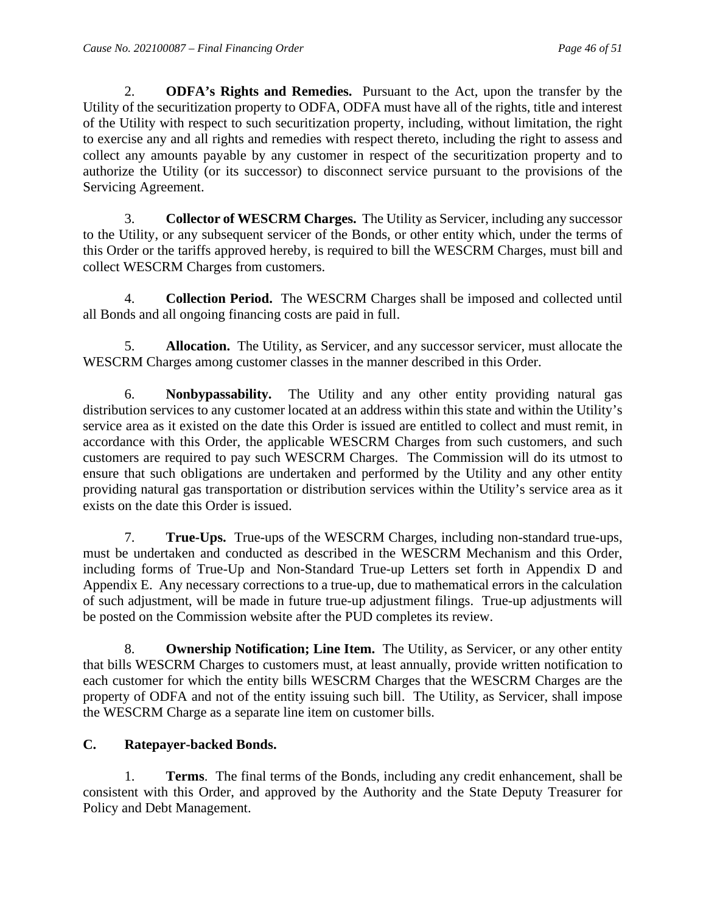2. **ODFA's Rights and Remedies.** Pursuant to the Act, upon the transfer by the Utility of the securitization property to ODFA, ODFA must have all of the rights, title and interest of the Utility with respect to such securitization property, including, without limitation, the right to exercise any and all rights and remedies with respect thereto, including the right to assess and collect any amounts payable by any customer in respect of the securitization property and to authorize the Utility (or its successor) to disconnect service pursuant to the provisions of the Servicing Agreement.

3. **Collector of WESCRM Charges.** The Utility as Servicer, including any successor to the Utility, or any subsequent servicer of the Bonds, or other entity which, under the terms of this Order or the tariffs approved hereby, is required to bill the WESCRM Charges, must bill and collect WESCRM Charges from customers.

4. **Collection Period.** The WESCRM Charges shall be imposed and collected until all Bonds and all ongoing financing costs are paid in full.

5. **Allocation.** The Utility, as Servicer, and any successor servicer, must allocate the WESCRM Charges among customer classes in the manner described in this Order.

6. **Nonbypassability.** The Utility and any other entity providing natural gas distribution services to any customer located at an address within this state and within the Utility's service area as it existed on the date this Order is issued are entitled to collect and must remit, in accordance with this Order, the applicable WESCRM Charges from such customers, and such customers are required to pay such WESCRM Charges. The Commission will do its utmost to ensure that such obligations are undertaken and performed by the Utility and any other entity providing natural gas transportation or distribution services within the Utility's service area as it exists on the date this Order is issued.

7. **True-Ups.** True-ups of the WESCRM Charges, including non-standard true-ups, must be undertaken and conducted as described in the WESCRM Mechanism and this Order, including forms of True-Up and Non-Standard True-up Letters set forth in Appendix D and Appendix E. Any necessary corrections to a true-up, due to mathematical errors in the calculation of such adjustment, will be made in future true-up adjustment filings. True-up adjustments will be posted on the Commission website after the PUD completes its review.

8. **Ownership Notification; Line Item.** The Utility, as Servicer, or any other entity that bills WESCRM Charges to customers must, at least annually, provide written notification to each customer for which the entity bills WESCRM Charges that the WESCRM Charges are the property of ODFA and not of the entity issuing such bill. The Utility, as Servicer, shall impose the WESCRM Charge as a separate line item on customer bills.

# **C. Ratepayer-backed Bonds.**

1. **Terms**. The final terms of the Bonds, including any credit enhancement, shall be consistent with this Order, and approved by the Authority and the State Deputy Treasurer for Policy and Debt Management.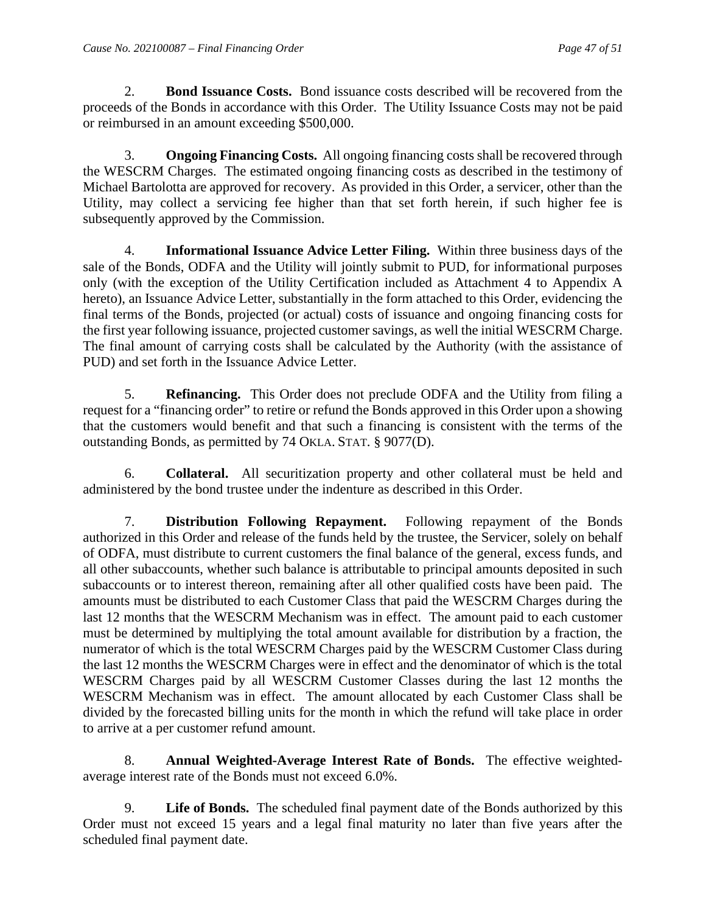2. **Bond Issuance Costs.** Bond issuance costs described will be recovered from the proceeds of the Bonds in accordance with this Order. The Utility Issuance Costs may not be paid or reimbursed in an amount exceeding \$500,000.

3. **Ongoing Financing Costs.** All ongoing financing costs shall be recovered through the WESCRM Charges. The estimated ongoing financing costs as described in the testimony of Michael Bartolotta are approved for recovery. As provided in this Order, a servicer, other than the Utility, may collect a servicing fee higher than that set forth herein, if such higher fee is subsequently approved by the Commission.

4. **Informational Issuance Advice Letter Filing.** Within three business days of the sale of the Bonds, ODFA and the Utility will jointly submit to PUD, for informational purposes only (with the exception of the Utility Certification included as Attachment 4 to Appendix A hereto), an Issuance Advice Letter, substantially in the form attached to this Order, evidencing the final terms of the Bonds, projected (or actual) costs of issuance and ongoing financing costs for the first year following issuance, projected customer savings, as well the initial WESCRM Charge. The final amount of carrying costs shall be calculated by the Authority (with the assistance of PUD) and set forth in the Issuance Advice Letter.

5. **Refinancing.** This Order does not preclude ODFA and the Utility from filing a request for a "financing order" to retire or refund the Bonds approved in this Order upon a showing that the customers would benefit and that such a financing is consistent with the terms of the outstanding Bonds, as permitted by 74 OKLA. STAT. § 9077(D).

6. **Collateral.** All securitization property and other collateral must be held and administered by the bond trustee under the indenture as described in this Order.

7. **Distribution Following Repayment.** Following repayment of the Bonds authorized in this Order and release of the funds held by the trustee, the Servicer, solely on behalf of ODFA, must distribute to current customers the final balance of the general, excess funds, and all other subaccounts, whether such balance is attributable to principal amounts deposited in such subaccounts or to interest thereon, remaining after all other qualified costs have been paid. The amounts must be distributed to each Customer Class that paid the WESCRM Charges during the last 12 months that the WESCRM Mechanism was in effect. The amount paid to each customer must be determined by multiplying the total amount available for distribution by a fraction, the numerator of which is the total WESCRM Charges paid by the WESCRM Customer Class during the last 12 months the WESCRM Charges were in effect and the denominator of which is the total WESCRM Charges paid by all WESCRM Customer Classes during the last 12 months the WESCRM Mechanism was in effect. The amount allocated by each Customer Class shall be divided by the forecasted billing units for the month in which the refund will take place in order to arrive at a per customer refund amount.

8. **Annual Weighted-Average Interest Rate of Bonds.** The effective weightedaverage interest rate of the Bonds must not exceed 6.0%.

9. **Life of Bonds.** The scheduled final payment date of the Bonds authorized by this Order must not exceed 15 years and a legal final maturity no later than five years after the scheduled final payment date.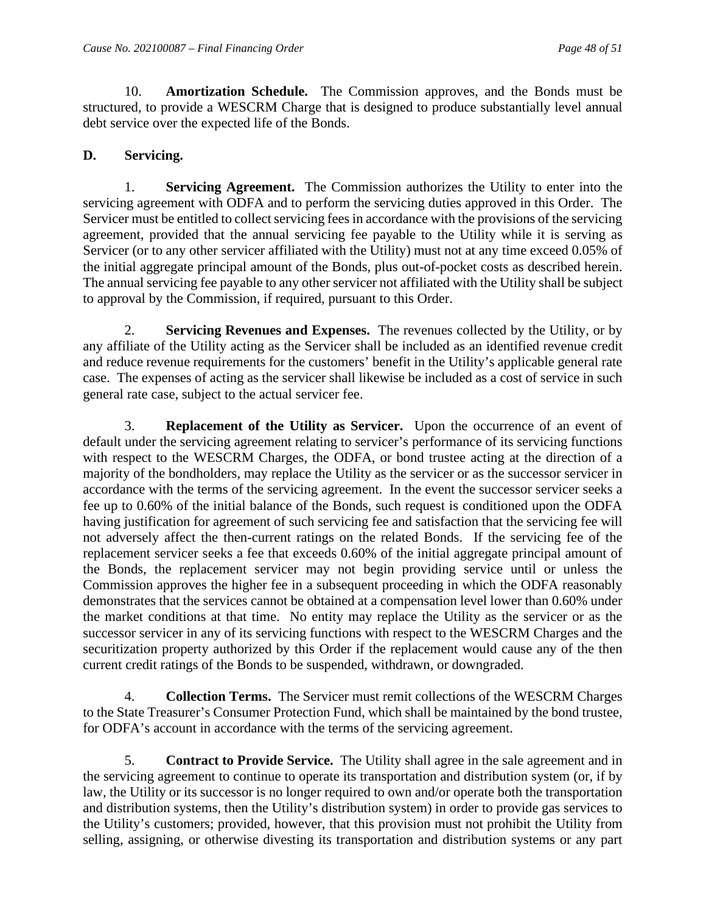10. **Amortization Schedule.** The Commission approves, and the Bonds must be structured, to provide a WESCRM Charge that is designed to produce substantially level annual debt service over the expected life of the Bonds.

## **D. Servicing.**

1. **Servicing Agreement.** The Commission authorizes the Utility to enter into the servicing agreement with ODFA and to perform the servicing duties approved in this Order. The Servicer must be entitled to collect servicing fees in accordance with the provisions of the servicing agreement, provided that the annual servicing fee payable to the Utility while it is serving as Servicer (or to any other servicer affiliated with the Utility) must not at any time exceed 0.05% of the initial aggregate principal amount of the Bonds, plus out-of-pocket costs as described herein. The annual servicing fee payable to any other servicer not affiliated with the Utility shall be subject to approval by the Commission, if required, pursuant to this Order.

2. **Servicing Revenues and Expenses.** The revenues collected by the Utility, or by any affiliate of the Utility acting as the Servicer shall be included as an identified revenue credit and reduce revenue requirements for the customers' benefit in the Utility's applicable general rate case. The expenses of acting as the servicer shall likewise be included as a cost of service in such general rate case, subject to the actual servicer fee.

3. **Replacement of the Utility as Servicer.** Upon the occurrence of an event of default under the servicing agreement relating to servicer's performance of its servicing functions with respect to the WESCRM Charges, the ODFA, or bond trustee acting at the direction of a majority of the bondholders, may replace the Utility as the servicer or as the successor servicer in accordance with the terms of the servicing agreement. In the event the successor servicer seeks a fee up to 0.60% of the initial balance of the Bonds, such request is conditioned upon the ODFA having justification for agreement of such servicing fee and satisfaction that the servicing fee will not adversely affect the then-current ratings on the related Bonds. If the servicing fee of the replacement servicer seeks a fee that exceeds 0.60% of the initial aggregate principal amount of the Bonds, the replacement servicer may not begin providing service until or unless the Commission approves the higher fee in a subsequent proceeding in which the ODFA reasonably demonstrates that the services cannot be obtained at a compensation level lower than 0.60% under the market conditions at that time. No entity may replace the Utility as the servicer or as the successor servicer in any of its servicing functions with respect to the WESCRM Charges and the securitization property authorized by this Order if the replacement would cause any of the then current credit ratings of the Bonds to be suspended, withdrawn, or downgraded.

4. **Collection Terms.** The Servicer must remit collections of the WESCRM Charges to the State Treasurer's Consumer Protection Fund, which shall be maintained by the bond trustee, for ODFA's account in accordance with the terms of the servicing agreement.

5. **Contract to Provide Service.** The Utility shall agree in the sale agreement and in the servicing agreement to continue to operate its transportation and distribution system (or, if by law, the Utility or its successor is no longer required to own and/or operate both the transportation and distribution systems, then the Utility's distribution system) in order to provide gas services to the Utility's customers; provided, however, that this provision must not prohibit the Utility from selling, assigning, or otherwise divesting its transportation and distribution systems or any part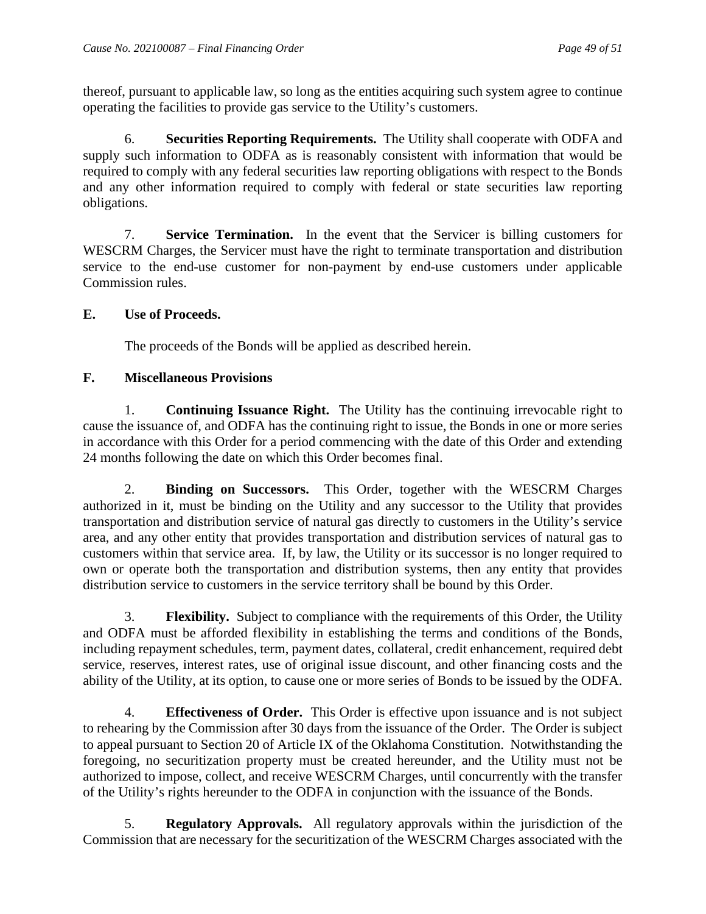thereof, pursuant to applicable law, so long as the entities acquiring such system agree to continue operating the facilities to provide gas service to the Utility's customers.

6. **Securities Reporting Requirements.** The Utility shall cooperate with ODFA and supply such information to ODFA as is reasonably consistent with information that would be required to comply with any federal securities law reporting obligations with respect to the Bonds and any other information required to comply with federal or state securities law reporting obligations.

7. **Service Termination.** In the event that the Servicer is billing customers for WESCRM Charges, the Servicer must have the right to terminate transportation and distribution service to the end-use customer for non-payment by end-use customers under applicable Commission rules.

## **E. Use of Proceeds.**

The proceeds of the Bonds will be applied as described herein.

## **F. Miscellaneous Provisions**

1. **Continuing Issuance Right.** The Utility has the continuing irrevocable right to cause the issuance of, and ODFA has the continuing right to issue, the Bonds in one or more series in accordance with this Order for a period commencing with the date of this Order and extending 24 months following the date on which this Order becomes final.

2. **Binding on Successors.** This Order, together with the WESCRM Charges authorized in it, must be binding on the Utility and any successor to the Utility that provides transportation and distribution service of natural gas directly to customers in the Utility's service area, and any other entity that provides transportation and distribution services of natural gas to customers within that service area. If, by law, the Utility or its successor is no longer required to own or operate both the transportation and distribution systems, then any entity that provides distribution service to customers in the service territory shall be bound by this Order.

3. **Flexibility.** Subject to compliance with the requirements of this Order, the Utility and ODFA must be afforded flexibility in establishing the terms and conditions of the Bonds, including repayment schedules, term, payment dates, collateral, credit enhancement, required debt service, reserves, interest rates, use of original issue discount, and other financing costs and the ability of the Utility, at its option, to cause one or more series of Bonds to be issued by the ODFA.

4. **Effectiveness of Order.** This Order is effective upon issuance and is not subject to rehearing by the Commission after 30 days from the issuance of the Order. The Order is subject to appeal pursuant to Section 20 of Article IX of the Oklahoma Constitution. Notwithstanding the foregoing, no securitization property must be created hereunder, and the Utility must not be authorized to impose, collect, and receive WESCRM Charges, until concurrently with the transfer of the Utility's rights hereunder to the ODFA in conjunction with the issuance of the Bonds.

5. **Regulatory Approvals.** All regulatory approvals within the jurisdiction of the Commission that are necessary for the securitization of the WESCRM Charges associated with the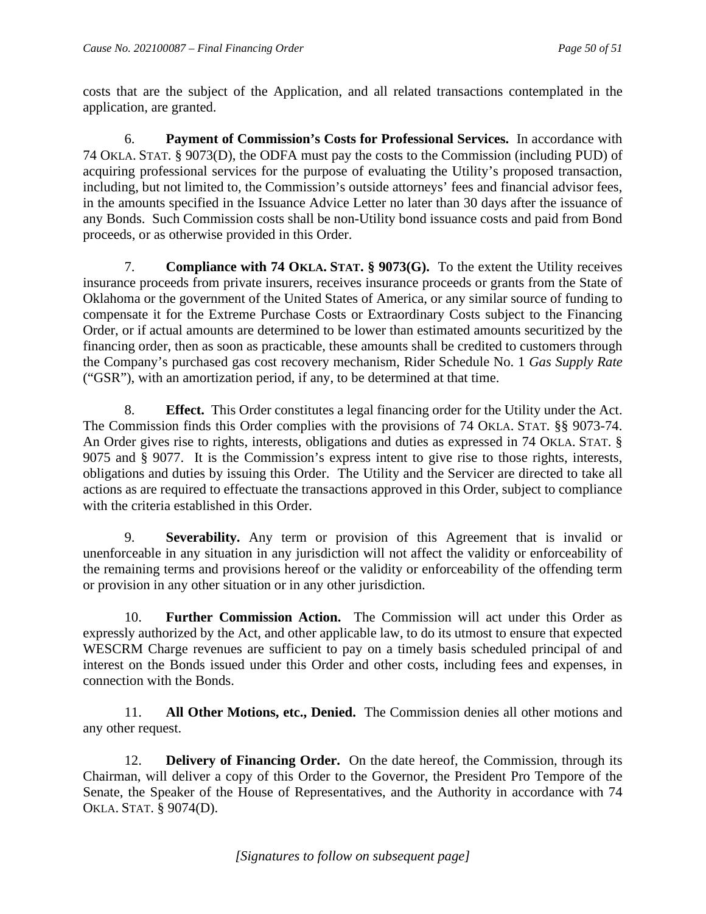costs that are the subject of the Application, and all related transactions contemplated in the application, are granted.

6. **Payment of Commission's Costs for Professional Services.** In accordance with 74 OKLA. STAT. § 9073(D), the ODFA must pay the costs to the Commission (including PUD) of acquiring professional services for the purpose of evaluating the Utility's proposed transaction, including, but not limited to, the Commission's outside attorneys' fees and financial advisor fees, in the amounts specified in the Issuance Advice Letter no later than 30 days after the issuance of any Bonds. Such Commission costs shall be non-Utility bond issuance costs and paid from Bond proceeds, or as otherwise provided in this Order.

7. **Compliance with 74 OKLA. STAT. § 9073(G).** To the extent the Utility receives insurance proceeds from private insurers, receives insurance proceeds or grants from the State of Oklahoma or the government of the United States of America, or any similar source of funding to compensate it for the Extreme Purchase Costs or Extraordinary Costs subject to the Financing Order, or if actual amounts are determined to be lower than estimated amounts securitized by the financing order, then as soon as practicable, these amounts shall be credited to customers through the Company's purchased gas cost recovery mechanism, Rider Schedule No. 1 *Gas Supply Rate* ("GSR"), with an amortization period, if any, to be determined at that time.

8. **Effect.** This Order constitutes a legal financing order for the Utility under the Act. The Commission finds this Order complies with the provisions of 74 OKLA. STAT. §§ 9073-74. An Order gives rise to rights, interests, obligations and duties as expressed in 74 OKLA. STAT. § 9075 and § 9077. It is the Commission's express intent to give rise to those rights, interests, obligations and duties by issuing this Order. The Utility and the Servicer are directed to take all actions as are required to effectuate the transactions approved in this Order, subject to compliance with the criteria established in this Order.

9. **Severability.** Any term or provision of this Agreement that is invalid or unenforceable in any situation in any jurisdiction will not affect the validity or enforceability of the remaining terms and provisions hereof or the validity or enforceability of the offending term or provision in any other situation or in any other jurisdiction.

10. **Further Commission Action.** The Commission will act under this Order as expressly authorized by the Act, and other applicable law, to do its utmost to ensure that expected WESCRM Charge revenues are sufficient to pay on a timely basis scheduled principal of and interest on the Bonds issued under this Order and other costs, including fees and expenses, in connection with the Bonds.

11. **All Other Motions, etc., Denied.** The Commission denies all other motions and any other request.

12. **Delivery of Financing Order.** On the date hereof, the Commission, through its Chairman, will deliver a copy of this Order to the Governor, the President Pro Tempore of the Senate, the Speaker of the House of Representatives, and the Authority in accordance with 74 OKLA. STAT. § 9074(D).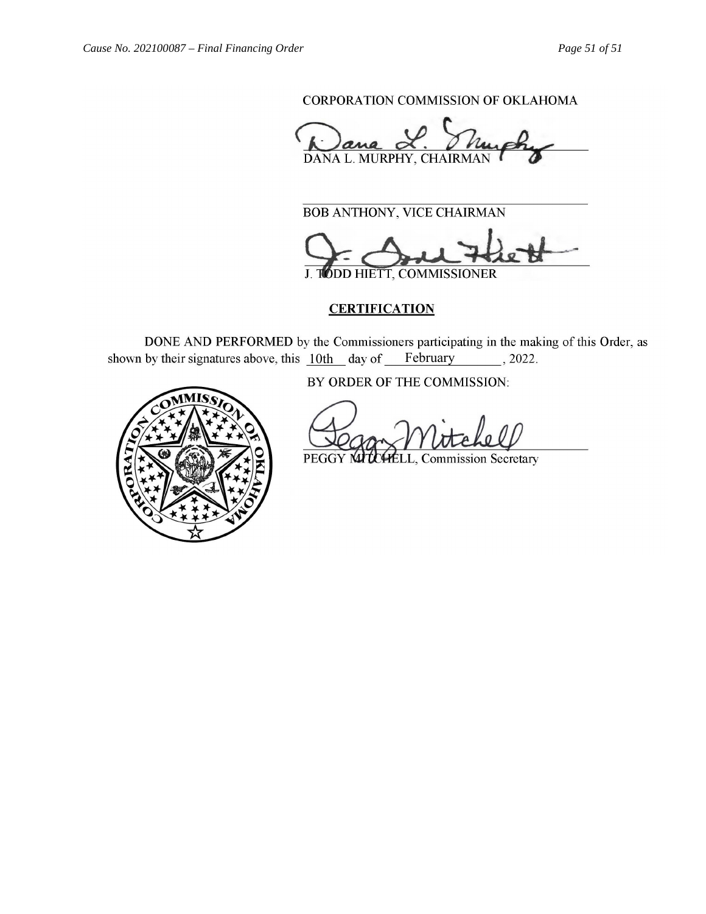CORPORATION COMMISSION OF OKLAHOMA

DANA L. MURPHY, CHAIRMAN

 $\overline{\text{ATEUOMV}}$   $\overline{\text{UGCF}}$   $\overline{\text{CULUDMAM}}$ BOB ANTHONY, VICE CHAIRMAN

 $\sim$ DD HIETT, COMMISSIONER

# **CERTIFICATION**

DONE AND PERFORMED by the Commissioners participating in the making of this Order, as wh by their signatures above, this  $10th$  day of February 3022.



BY ORDER OF THE COMMISSION:

\_\_\_\_\_\_\_\_\_\_\_\_\_\_\_\_\_\_\_\_\_\_\_\_\_\_\_\_\_\_\_\_\_\_\_\_

PEGGY MITCHELL, Commission Secretary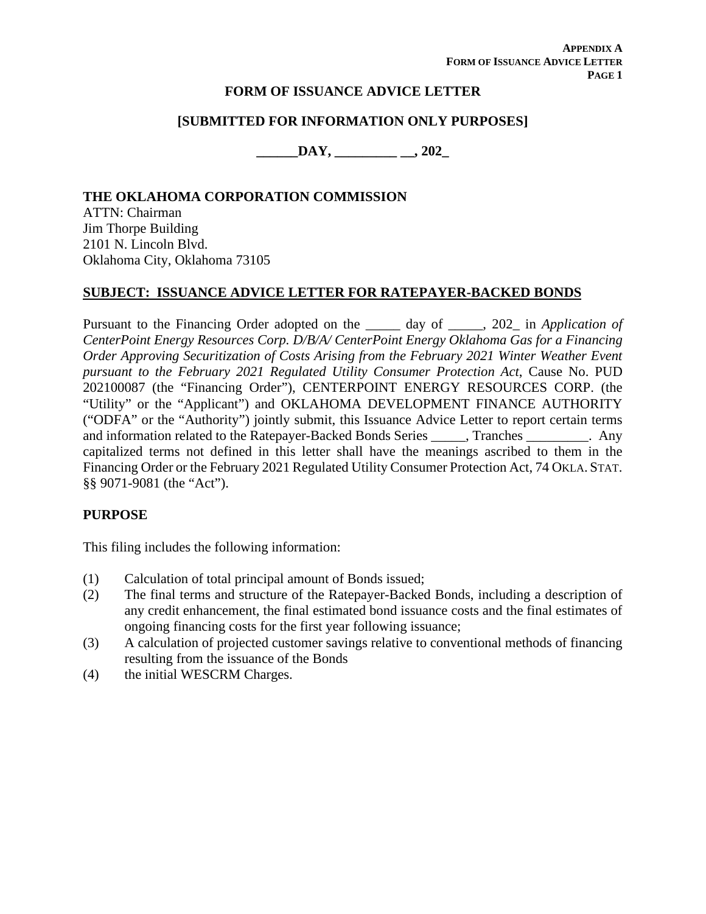**APPENDIX A FORM OF ISSUANCE ADVICE LETTER PAGE 1**

### **FORM OF ISSUANCE ADVICE LETTER**

### **[SUBMITTED FOR INFORMATION ONLY PURPOSES]**

**\_\_\_\_\_\_DAY, \_\_\_\_\_\_\_\_\_ \_\_, 202\_** 

### **THE OKLAHOMA CORPORATION COMMISSION**

ATTN: Chairman Jim Thorpe Building 2101 N. Lincoln Blvd. Oklahoma City, Oklahoma 73105

### **SUBJECT: ISSUANCE ADVICE LETTER FOR RATEPAYER-BACKED BONDS**

Pursuant to the Financing Order adopted on the \_\_\_\_\_ day of \_\_\_\_\_, 202\_ in *Application of CenterPoint Energy Resources Corp. D/B/A/ CenterPoint Energy Oklahoma Gas for a Financing Order Approving Securitization of Costs Arising from the February 2021 Winter Weather Event pursuant to the February 2021 Regulated Utility Consumer Protection Act*, Cause No. PUD 202100087 (the "Financing Order"), CENTERPOINT ENERGY RESOURCES CORP. (the "Utility" or the "Applicant") and OKLAHOMA DEVELOPMENT FINANCE AUTHORITY ("ODFA" or the "Authority") jointly submit, this Issuance Advice Letter to report certain terms and information related to the Ratepayer-Backed Bonds Series \_\_\_\_\_, Tranches \_\_\_\_\_\_\_\_\_. Any capitalized terms not defined in this letter shall have the meanings ascribed to them in the Financing Order or the February 2021 Regulated Utility Consumer Protection Act, 74 OKLA. STAT. §§ 9071-9081 (the "Act").

#### **PURPOSE**

This filing includes the following information:

- (1) Calculation of total principal amount of Bonds issued;
- (2) The final terms and structure of the Ratepayer-Backed Bonds, including a description of any credit enhancement, the final estimated bond issuance costs and the final estimates of ongoing financing costs for the first year following issuance;
- (3) A calculation of projected customer savings relative to conventional methods of financing resulting from the issuance of the Bonds
- (4) the initial WESCRM Charges.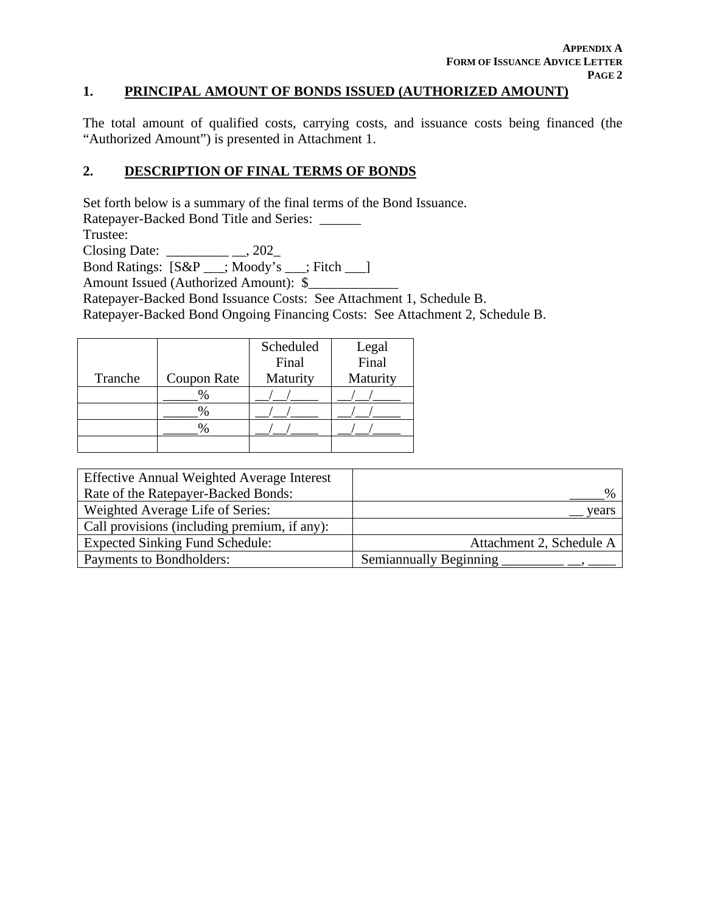### **1. PRINCIPAL AMOUNT OF BONDS ISSUED (AUTHORIZED AMOUNT)**

The total amount of qualified costs, carrying costs, and issuance costs being financed (the "Authorized Amount") is presented in Attachment 1.

### **2. DESCRIPTION OF FINAL TERMS OF BONDS**

Set forth below is a summary of the final terms of the Bond Issuance.

Ratepayer-Backed Bond Title and Series: \_\_\_\_\_\_

Trustee:

Closing Date: \_\_\_\_\_\_\_\_\_ \_\_, 202\_

Bond Ratings: [S&P \_\_\_; Moody's \_\_\_; Fitch \_\_\_]

Amount Issued (Authorized Amount): \$

Ratepayer-Backed Bond Issuance Costs: See Attachment 1, Schedule B.

Ratepayer-Backed Bond Ongoing Financing Costs: See Attachment 2, Schedule B.

|         |             | Scheduled | Legal<br>Final |
|---------|-------------|-----------|----------------|
|         |             | Final     |                |
| Tranche | Coupon Rate | Maturity  | Maturity       |
|         | $\%$        |           |                |
|         | $\%$        |           |                |
|         | ℅           |           |                |
|         |             |           |                |

| <b>Effective Annual Weighted Average Interest</b> |                               |
|---------------------------------------------------|-------------------------------|
| Rate of the Ratepayer-Backed Bonds:               | $\frac{0}{0}$                 |
| Weighted Average Life of Series:                  | vears                         |
| Call provisions (including premium, if any):      |                               |
| <b>Expected Sinking Fund Schedule:</b>            | Attachment 2, Schedule A      |
| Payments to Bondholders:                          | <b>Semiannually Beginning</b> |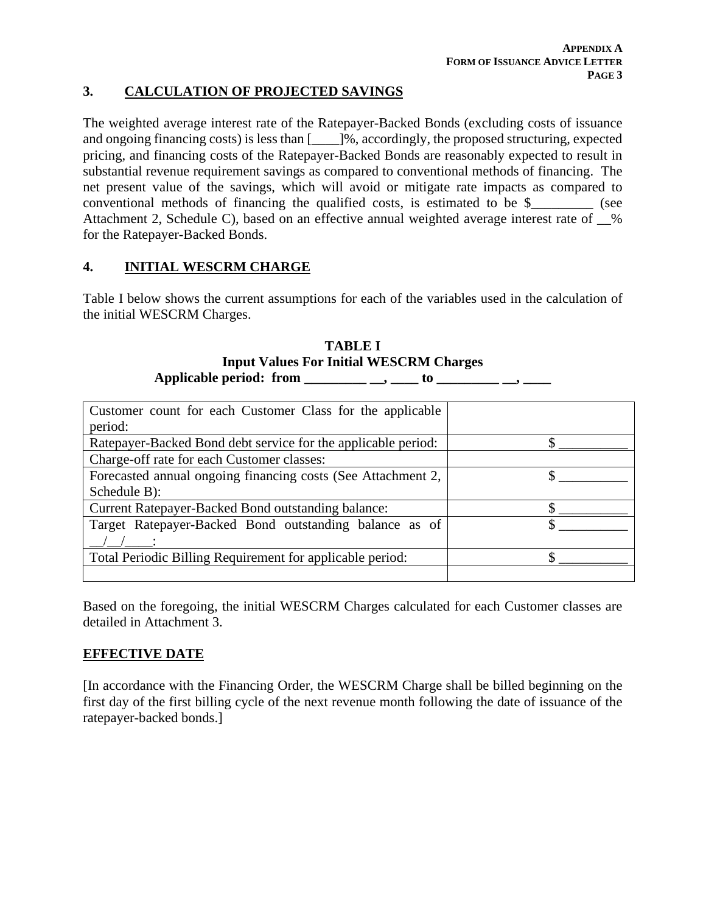### **3. CALCULATION OF PROJECTED SAVINGS**

The weighted average interest rate of the Ratepayer-Backed Bonds (excluding costs of issuance and ongoing financing costs) is less than [\_\_\_\_]%, accordingly, the proposed structuring, expected pricing, and financing costs of the Ratepayer-Backed Bonds are reasonably expected to result in substantial revenue requirement savings as compared to conventional methods of financing. The net present value of the savings, which will avoid or mitigate rate impacts as compared to conventional methods of financing the qualified costs, is estimated to be \$\_\_\_\_\_\_\_\_\_ (see Attachment 2, Schedule C), based on an effective annual weighted average interest rate of % for the Ratepayer-Backed Bonds.

## **4. INITIAL WESCRM CHARGE**

Table I below shows the current assumptions for each of the variables used in the calculation of the initial WESCRM Charges.

**TABLE I Input Values For Initial WESCRM Charges Applicable period: from \_\_\_\_\_\_\_\_\_ \_\_, \_\_\_\_ to \_\_\_\_\_\_\_\_\_ \_\_, \_\_\_\_**

| Customer count for each Customer Class for the applicable     |  |
|---------------------------------------------------------------|--|
| period:                                                       |  |
| Ratepayer-Backed Bond debt service for the applicable period: |  |
| Charge-off rate for each Customer classes:                    |  |
| Forecasted annual ongoing financing costs (See Attachment 2,  |  |
| Schedule B):                                                  |  |
| <b>Current Ratepayer-Backed Bond outstanding balance:</b>     |  |
| Target Ratepayer-Backed Bond outstanding balance as of        |  |
|                                                               |  |
| Total Periodic Billing Requirement for applicable period:     |  |
|                                                               |  |

Based on the foregoing, the initial WESCRM Charges calculated for each Customer classes are detailed in Attachment 3.

### **EFFECTIVE DATE**

[In accordance with the Financing Order, the WESCRM Charge shall be billed beginning on the first day of the first billing cycle of the next revenue month following the date of issuance of the ratepayer-backed bonds.]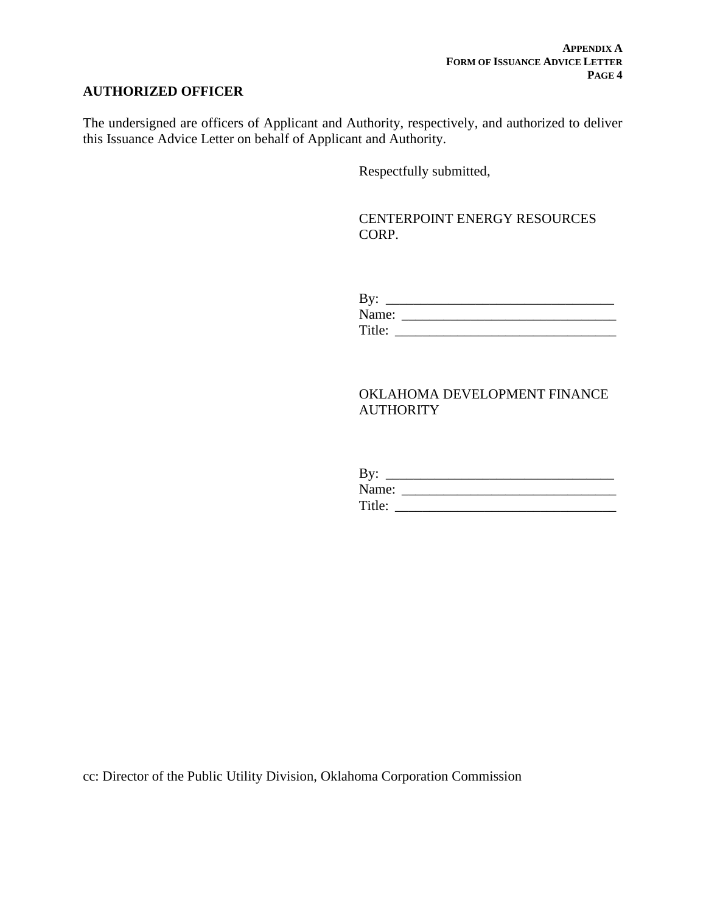## **AUTHORIZED OFFICER**

The undersigned are officers of Applicant and Authority, respectively, and authorized to deliver this Issuance Advice Letter on behalf of Applicant and Authority.

Respectfully submitted,

CENTERPOINT ENERGY RESOURCES CORP.

| By:    |  |
|--------|--|
| Name:  |  |
| Title: |  |

## OKLAHOMA DEVELOPMENT FINANCE **AUTHORITY**

| By:    |  |  |  |
|--------|--|--|--|
| Name:  |  |  |  |
| Title: |  |  |  |

cc: Director of the Public Utility Division, Oklahoma Corporation Commission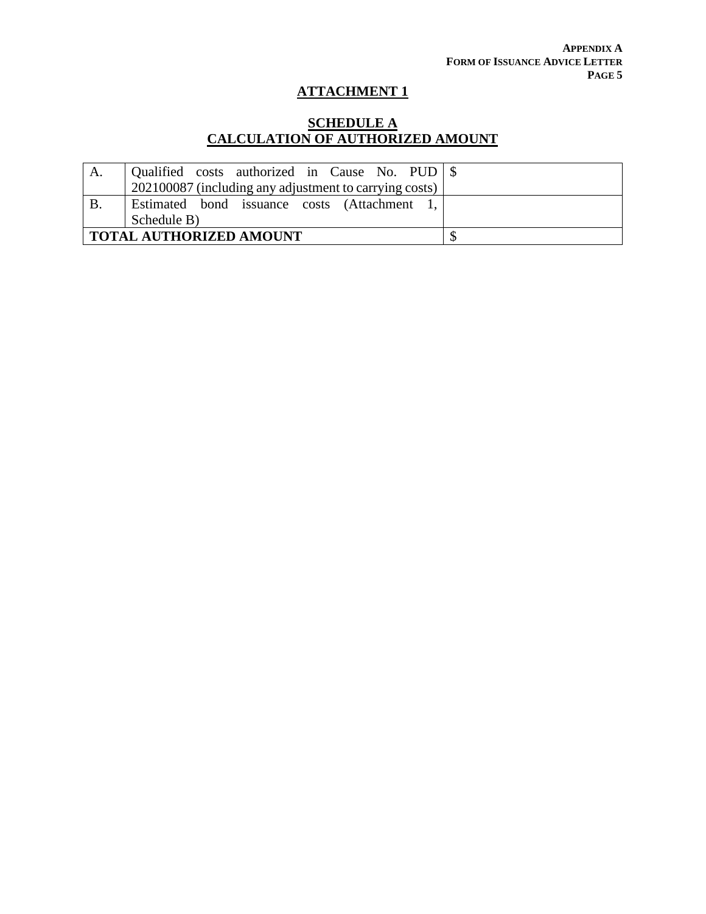# **SCHEDULE A CALCULATION OF AUTHORIZED AMOUNT**

| A. |                                                        |  |
|----|--------------------------------------------------------|--|
|    | 202100087 (including any adjustment to carrying costs) |  |
| B. | Estimated bond issuance costs (Attachment              |  |
|    | Schedule B)                                            |  |
|    | <b>TOTAL AUTHORIZED AMOUNT</b>                         |  |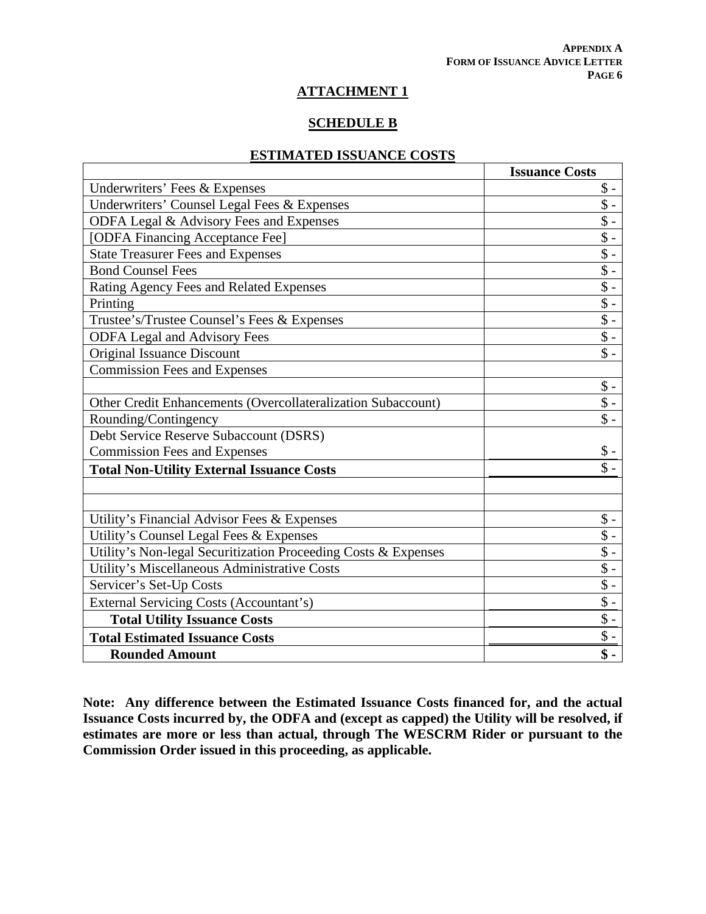### **SCHEDULE B**

## **ESTIMATED ISSUANCE COSTS**

|                                                                | <b>Issuance Costs</b> |
|----------------------------------------------------------------|-----------------------|
| Underwriters' Fees & Expenses                                  | $\$ -                 |
| Underwriters' Counsel Legal Fees & Expenses                    | $\sqrt[6]{\cdot}$     |
| ODFA Legal & Advisory Fees and Expenses                        | $\sqrt[6]{\cdot}$     |
| [ODFA Financing Acceptance Fee]                                | $\$ -                 |
| <b>State Treasurer Fees and Expenses</b>                       | $\sqrt{\ }$ -         |
| <b>Bond Counsel Fees</b>                                       | $\overline{\$}$ .     |
| Rating Agency Fees and Related Expenses                        | $\sqrt[6]{\cdot}$     |
| Printing                                                       | $\overline{\$}$ -     |
| Trustee's/Trustee Counsel's Fees & Expenses                    | $\sqrt[6]{}$          |
| <b>ODFA Legal and Advisory Fees</b>                            | $\sqrt{\ }$ .         |
| Original Issuance Discount                                     | $\$\,$                |
| <b>Commission Fees and Expenses</b>                            |                       |
|                                                                | $\$ -                 |
| Other Credit Enhancements (Overcollateralization Subaccount)   | $\$\,$                |
| Rounding/Contingency                                           | $\$\,$                |
| Debt Service Reserve Subaccount (DSRS)                         |                       |
| <b>Commission Fees and Expenses</b>                            | $\$\,$                |
| <b>Total Non-Utility External Issuance Costs</b>               | $\mathsf{\$}$ .       |
|                                                                |                       |
|                                                                |                       |
| Utility's Financial Advisor Fees & Expenses                    | $\$ -                 |
| Utility's Counsel Legal Fees & Expenses                        | $\$ -                 |
| Utility's Non-legal Securitization Proceeding Costs & Expenses | $\$ -                 |
| Utility's Miscellaneous Administrative Costs                   | $\$\,$                |
| Servicer's Set-Up Costs                                        | $\$ -                 |
| External Servicing Costs (Accountant's)                        | $\sqrt{$}$ -          |
| <b>Total Utility Issuance Costs</b>                            | $\$ -                 |
| <b>Total Estimated Issuance Costs</b>                          | $\$ -                 |
| <b>Rounded Amount</b>                                          | $\$ -                 |

**Note: Any difference between the Estimated Issuance Costs financed for, and the actual Issuance Costs incurred by, the ODFA and (except as capped) the Utility will be resolved, if estimates are more or less than actual, through The WESCRM Rider or pursuant to the Commission Order issued in this proceeding, as applicable.**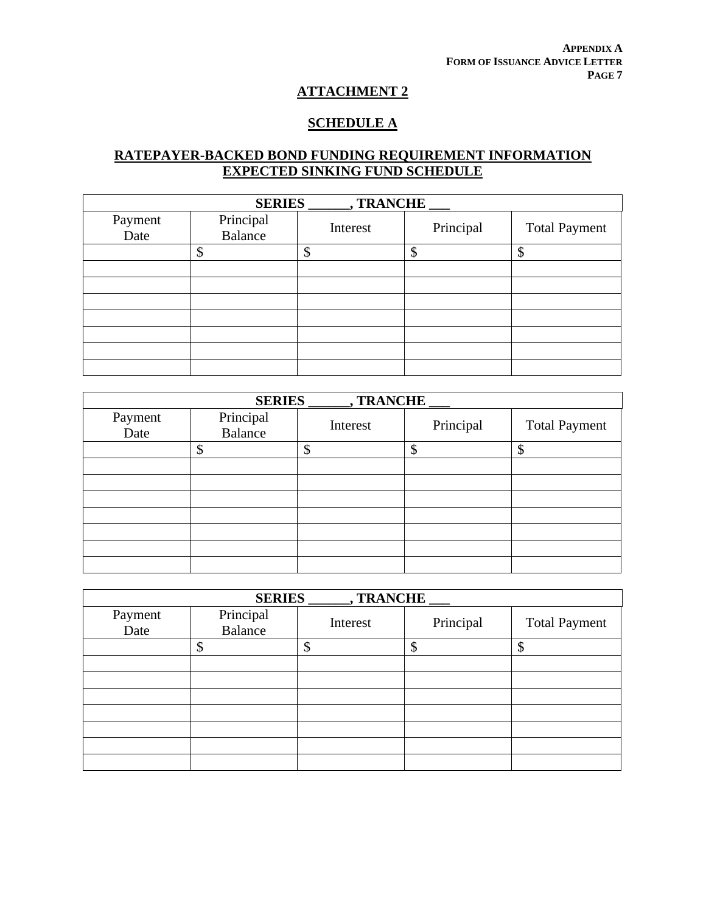### **SCHEDULE A**

# **RATEPAYER-BACKED BOND FUNDING REQUIREMENT INFORMATION EXPECTED SINKING FUND SCHEDULE**

| <b>SERIES</b><br>, TRANCHE |                             |          |           |                      |  |
|----------------------------|-----------------------------|----------|-----------|----------------------|--|
| Payment<br>Date            | Principal<br><b>Balance</b> | Interest | Principal | <b>Total Payment</b> |  |
|                            |                             |          | Φ<br>D    | Φ                    |  |
|                            |                             |          |           |                      |  |
|                            |                             |          |           |                      |  |
|                            |                             |          |           |                      |  |
|                            |                             |          |           |                      |  |
|                            |                             |          |           |                      |  |
|                            |                             |          |           |                      |  |
|                            |                             |          |           |                      |  |

| , TRANCHE<br><b>SERIES</b> |                             |          |           |                      |  |
|----------------------------|-----------------------------|----------|-----------|----------------------|--|
| Payment<br>Date            | Principal<br><b>Balance</b> | Interest | Principal | <b>Total Payment</b> |  |
|                            |                             | ₼        | ጦ         | \$                   |  |
|                            |                             |          |           |                      |  |
|                            |                             |          |           |                      |  |
|                            |                             |          |           |                      |  |
|                            |                             |          |           |                      |  |
|                            |                             |          |           |                      |  |
|                            |                             |          |           |                      |  |
|                            |                             |          |           |                      |  |

| <b>SERIES</b><br>, TRANCHE |                             |          |           |                      |  |
|----------------------------|-----------------------------|----------|-----------|----------------------|--|
| Payment                    | Principal<br><b>Balance</b> | Interest | Principal | <b>Total Payment</b> |  |
| Date                       |                             |          |           |                      |  |
|                            |                             |          | ¢<br>J    | Φ                    |  |
|                            |                             |          |           |                      |  |
|                            |                             |          |           |                      |  |
|                            |                             |          |           |                      |  |
|                            |                             |          |           |                      |  |
|                            |                             |          |           |                      |  |
|                            |                             |          |           |                      |  |
|                            |                             |          |           |                      |  |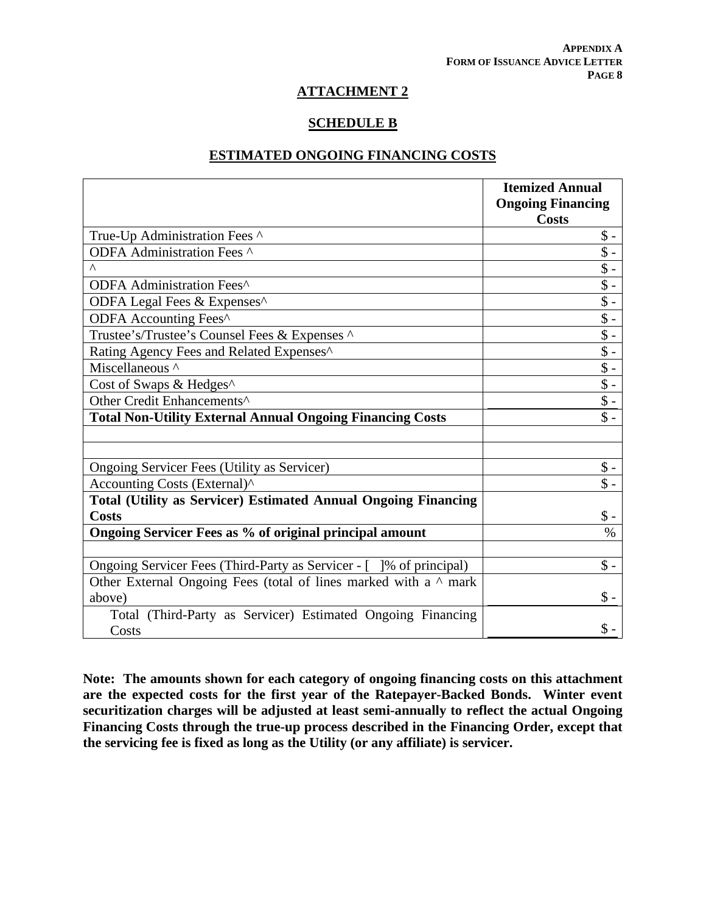### **SCHEDULE B**

## **ESTIMATED ONGOING FINANCING COSTS**

|                                                                        | <b>Itemized Annual</b><br><b>Ongoing Financing</b> |
|------------------------------------------------------------------------|----------------------------------------------------|
|                                                                        | <b>Costs</b>                                       |
| True-Up Administration Fees ^                                          | $\$ -                                              |
| ODFA Administration Fees ^                                             | $\$ -                                              |
| $\Lambda$                                                              | $\$ -                                              |
| ODFA Administration Fees^                                              | $\sqrt{$}$ -                                       |
| ODFA Legal Fees & Expenses^                                            | $\sqrt{$}$ -                                       |
| ODFA Accounting Fees^                                                  | $\sqrt[6]{\frac{1}{2}}$                            |
| Trustee's/Trustee's Counsel Fees & Expenses ^                          | $\sqrt{$}$ -                                       |
| Rating Agency Fees and Related Expenses^                               | $\sqrt[6]{}$ -                                     |
| Miscellaneous ^                                                        | $\sqrt[6]{\cdot}$                                  |
| Cost of Swaps & Hedges^                                                | $\sqrt[6]{\cdot}$                                  |
| Other Credit Enhancements <sup>^</sup>                                 | $\sqrt{$}$ -                                       |
| <b>Total Non-Utility External Annual Ongoing Financing Costs</b>       | $\$\$ -                                            |
|                                                                        |                                                    |
|                                                                        |                                                    |
| Ongoing Servicer Fees (Utility as Servicer)                            | $\$ -                                              |
| Accounting Costs (External)^                                           | $\$\$ -                                            |
| <b>Total (Utility as Servicer) Estimated Annual Ongoing Financing</b>  |                                                    |
| <b>Costs</b>                                                           | \$ -                                               |
| Ongoing Servicer Fees as % of original principal amount                | $\%$                                               |
|                                                                        |                                                    |
| Ongoing Servicer Fees (Third-Party as Servicer - []% of principal)     | $\$ -                                              |
| Other External Ongoing Fees (total of lines marked with a $\land$ mark |                                                    |
| above)                                                                 | $\$ -                                              |
| Total (Third-Party as Servicer) Estimated Ongoing Financing            |                                                    |
| Costs                                                                  | $\$ -                                              |

**Note: The amounts shown for each category of ongoing financing costs on this attachment are the expected costs for the first year of the Ratepayer-Backed Bonds. Winter event securitization charges will be adjusted at least semi-annually to reflect the actual Ongoing Financing Costs through the true-up process described in the Financing Order, except that the servicing fee is fixed as long as the Utility (or any affiliate) is servicer.**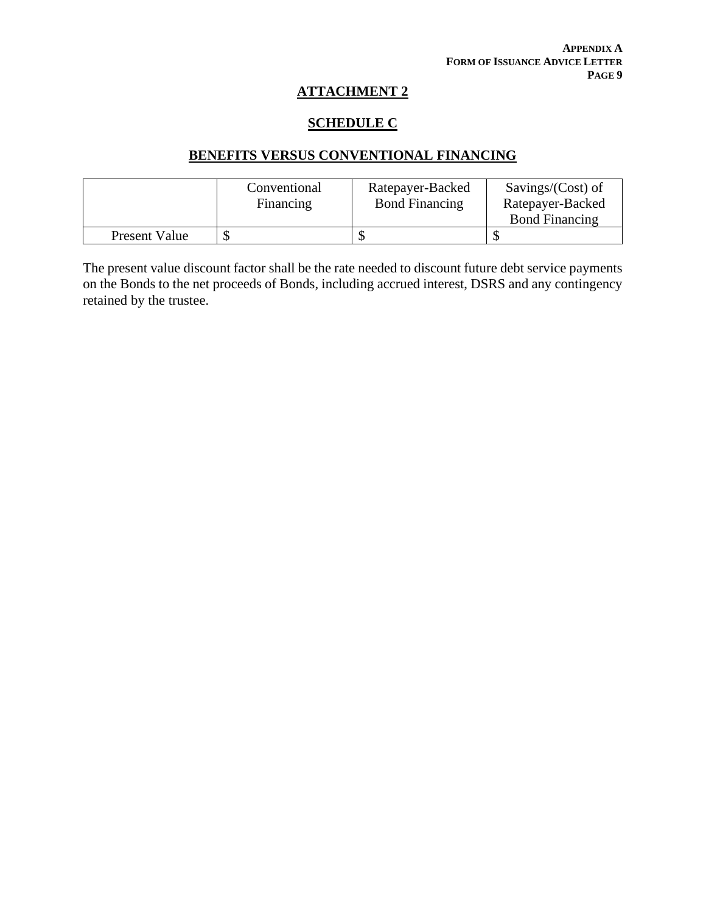## **SCHEDULE C**

# **BENEFITS VERSUS CONVENTIONAL FINANCING**

|                      | Conventional<br>Financing | Ratepayer-Backed<br><b>Bond Financing</b> | Savings/(Cost) of<br>Ratepayer-Backed |
|----------------------|---------------------------|-------------------------------------------|---------------------------------------|
|                      |                           |                                           | <b>Bond Financing</b>                 |
| <b>Present Value</b> |                           |                                           |                                       |

The present value discount factor shall be the rate needed to discount future debt service payments on the Bonds to the net proceeds of Bonds, including accrued interest, DSRS and any contingency retained by the trustee.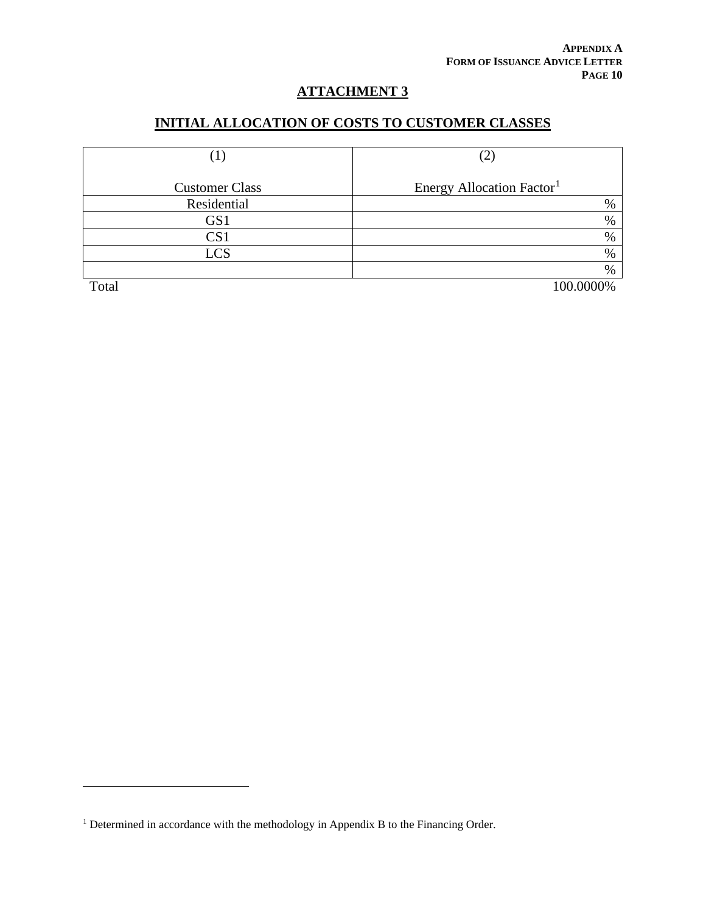# **INITIAL ALLOCATION OF COSTS TO CUSTOMER CLASSES**

| $\mathbf{1}$          | (2)                                   |  |
|-----------------------|---------------------------------------|--|
| <b>Customer Class</b> | Energy Allocation Factor <sup>1</sup> |  |
| Residential           | $\%$                                  |  |
| GS1                   | $\%$                                  |  |
| CS <sub>1</sub>       | $\%$                                  |  |
| <b>LCS</b>            | $\%$                                  |  |
|                       | $\%$                                  |  |
| Total                 | 100.0000%                             |  |

<span id="page-62-0"></span><sup>&</sup>lt;sup>1</sup> Determined in accordance with the methodology in Appendix B to the Financing Order.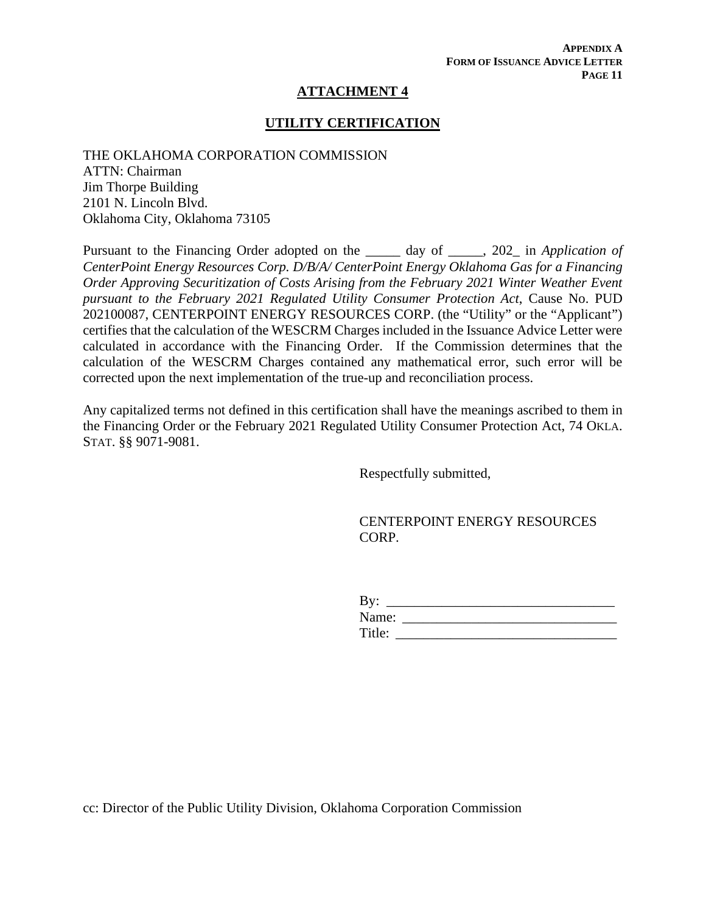### **UTILITY CERTIFICATION**

THE OKLAHOMA CORPORATION COMMISSION ATTN: Chairman Jim Thorpe Building 2101 N. Lincoln Blvd. Oklahoma City, Oklahoma 73105

Pursuant to the Financing Order adopted on the \_\_\_\_\_ day of \_\_\_\_\_, 202\_ in *Application of CenterPoint Energy Resources Corp. D/B/A/ CenterPoint Energy Oklahoma Gas for a Financing Order Approving Securitization of Costs Arising from the February 2021 Winter Weather Event pursuant to the February 2021 Regulated Utility Consumer Protection Act*, Cause No. PUD 202100087, CENTERPOINT ENERGY RESOURCES CORP. (the "Utility" or the "Applicant") certifies that the calculation of the WESCRM Charges included in the Issuance Advice Letter were calculated in accordance with the Financing Order. If the Commission determines that the calculation of the WESCRM Charges contained any mathematical error, such error will be corrected upon the next implementation of the true-up and reconciliation process.

Any capitalized terms not defined in this certification shall have the meanings ascribed to them in the Financing Order or the February 2021 Regulated Utility Consumer Protection Act, 74 OKLA. STAT. §§ 9071-9081.

Respectfully submitted,

CENTERPOINT ENERGY RESOURCES CORP.

| By:    |  |
|--------|--|
| Name:  |  |
| Title: |  |

cc: Director of the Public Utility Division, Oklahoma Corporation Commission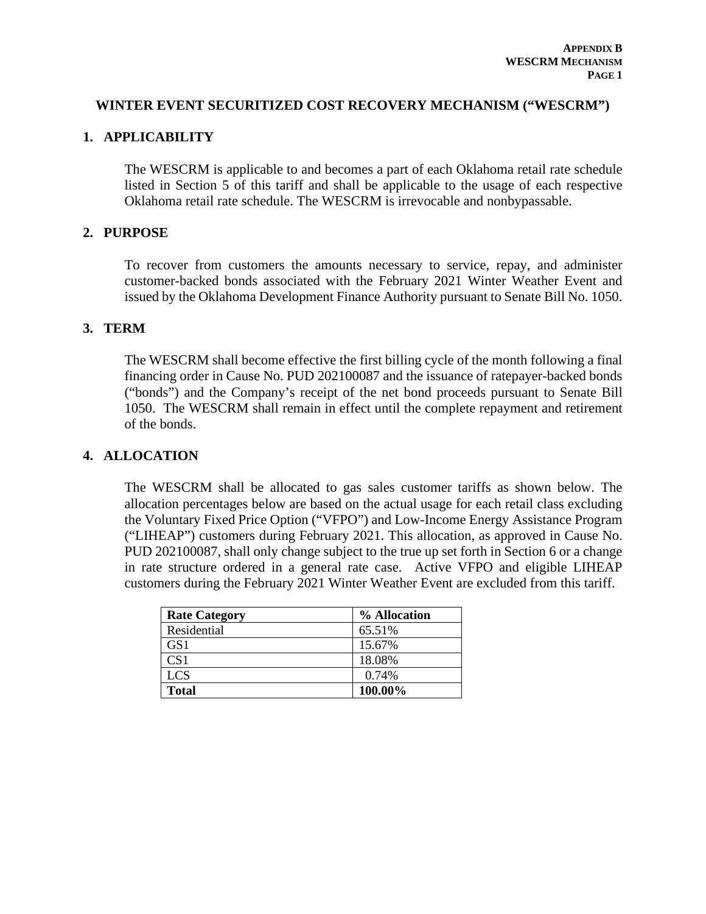### **WINTER EVENT SECURITIZED COST RECOVERY MECHANISM ("WESCRM")**

### **1. APPLICABILITY**

The WESCRM is applicable to and becomes a part of each Oklahoma retail rate schedule listed in Section 5 of this tariff and shall be applicable to the usage of each respective Oklahoma retail rate schedule. The WESCRM is irrevocable and nonbypassable.

### **2. PURPOSE**

To recover from customers the amounts necessary to service, repay, and administer customer-backed bonds associated with the February 2021 Winter Weather Event and issued by the Oklahoma Development Finance Authority pursuant to Senate Bill No. 1050.

#### **3. TERM**

The WESCRM shall become effective the first billing cycle of the month following a final financing order in Cause No. PUD 202100087 and the issuance of ratepayer-backed bonds ("bonds") and the Company's receipt of the net bond proceeds pursuant to Senate Bill 1050. The WESCRM shall remain in effect until the complete repayment and retirement of the bonds.

### **4. ALLOCATION**

The WESCRM shall be allocated to gas sales customer tariffs as shown below. The allocation percentages below are based on the actual usage for each retail class excluding the Voluntary Fixed Price Option ("VFPO") and Low-Income Energy Assistance Program ("LIHEAP") customers during February 2021. This allocation, as approved in Cause No. PUD 202100087, shall only change subject to the true up set forth in Section 6 or a change in rate structure ordered in a general rate case. Active VFPO and eligible LIHEAP customers during the February 2021 Winter Weather Event are excluded from this tariff.

| <b>Rate Category</b> | % Allocation |
|----------------------|--------------|
| Residential          | 65.51%       |
| GS <sub>1</sub>      | 15.67%       |
| CS <sub>1</sub>      | 18.08%       |
| <b>LCS</b>           | 0.74%        |
| <b>Total</b>         | 100.00%      |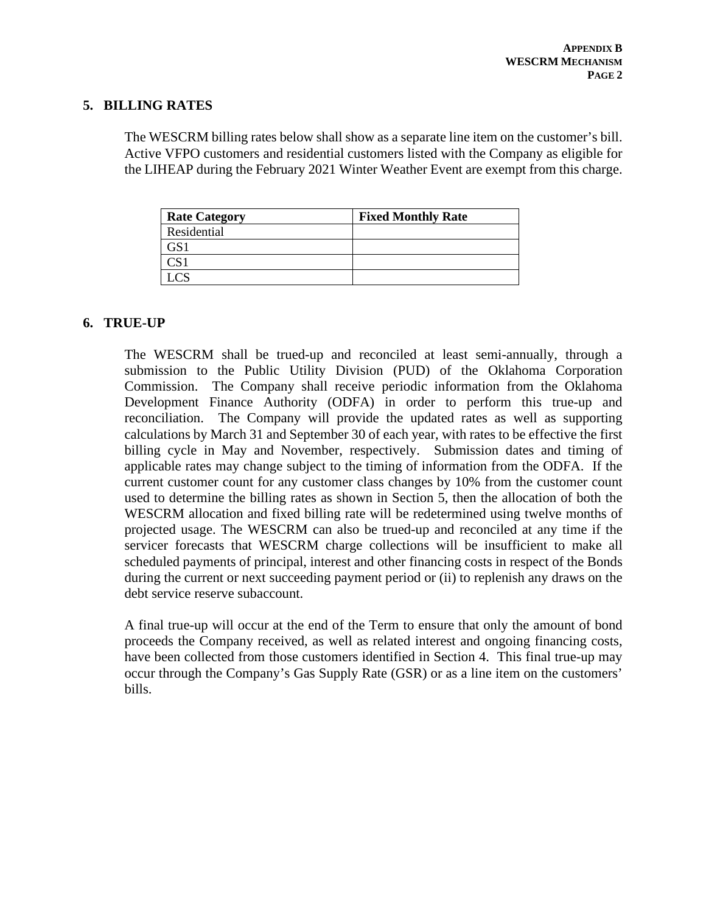### **5. BILLING RATES**

The WESCRM billing rates below shall show as a separate line item on the customer's bill. Active VFPO customers and residential customers listed with the Company as eligible for the LIHEAP during the February 2021 Winter Weather Event are exempt from this charge.

| <b>Rate Category</b> | <b>Fixed Monthly Rate</b> |
|----------------------|---------------------------|
| Residential          |                           |
|                      |                           |
|                      |                           |
|                      |                           |

## **6. TRUE-UP**

The WESCRM shall be trued-up and reconciled at least semi-annually, through a submission to the Public Utility Division (PUD) of the Oklahoma Corporation Commission. The Company shall receive periodic information from the Oklahoma Development Finance Authority (ODFA) in order to perform this true-up and reconciliation. The Company will provide the updated rates as well as supporting calculations by March 31 and September 30 of each year, with rates to be effective the first billing cycle in May and November, respectively. Submission dates and timing of applicable rates may change subject to the timing of information from the ODFA. If the current customer count for any customer class changes by 10% from the customer count used to determine the billing rates as shown in Section 5, then the allocation of both the WESCRM allocation and fixed billing rate will be redetermined using twelve months of projected usage. The WESCRM can also be trued-up and reconciled at any time if the servicer forecasts that WESCRM charge collections will be insufficient to make all scheduled payments of principal, interest and other financing costs in respect of the Bonds during the current or next succeeding payment period or (ii) to replenish any draws on the debt service reserve subaccount.

A final true-up will occur at the end of the Term to ensure that only the amount of bond proceeds the Company received, as well as related interest and ongoing financing costs, have been collected from those customers identified in Section 4. This final true-up may occur through the Company's Gas Supply Rate (GSR) or as a line item on the customers' bills.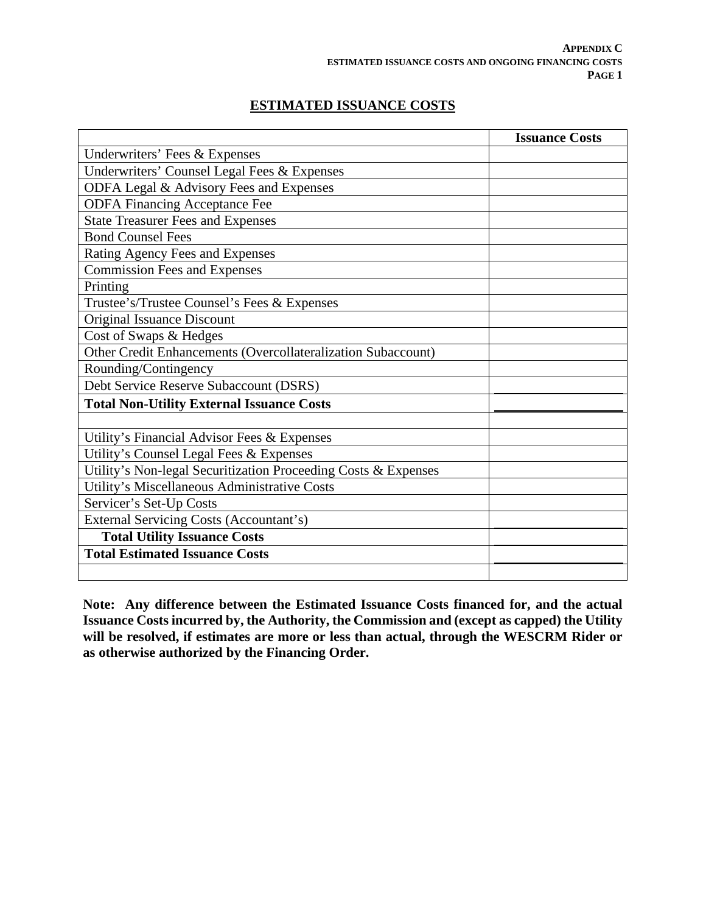# **ESTIMATED ISSUANCE COSTS**

|                                                                | <b>Issuance Costs</b> |
|----------------------------------------------------------------|-----------------------|
| Underwriters' Fees & Expenses                                  |                       |
| Underwriters' Counsel Legal Fees & Expenses                    |                       |
| ODFA Legal & Advisory Fees and Expenses                        |                       |
| <b>ODFA Financing Acceptance Fee</b>                           |                       |
| <b>State Treasurer Fees and Expenses</b>                       |                       |
| <b>Bond Counsel Fees</b>                                       |                       |
| Rating Agency Fees and Expenses                                |                       |
| <b>Commission Fees and Expenses</b>                            |                       |
| Printing                                                       |                       |
| Trustee's/Trustee Counsel's Fees & Expenses                    |                       |
| Original Issuance Discount                                     |                       |
| Cost of Swaps & Hedges                                         |                       |
| Other Credit Enhancements (Overcollateralization Subaccount)   |                       |
| Rounding/Contingency                                           |                       |
| Debt Service Reserve Subaccount (DSRS)                         |                       |
| <b>Total Non-Utility External Issuance Costs</b>               |                       |
|                                                                |                       |
| Utility's Financial Advisor Fees & Expenses                    |                       |
| Utility's Counsel Legal Fees & Expenses                        |                       |
| Utility's Non-legal Securitization Proceeding Costs & Expenses |                       |
| Utility's Miscellaneous Administrative Costs                   |                       |
| Servicer's Set-Up Costs                                        |                       |
| <b>External Servicing Costs (Accountant's)</b>                 |                       |
| <b>Total Utility Issuance Costs</b>                            |                       |
| <b>Total Estimated Issuance Costs</b>                          |                       |
|                                                                |                       |

**Note: Any difference between the Estimated Issuance Costs financed for, and the actual Issuance Costs incurred by, the Authority, the Commission and (except as capped) the Utility will be resolved, if estimates are more or less than actual, through the WESCRM Rider or as otherwise authorized by the Financing Order.**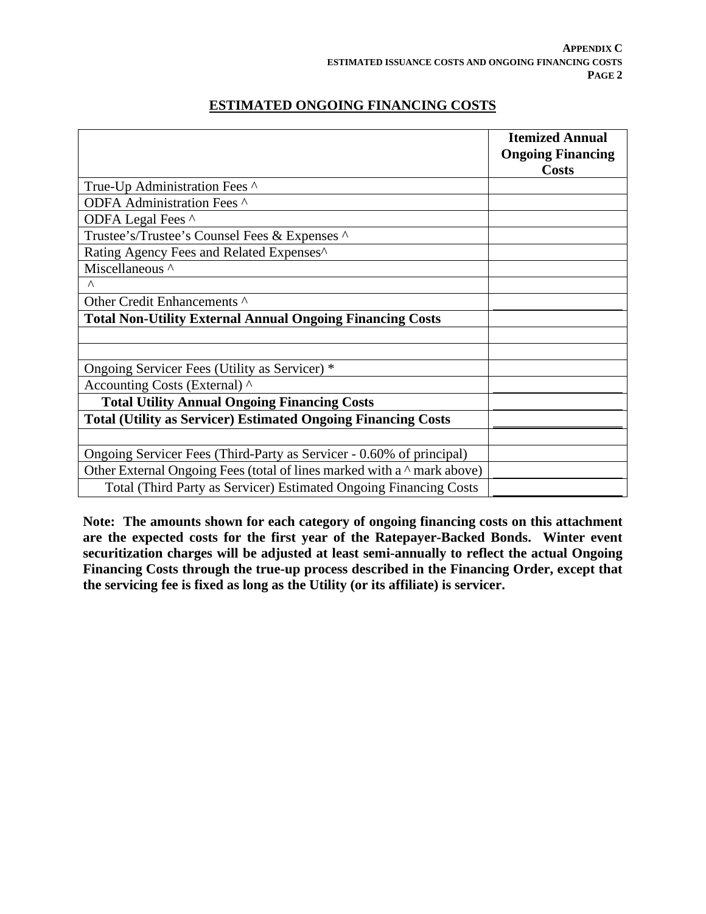## **ESTIMATED ONGOING FINANCING COSTS**

|                                                                               | <b>Itemized Annual</b>   |
|-------------------------------------------------------------------------------|--------------------------|
|                                                                               | <b>Ongoing Financing</b> |
|                                                                               | <b>Costs</b>             |
| True-Up Administration Fees ^                                                 |                          |
| ODFA Administration Fees ^                                                    |                          |
| ODFA Legal Fees ^                                                             |                          |
| Trustee's/Trustee's Counsel Fees & Expenses ^                                 |                          |
| Rating Agency Fees and Related Expenses^                                      |                          |
| Miscellaneous ^                                                               |                          |
| Λ                                                                             |                          |
| Other Credit Enhancements ^                                                   |                          |
| <b>Total Non-Utility External Annual Ongoing Financing Costs</b>              |                          |
|                                                                               |                          |
|                                                                               |                          |
| Ongoing Servicer Fees (Utility as Servicer) *                                 |                          |
| Accounting Costs (External) ^                                                 |                          |
| <b>Total Utility Annual Ongoing Financing Costs</b>                           |                          |
| <b>Total (Utility as Servicer) Estimated Ongoing Financing Costs</b>          |                          |
|                                                                               |                          |
| Ongoing Servicer Fees (Third-Party as Servicer - 0.60% of principal)          |                          |
| Other External Ongoing Fees (total of lines marked with a $\land$ mark above) |                          |
| Total (Third Party as Servicer) Estimated Ongoing Financing Costs             |                          |

**Note: The amounts shown for each category of ongoing financing costs on this attachment are the expected costs for the first year of the Ratepayer-Backed Bonds. Winter event securitization charges will be adjusted at least semi-annually to reflect the actual Ongoing Financing Costs through the true-up process described in the Financing Order, except that the servicing fee is fixed as long as the Utility (or its affiliate) is servicer.**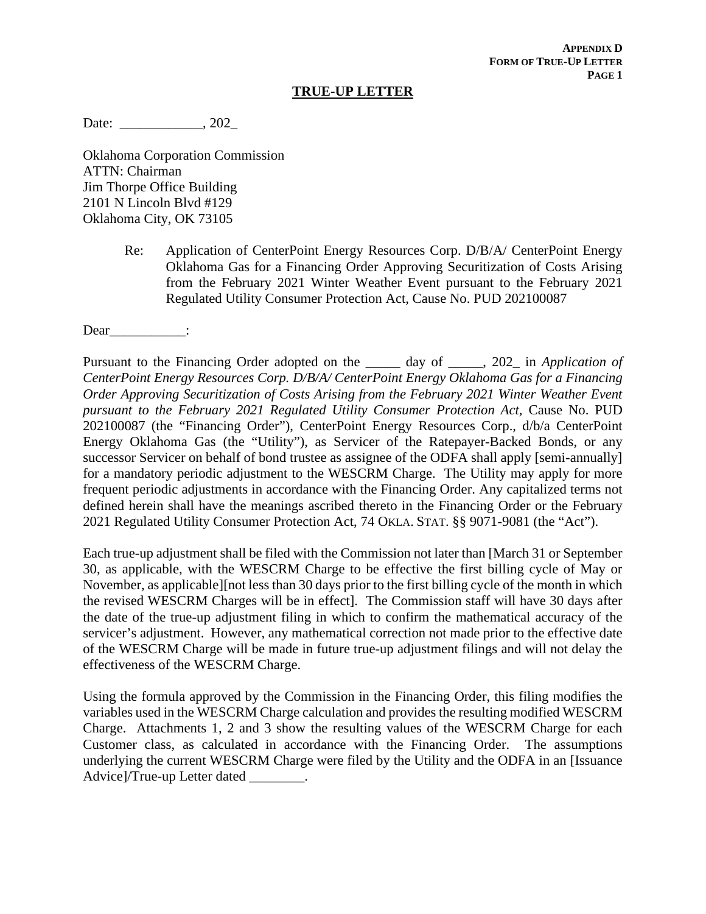#### **TRUE-UP LETTER**

Date: \_\_\_\_\_\_\_\_\_\_\_\_\_\_, 202\_

Oklahoma Corporation Commission ATTN: Chairman Jim Thorpe Office Building 2101 N Lincoln Blvd #129 Oklahoma City, OK 73105

> Re: Application of CenterPoint Energy Resources Corp. D/B/A/ CenterPoint Energy Oklahoma Gas for a Financing Order Approving Securitization of Costs Arising from the February 2021 Winter Weather Event pursuant to the February 2021 Regulated Utility Consumer Protection Act, Cause No. PUD 202100087

Dear\_\_\_\_\_\_\_\_\_\_\_\_\_:

Pursuant to the Financing Order adopted on the \_\_\_\_\_ day of \_\_\_\_\_, 202\_ in *Application of CenterPoint Energy Resources Corp. D/B/A/ CenterPoint Energy Oklahoma Gas for a Financing Order Approving Securitization of Costs Arising from the February 2021 Winter Weather Event pursuant to the February 2021 Regulated Utility Consumer Protection Act*, Cause No. PUD 202100087 (the "Financing Order"), CenterPoint Energy Resources Corp., d/b/a CenterPoint Energy Oklahoma Gas (the "Utility"), as Servicer of the Ratepayer-Backed Bonds, or any successor Servicer on behalf of bond trustee as assignee of the ODFA shall apply [semi-annually] for a mandatory periodic adjustment to the WESCRM Charge. The Utility may apply for more frequent periodic adjustments in accordance with the Financing Order. Any capitalized terms not defined herein shall have the meanings ascribed thereto in the Financing Order or the February 2021 Regulated Utility Consumer Protection Act, 74 OKLA. STAT. §§ 9071-9081 (the "Act").

Each true-up adjustment shall be filed with the Commission not later than [March 31 or September 30, as applicable, with the WESCRM Charge to be effective the first billing cycle of May or November, as applicable][not less than 30 days prior to the first billing cycle of the month in which the revised WESCRM Charges will be in effect]. The Commission staff will have 30 days after the date of the true-up adjustment filing in which to confirm the mathematical accuracy of the servicer's adjustment. However, any mathematical correction not made prior to the effective date of the WESCRM Charge will be made in future true-up adjustment filings and will not delay the effectiveness of the WESCRM Charge.

Using the formula approved by the Commission in the Financing Order, this filing modifies the variables used in the WESCRM Charge calculation and provides the resulting modified WESCRM Charge. Attachments 1, 2 and 3 show the resulting values of the WESCRM Charge for each Customer class, as calculated in accordance with the Financing Order. The assumptions underlying the current WESCRM Charge were filed by the Utility and the ODFA in an [Issuance Advice]/True-up Letter dated  $\qquad \qquad$ .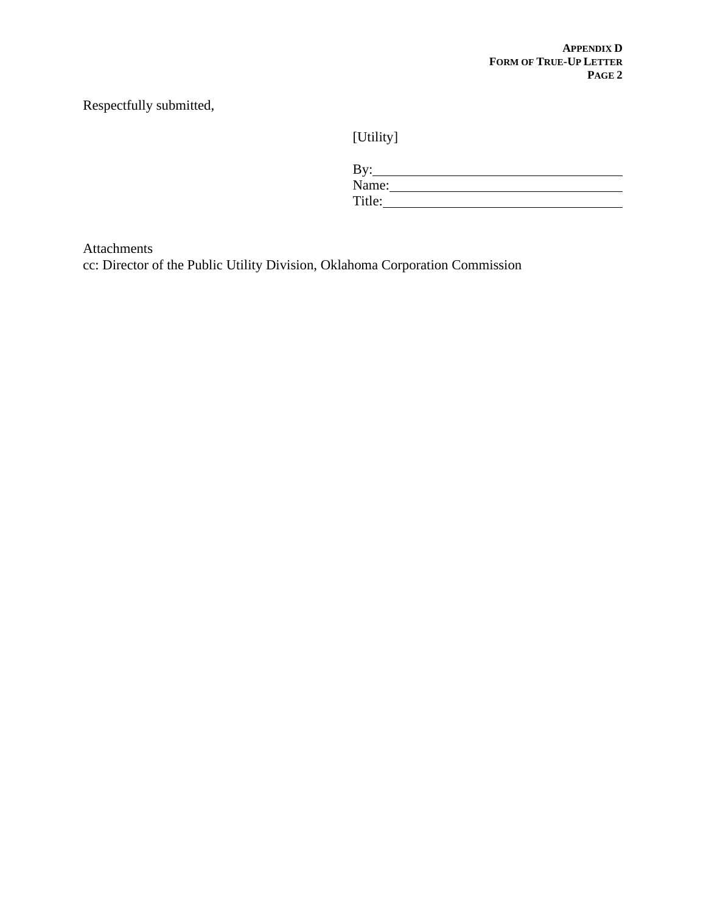# Respectfully submitted,

[Utility]

| By:    |  |  |
|--------|--|--|
| Name:  |  |  |
| Title: |  |  |

Attachments

cc: Director of the Public Utility Division, Oklahoma Corporation Commission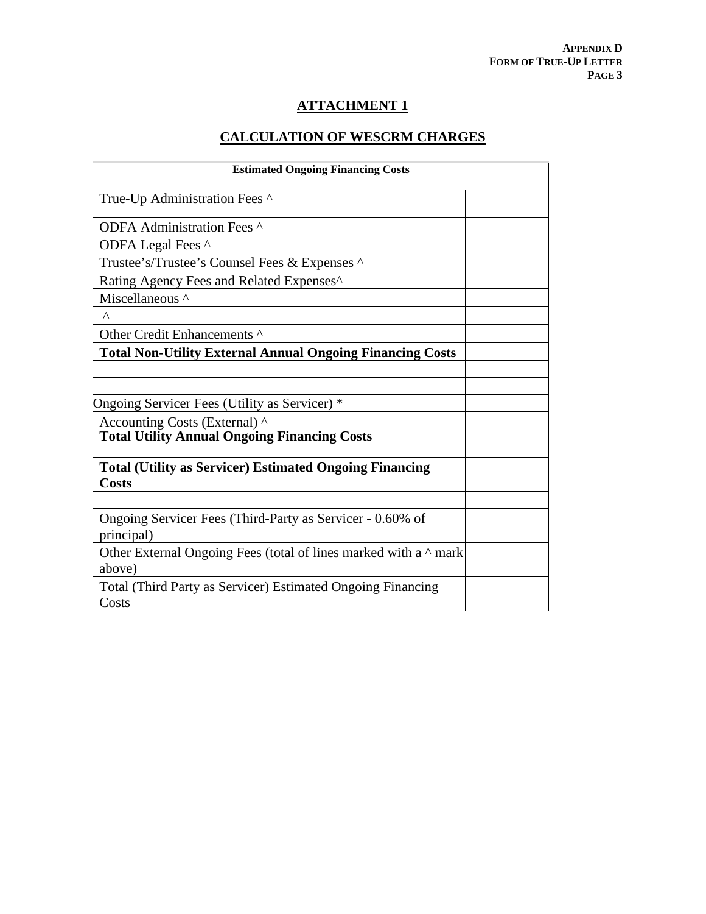# **CALCULATION OF WESCRM CHARGES**

| <b>Estimated Ongoing Financing Costs</b>                                         |  |  |
|----------------------------------------------------------------------------------|--|--|
| True-Up Administration Fees ^                                                    |  |  |
| ODFA Administration Fees ^                                                       |  |  |
| ODFA Legal Fees ^                                                                |  |  |
| Trustee's/Trustee's Counsel Fees & Expenses ^                                    |  |  |
| Rating Agency Fees and Related Expenses <sup>^</sup>                             |  |  |
| Miscellaneous ^                                                                  |  |  |
| Λ                                                                                |  |  |
| Other Credit Enhancements ^                                                      |  |  |
| <b>Total Non-Utility External Annual Ongoing Financing Costs</b>                 |  |  |
|                                                                                  |  |  |
|                                                                                  |  |  |
| Ongoing Servicer Fees (Utility as Servicer) *                                    |  |  |
| Accounting Costs (External) ^                                                    |  |  |
| <b>Total Utility Annual Ongoing Financing Costs</b>                              |  |  |
| <b>Total (Utility as Servicer) Estimated Ongoing Financing</b><br><b>Costs</b>   |  |  |
|                                                                                  |  |  |
| Ongoing Servicer Fees (Third-Party as Servicer - 0.60% of<br>principal)          |  |  |
| Other External Ongoing Fees (total of lines marked with a $\land$ mark<br>above) |  |  |
| Total (Third Party as Servicer) Estimated Ongoing Financing<br>Costs             |  |  |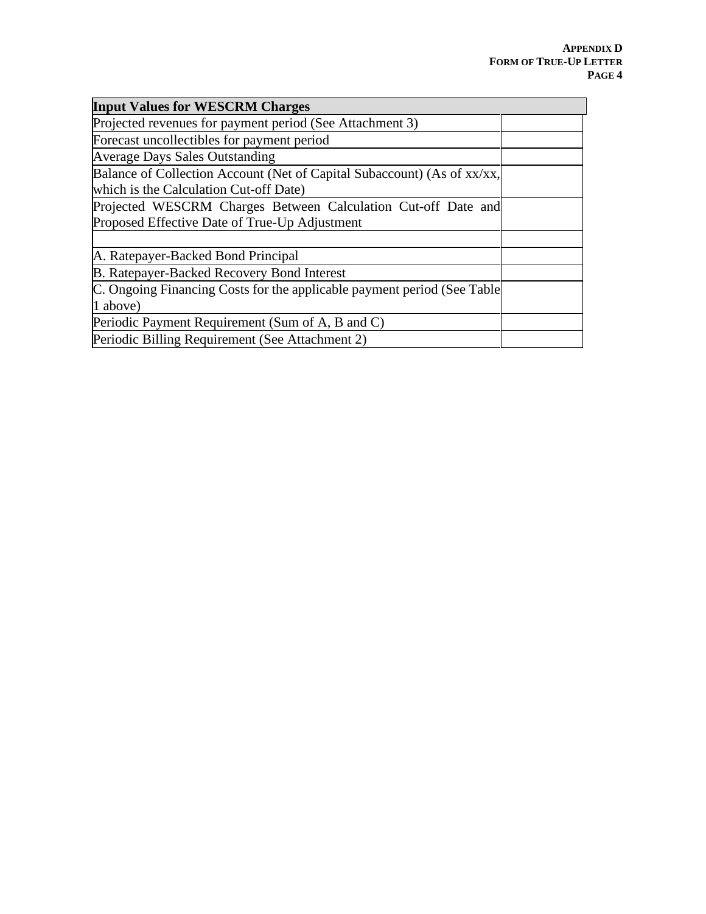| <b>Input Values for WESCRM Charges</b>                                  |  |
|-------------------------------------------------------------------------|--|
| Projected revenues for payment period (See Attachment 3)                |  |
| Forecast uncollectibles for payment period                              |  |
| <b>Average Days Sales Outstanding</b>                                   |  |
| Balance of Collection Account (Net of Capital Subaccount) (As of xx/xx, |  |
| which is the Calculation Cut-off Date)                                  |  |
| Projected WESCRM Charges Between Calculation Cut-off Date and           |  |
| Proposed Effective Date of True-Up Adjustment                           |  |
| A. Ratepayer-Backed Bond Principal                                      |  |
| <b>B.</b> Ratepayer-Backed Recovery Bond Interest                       |  |
| C. Ongoing Financing Costs for the applicable payment period (See Table |  |
| 1 above)                                                                |  |
| Periodic Payment Requirement (Sum of A, B and C)                        |  |
| Periodic Billing Requirement (See Attachment 2)                         |  |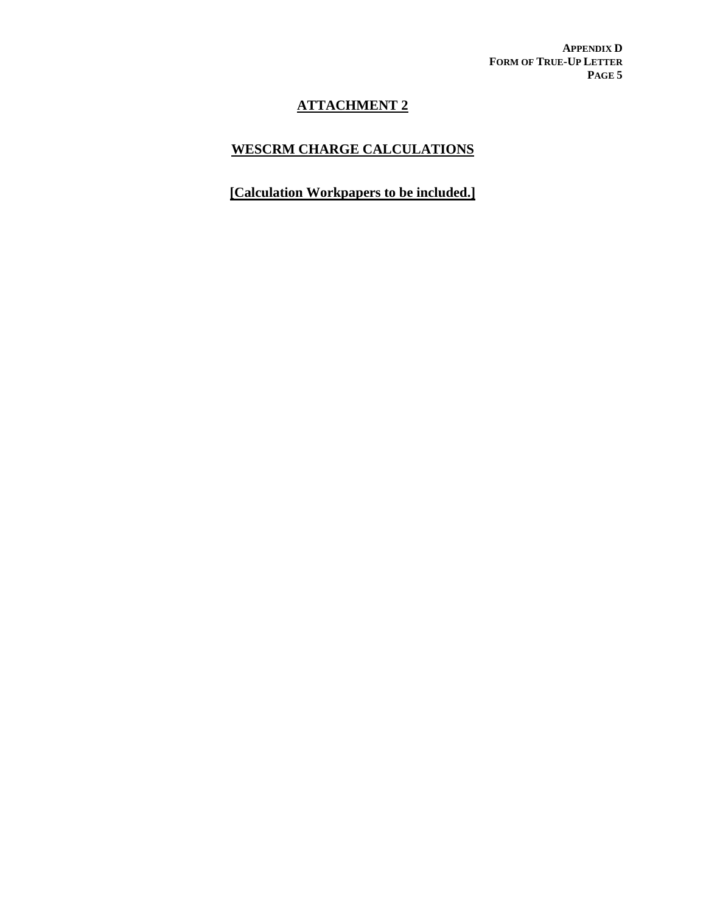**APPENDIX D FORM OF TRUE-UP LETTER PAGE 5**

## **ATTACHMENT 2**

## **WESCRM CHARGE CALCULATIONS**

**[Calculation Workpapers to be included.]**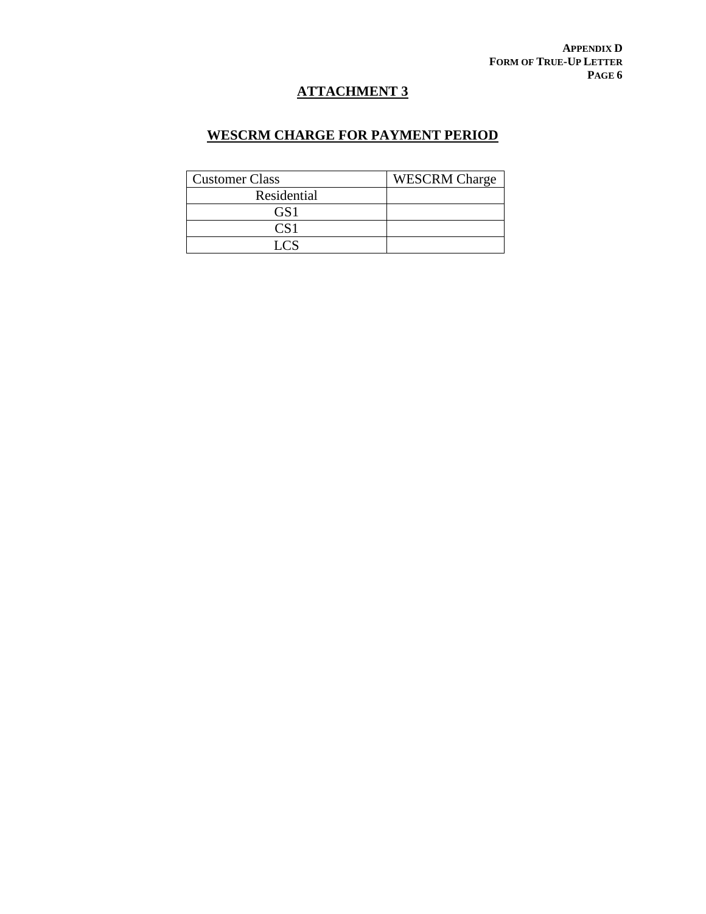# **ATTACHMENT 3**

### **WESCRM CHARGE FOR PAYMENT PERIOD**

| <b>Customer Class</b>    | <b>WESCRM</b> Charge |
|--------------------------|----------------------|
| Residential              |                      |
| GS1                      |                      |
| CS1                      |                      |
| $\Gamma$ $\cap$ $\Gamma$ |                      |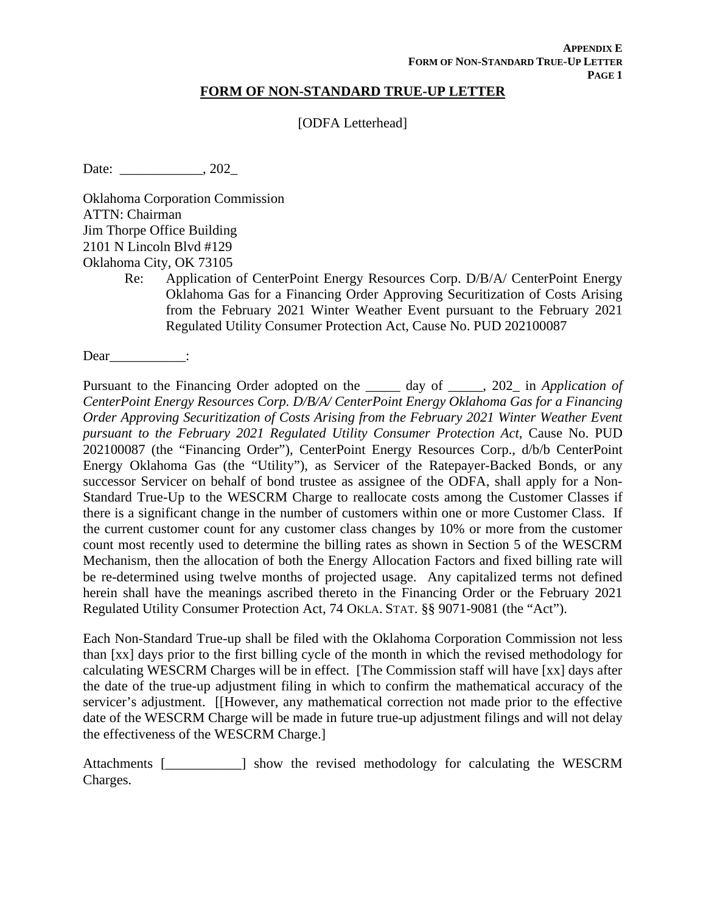### **FORM OF NON-STANDARD TRUE-UP LETTER**

[ODFA Letterhead]

Date: 202

Oklahoma Corporation Commission ATTN: Chairman Jim Thorpe Office Building 2101 N Lincoln Blvd #129 Oklahoma City, OK 73105

Re: Application of CenterPoint Energy Resources Corp. D/B/A/ CenterPoint Energy Oklahoma Gas for a Financing Order Approving Securitization of Costs Arising from the February 2021 Winter Weather Event pursuant to the February 2021 Regulated Utility Consumer Protection Act, Cause No. PUD 202100087

Dear :

Pursuant to the Financing Order adopted on the \_\_\_\_\_ day of \_\_\_\_\_, 202\_ in *Application of CenterPoint Energy Resources Corp. D/B/A/ CenterPoint Energy Oklahoma Gas for a Financing Order Approving Securitization of Costs Arising from the February 2021 Winter Weather Event pursuant to the February 2021 Regulated Utility Consumer Protection Act*, Cause No. PUD 202100087 (the "Financing Order"), CenterPoint Energy Resources Corp., d/b/b CenterPoint Energy Oklahoma Gas (the "Utility"), as Servicer of the Ratepayer-Backed Bonds, or any successor Servicer on behalf of bond trustee as assignee of the ODFA, shall apply for a Non-Standard True-Up to the WESCRM Charge to reallocate costs among the Customer Classes if there is a significant change in the number of customers within one or more Customer Class. If the current customer count for any customer class changes by 10% or more from the customer count most recently used to determine the billing rates as shown in Section 5 of the WESCRM Mechanism, then the allocation of both the Energy Allocation Factors and fixed billing rate will be re-determined using twelve months of projected usage. Any capitalized terms not defined herein shall have the meanings ascribed thereto in the Financing Order or the February 2021 Regulated Utility Consumer Protection Act, 74 OKLA. STAT. §§ 9071-9081 (the "Act").

Each Non-Standard True-up shall be filed with the Oklahoma Corporation Commission not less than [xx] days prior to the first billing cycle of the month in which the revised methodology for calculating WESCRM Charges will be in effect. [The Commission staff will have [xx] days after the date of the true-up adjustment filing in which to confirm the mathematical accuracy of the servicer's adjustment. [[However, any mathematical correction not made prior to the effective date of the WESCRM Charge will be made in future true-up adjustment filings and will not delay the effectiveness of the WESCRM Charge.]

Attachments [\_\_\_\_\_\_\_\_\_\_\_] show the revised methodology for calculating the WESCRM Charges.